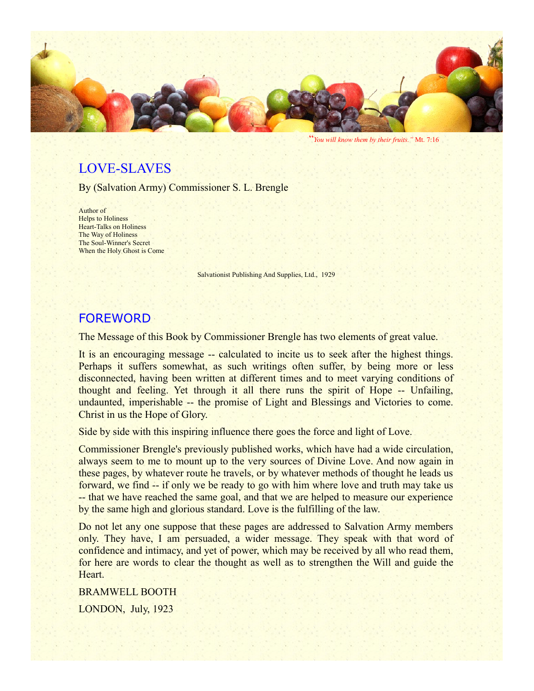

"*You will know them by their fruits."* Mt. 7:16

## LOVE-SLAVES

By (Salvation Army) Commissioner S. L. Brengle

Author of Helps to Holiness Heart-Talks on Holiness The Way of Holiness The Soul-Winner's Secret When the Holy Ghost is Come

Salvationist Publishing And Supplies, Ltd., 1929

### FOREWORD

The Message of this Book by Commissioner Brengle has two elements of great value.

It is an encouraging message -- calculated to incite us to seek after the highest things. Perhaps it suffers somewhat, as such writings often suffer, by being more or less disconnected, having been written at different times and to meet varying conditions of thought and feeling. Yet through it all there runs the spirit of Hope -- Unfailing, undaunted, imperishable -- the promise of Light and Blessings and Victories to come. Christ in us the Hope of Glory.

Side by side with this inspiring influence there goes the force and light of Love.

Commissioner Brengle's previously published works, which have had a wide circulation, always seem to me to mount up to the very sources of Divine Love. And now again in these pages, by whatever route he travels, or by whatever methods of thought he leads us forward, we find -- if only we be ready to go with him where love and truth may take us -- that we have reached the same goal, and that we are helped to measure our experience by the same high and glorious standard. Love is the fulfilling of the law.

Do not let any one suppose that these pages are addressed to Salvation Army members only. They have, I am persuaded, a wider message. They speak with that word of confidence and intimacy, and yet of power, which may be received by all who read them, for here are words to clear the thought as well as to strengthen the Will and guide the Heart.

BRAMWELL BOOTH LONDON, July, 1923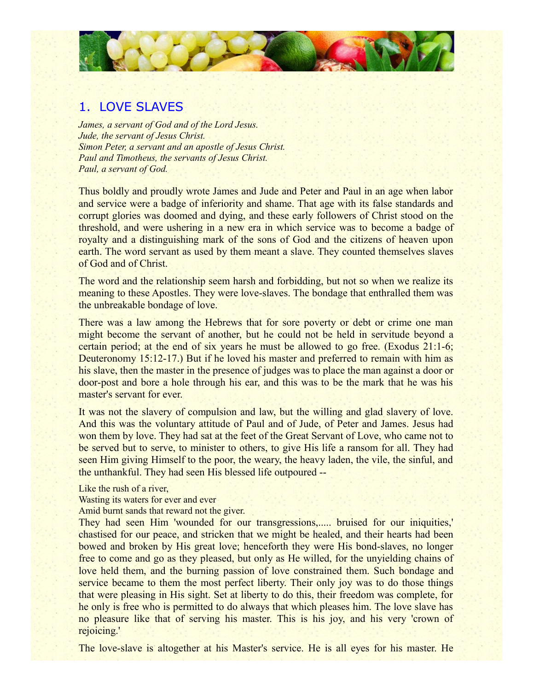

#### 1. LOVE SLAVES

*James, a servant of God and of the Lord Jesus. Jude, the servant of Jesus Christ. Simon Peter, a servant and an apostle of Jesus Christ. Paul and Timotheus, the servants of Jesus Christ. Paul, a servant of God.*

Thus boldly and proudly wrote James and Jude and Peter and Paul in an age when labor and service were a badge of inferiority and shame. That age with its false standards and corrupt glories was doomed and dying, and these early followers of Christ stood on the threshold, and were ushering in a new era in which service was to become a badge of royalty and a distinguishing mark of the sons of God and the citizens of heaven upon earth. The word servant as used by them meant a slave. They counted themselves slaves of God and of Christ.

The word and the relationship seem harsh and forbidding, but not so when we realize its meaning to these Apostles. They were love-slaves. The bondage that enthralled them was the unbreakable bondage of love.

There was a law among the Hebrews that for sore poverty or debt or crime one man might become the servant of another, but he could not be held in servitude beyond a certain period; at the end of six years he must be allowed to go free. (Exodus 21:1-6; Deuteronomy 15:12-17.) But if he loved his master and preferred to remain with him as his slave, then the master in the presence of judges was to place the man against a door or door-post and bore a hole through his ear, and this was to be the mark that he was his master's servant for ever.

It was not the slavery of compulsion and law, but the willing and glad slavery of love. And this was the voluntary attitude of Paul and of Jude, of Peter and James. Jesus had won them by love. They had sat at the feet of the Great Servant of Love, who came not to be served but to serve, to minister to others, to give His life a ransom for all. They had seen Him giving Himself to the poor, the weary, the heavy laden, the vile, the sinful, and the unthankful. They had seen His blessed life outpoured --

Like the rush of a river,

Wasting its waters for ever and ever

Amid burnt sands that reward not the giver.

They had seen Him 'wounded for our transgressions,..... bruised for our iniquities,' chastised for our peace, and stricken that we might be healed, and their hearts had been bowed and broken by His great love; henceforth they were His bond-slaves, no longer free to come and go as they pleased, but only as He willed, for the unyielding chains of love held them, and the burning passion of love constrained them. Such bondage and service became to them the most perfect liberty. Their only joy was to do those things that were pleasing in His sight. Set at liberty to do this, their freedom was complete, for he only is free who is permitted to do always that which pleases him. The love slave has no pleasure like that of serving his master. This is his joy, and his very 'crown of rejoicing.'

The love-slave is altogether at his Master's service. He is all eyes for his master. He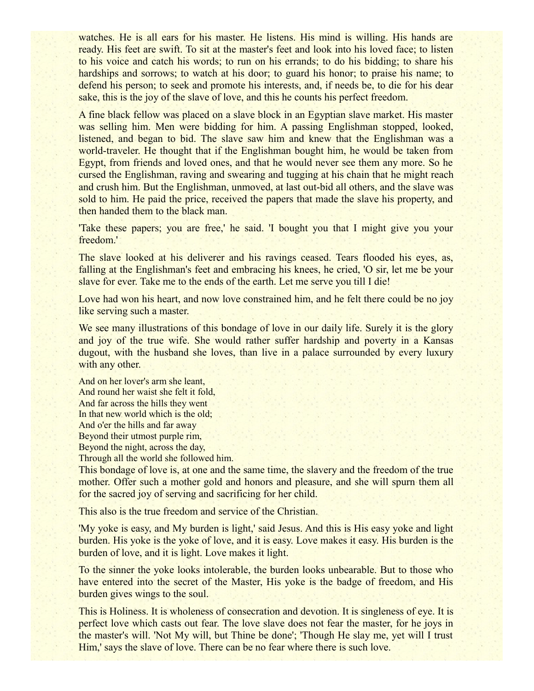watches. He is all ears for his master. He listens. His mind is willing. His hands are ready. His feet are swift. To sit at the master's feet and look into his loved face; to listen to his voice and catch his words; to run on his errands; to do his bidding; to share his hardships and sorrows; to watch at his door; to guard his honor; to praise his name; to defend his person; to seek and promote his interests, and, if needs be, to die for his dear sake, this is the joy of the slave of love, and this he counts his perfect freedom.

A fine black fellow was placed on a slave block in an Egyptian slave market. His master was selling him. Men were bidding for him. A passing Englishman stopped, looked, listened, and began to bid. The slave saw him and knew that the Englishman was a world-traveler. He thought that if the Englishman bought him, he would be taken from Egypt, from friends and loved ones, and that he would never see them any more. So he cursed the Englishman, raving and swearing and tugging at his chain that he might reach and crush him. But the Englishman, unmoved, at last out-bid all others, and the slave was sold to him. He paid the price, received the papers that made the slave his property, and then handed them to the black man.

'Take these papers; you are free,' he said. 'I bought you that I might give you your freedom.'

The slave looked at his deliverer and his ravings ceased. Tears flooded his eyes, as, falling at the Englishman's feet and embracing his knees, he cried, 'O sir, let me be your slave for ever. Take me to the ends of the earth. Let me serve you till I die!

Love had won his heart, and now love constrained him, and he felt there could be no joy like serving such a master.

We see many illustrations of this bondage of love in our daily life. Surely it is the glory and joy of the true wife. She would rather suffer hardship and poverty in a Kansas dugout, with the husband she loves, than live in a palace surrounded by every luxury with any other.

And on her lover's arm she leant, And round her waist she felt it fold, And far across the hills they went In that new world which is the old; And o'er the hills and far away Beyond their utmost purple rim, Beyond the night, across the day, Through all the world she followed him.

This bondage of love is, at one and the same time, the slavery and the freedom of the true mother. Offer such a mother gold and honors and pleasure, and she will spurn them all for the sacred joy of serving and sacrificing for her child.

This also is the true freedom and service of the Christian.

'My yoke is easy, and My burden is light,' said Jesus. And this is His easy yoke and light burden. His yoke is the yoke of love, and it is easy. Love makes it easy. His burden is the burden of love, and it is light. Love makes it light.

To the sinner the yoke looks intolerable, the burden looks unbearable. But to those who have entered into the secret of the Master, His yoke is the badge of freedom, and His burden gives wings to the soul.

This is Holiness. It is wholeness of consecration and devotion. It is singleness of eye. It is perfect love which casts out fear. The love slave does not fear the master, for he joys in the master's will. 'Not My will, but Thine be done'; 'Though He slay me, yet will I trust Him,' says the slave of love. There can be no fear where there is such love.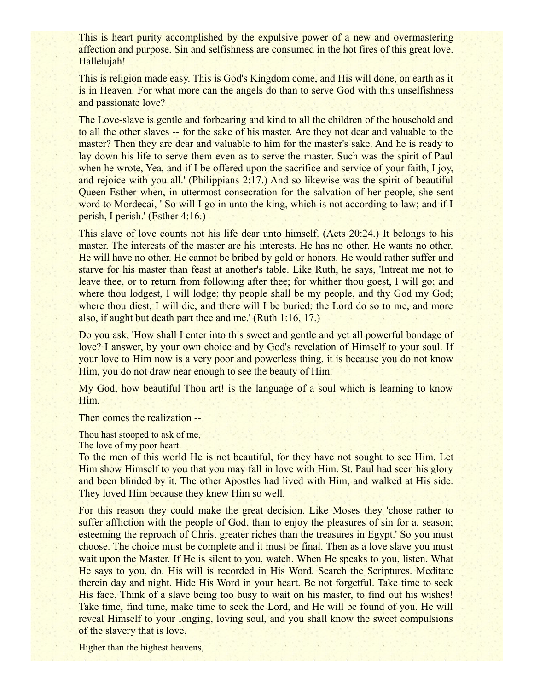This is heart purity accomplished by the expulsive power of a new and overmastering affection and purpose. Sin and selfishness are consumed in the hot fires of this great love. Hallelujah!

This is religion made easy. This is God's Kingdom come, and His will done, on earth as it is in Heaven. For what more can the angels do than to serve God with this unselfishness and passionate love?

The Love-slave is gentle and forbearing and kind to all the children of the household and to all the other slaves -- for the sake of his master. Are they not dear and valuable to the master? Then they are dear and valuable to him for the master's sake. And he is ready to lay down his life to serve them even as to serve the master. Such was the spirit of Paul when he wrote, Yea, and if I be offered upon the sacrifice and service of your faith, I joy, and rejoice with you all.' (Philippians 2:17.) And so likewise was the spirit of beautiful Queen Esther when, in uttermost consecration for the salvation of her people, she sent word to Mordecai, ' So will I go in unto the king, which is not according to law; and if I perish, I perish.' (Esther 4:16.)

This slave of love counts not his life dear unto himself. (Acts 20:24.) It belongs to his master. The interests of the master are his interests. He has no other. He wants no other. He will have no other. He cannot be bribed by gold or honors. He would rather suffer and starve for his master than feast at another's table. Like Ruth, he says, 'Intreat me not to leave thee, or to return from following after thee; for whither thou goest, I will go; and where thou lodgest, I will lodge; thy people shall be my people, and thy God my God; where thou diest, I will die, and there will I be buried; the Lord do so to me, and more also, if aught but death part thee and me.' (Ruth 1:16, 17.)

Do you ask, 'How shall I enter into this sweet and gentle and yet all powerful bondage of love? I answer, by your own choice and by God's revelation of Himself to your soul. If your love to Him now is a very poor and powerless thing, it is because you do not know Him, you do not draw near enough to see the beauty of Him.

My God, how beautiful Thou art! is the language of a soul which is learning to know Him.

Then comes the realization --

Thou hast stooped to ask of me,

The love of my poor heart.

To the men of this world He is not beautiful, for they have not sought to see Him. Let Him show Himself to you that you may fall in love with Him. St. Paul had seen his glory and been blinded by it. The other Apostles had lived with Him, and walked at His side. They loved Him because they knew Him so well.

For this reason they could make the great decision. Like Moses they 'chose rather to suffer affliction with the people of God, than to enjoy the pleasures of sin for a, season; esteeming the reproach of Christ greater riches than the treasures in Egypt.' So you must choose. The choice must be complete and it must be final. Then as a love slave you must wait upon the Master. If He is silent to you, watch. When He speaks to you, listen. What He says to you, do. His will is recorded in His Word. Search the Scriptures. Meditate therein day and night. Hide His Word in your heart. Be not forgetful. Take time to seek His face. Think of a slave being too busy to wait on his master, to find out his wishes! Take time, find time, make time to seek the Lord, and He will be found of you. He will reveal Himself to your longing, loving soul, and you shall know the sweet compulsions of the slavery that is love.

Higher than the highest heavens,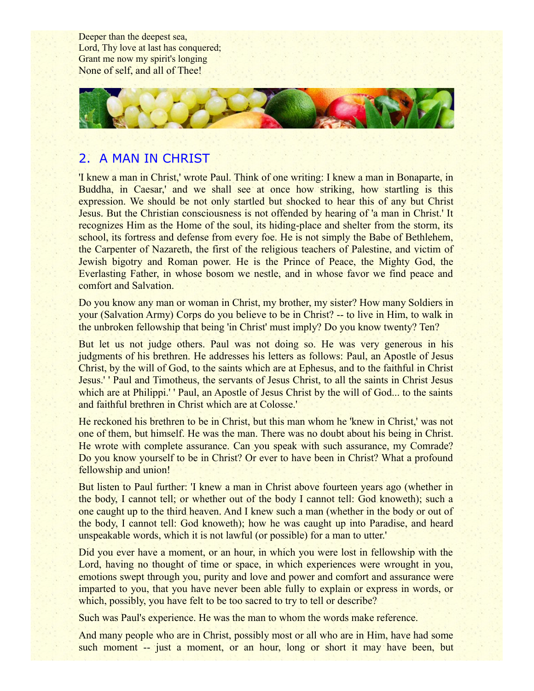Deeper than the deepest sea, Lord, Thy love at last has conquered; Grant me now my spirit's longing None of self, and all of Thee!



### 2. A MAN IN CHRIST

'I knew a man in Christ,' wrote Paul. Think of one writing: I knew a man in Bonaparte, in Buddha, in Caesar,' and we shall see at once how striking, how startling is this expression. We should be not only startled but shocked to hear this of any but Christ Jesus. But the Christian consciousness is not offended by hearing of 'a man in Christ.' It recognizes Him as the Home of the soul, its hiding-place and shelter from the storm, its school, its fortress and defense from every foe. He is not simply the Babe of Bethlehem, the Carpenter of Nazareth, the first of the religious teachers of Palestine, and victim of Jewish bigotry and Roman power. He is the Prince of Peace, the Mighty God, the Everlasting Father, in whose bosom we nestle, and in whose favor we find peace and comfort and Salvation.

Do you know any man or woman in Christ, my brother, my sister? How many Soldiers in your (Salvation Army) Corps do you believe to be in Christ? -- to live in Him, to walk in the unbroken fellowship that being 'in Christ' must imply? Do you know twenty? Ten?

But let us not judge others. Paul was not doing so. He was very generous in his judgments of his brethren. He addresses his letters as follows: Paul, an Apostle of Jesus Christ, by the will of God, to the saints which are at Ephesus, and to the faithful in Christ Jesus.' ' Paul and Timotheus, the servants of Jesus Christ, to all the saints in Christ Jesus which are at Philippi.'' Paul, an Apostle of Jesus Christ by the will of God... to the saints and faithful brethren in Christ which are at Colosse.'

He reckoned his brethren to be in Christ, but this man whom he 'knew in Christ,' was not one of them, but himself. He was the man. There was no doubt about his being in Christ. He wrote with complete assurance. Can you speak with such assurance, my Comrade? Do you know yourself to be in Christ? Or ever to have been in Christ? What a profound fellowship and union!

But listen to Paul further: 'I knew a man in Christ above fourteen years ago (whether in the body, I cannot tell; or whether out of the body I cannot tell: God knoweth); such a one caught up to the third heaven. And I knew such a man (whether in the body or out of the body, I cannot tell: God knoweth); how he was caught up into Paradise, and heard unspeakable words, which it is not lawful (or possible) for a man to utter.'

Did you ever have a moment, or an hour, in which you were lost in fellowship with the Lord, having no thought of time or space, in which experiences were wrought in you, emotions swept through you, purity and love and power and comfort and assurance were imparted to you, that you have never been able fully to explain or express in words, or which, possibly, you have felt to be too sacred to try to tell or describe?

Such was Paul's experience. He was the man to whom the words make reference.

And many people who are in Christ, possibly most or all who are in Him, have had some such moment -- just a moment, or an hour, long or short it may have been, but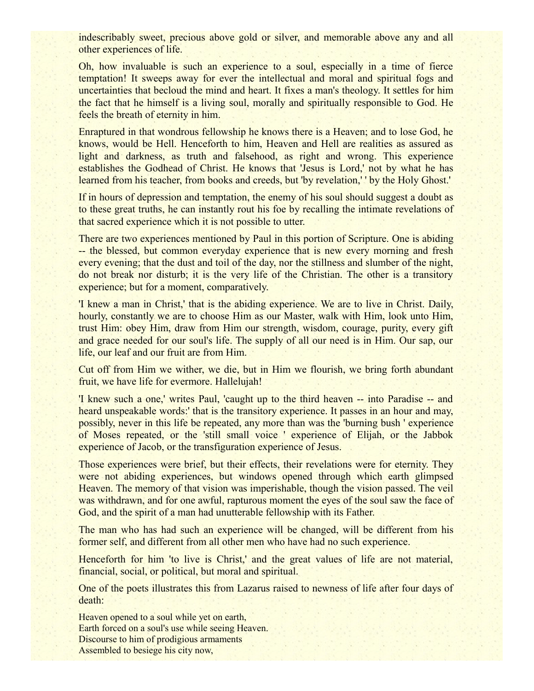indescribably sweet, precious above gold or silver, and memorable above any and all other experiences of life.

Oh, how invaluable is such an experience to a soul, especially in a time of fierce temptation! It sweeps away for ever the intellectual and moral and spiritual fogs and uncertainties that becloud the mind and heart. It fixes a man's theology. It settles for him the fact that he himself is a living soul, morally and spiritually responsible to God. He feels the breath of eternity in him.

Enraptured in that wondrous fellowship he knows there is a Heaven; and to lose God, he knows, would be Hell. Henceforth to him, Heaven and Hell are realities as assured as light and darkness, as truth and falsehood, as right and wrong. This experience establishes the Godhead of Christ. He knows that 'Jesus is Lord,' not by what he has learned from his teacher, from books and creeds, but 'by revelation,' ' by the Holy Ghost.'

If in hours of depression and temptation, the enemy of his soul should suggest a doubt as to these great truths, he can instantly rout his foe by recalling the intimate revelations of that sacred experience which it is not possible to utter.

There are two experiences mentioned by Paul in this portion of Scripture. One is abiding -- the blessed, but common everyday experience that is new every morning and fresh every evening; that the dust and toil of the day, nor the stillness and slumber of the night, do not break nor disturb; it is the very life of the Christian. The other is a transitory experience; but for a moment, comparatively.

'I knew a man in Christ,' that is the abiding experience. We are to live in Christ. Daily, hourly, constantly we are to choose Him as our Master, walk with Him, look unto Him, trust Him: obey Him, draw from Him our strength, wisdom, courage, purity, every gift and grace needed for our soul's life. The supply of all our need is in Him. Our sap, our life, our leaf and our fruit are from Him.

Cut off from Him we wither, we die, but in Him we flourish, we bring forth abundant fruit, we have life for evermore. Hallelujah!

'I knew such a one,' writes Paul, 'caught up to the third heaven -- into Paradise -- and heard unspeakable words: that is the transitory experience. It passes in an hour and may, possibly, never in this life be repeated, any more than was the 'burning bush ' experience of Moses repeated, or the 'still small voice ' experience of Elijah, or the Jabbok experience of Jacob, or the transfiguration experience of Jesus.

Those experiences were brief, but their effects, their revelations were for eternity. They were not abiding experiences, but windows opened through which earth glimpsed Heaven. The memory of that vision was imperishable, though the vision passed. The veil was withdrawn, and for one awful, rapturous moment the eyes of the soul saw the face of God, and the spirit of a man had unutterable fellowship with its Father.

The man who has had such an experience will be changed, will be different from his former self, and different from all other men who have had no such experience.

Henceforth for him 'to live is Christ,' and the great values of life are not material, financial, social, or political, but moral and spiritual.

One of the poets illustrates this from Lazarus raised to newness of life after four days of death:

Heaven opened to a soul while yet on earth, Earth forced on a soul's use while seeing Heaven. Discourse to him of prodigious armaments Assembled to besiege his city now,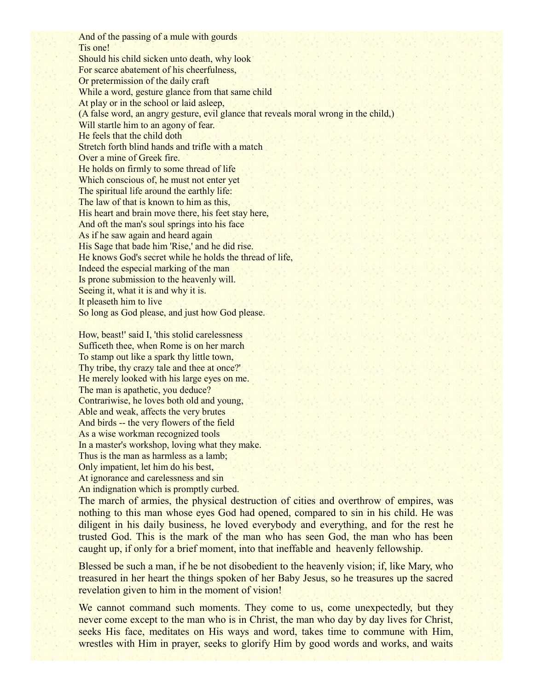And of the passing of a mule with gourds Tis one! Should his child sicken unto death, why look For scarce abatement of his cheerfulness, Or pretermission of the daily craft While a word, gesture glance from that same child At play or in the school or laid asleep, (A false word, an angry gesture, evil glance that reveals moral wrong in the child,) Will startle him to an agony of fear. He feels that the child doth Stretch forth blind hands and trifle with a match Over a mine of Greek fire. He holds on firmly to some thread of life Which conscious of, he must not enter yet The spiritual life around the earthly life: The law of that is known to him as this, His heart and brain move there, his feet stay here, And oft the man's soul springs into his face As if he saw again and heard again His Sage that bade him 'Rise,' and he did rise. He knows God's secret while he holds the thread of life, Indeed the especial marking of the man Is prone submission to the heavenly will. Seeing it, what it is and why it is. It pleaseth him to live So long as God please, and just how God please.

How, beast!' said I, 'this stolid carelessness Sufficeth thee, when Rome is on her march To stamp out like a spark thy little town, Thy tribe, thy crazy tale and thee at once?' He merely looked with his large eyes on me. The man is apathetic, you deduce? Contrariwise, he loves both old and young, Able and weak, affects the very brutes And birds -- the very flowers of the field As a wise workman recognized tools In a master's workshop, loving what they make. Thus is the man as harmless as a lamb; Only impatient, let him do his best, At ignorance and carelessness and sin An indignation which is promptly curbed.

The march of armies, the physical destruction of cities and overthrow of empires, was nothing to this man whose eyes God had opened, compared to sin in his child. He was diligent in his daily business, he loved everybody and everything, and for the rest he trusted God. This is the mark of the man who has seen God, the man who has been caught up, if only for a brief moment, into that ineffable and heavenly fellowship.

Blessed be such a man, if he be not disobedient to the heavenly vision; if, like Mary, who treasured in her heart the things spoken of her Baby Jesus, so he treasures up the sacred revelation given to him in the moment of vision!

We cannot command such moments. They come to us, come unexpectedly, but they never come except to the man who is in Christ, the man who day by day lives for Christ, seeks His face, meditates on His ways and word, takes time to commune with Him, wrestles with Him in prayer, seeks to glorify Him by good words and works, and waits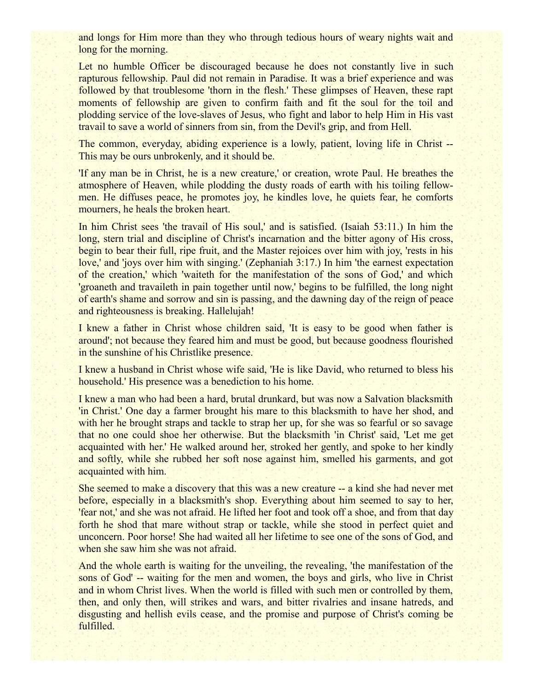and longs for Him more than they who through tedious hours of weary nights wait and long for the morning.

Let no humble Officer be discouraged because he does not constantly live in such rapturous fellowship. Paul did not remain in Paradise. It was a brief experience and was followed by that troublesome 'thorn in the flesh.' These glimpses of Heaven, these rapt moments of fellowship are given to confirm faith and fit the soul for the toil and plodding service of the love-slaves of Jesus, who fight and labor to help Him in His vast travail to save a world of sinners from sin, from the Devil's grip, and from Hell.

The common, everyday, abiding experience is a lowly, patient, loving life in Christ -- This may be ours unbrokenly, and it should be.

'If any man be in Christ, he is a new creature,' or creation, wrote Paul. He breathes the atmosphere of Heaven, while plodding the dusty roads of earth with his toiling fellowmen. He diffuses peace, he promotes joy, he kindles love, he quiets fear, he comforts mourners, he heals the broken heart.

In him Christ sees 'the travail of His soul,' and is satisfied. (Isaiah 53:11.) In him the long, stern trial and discipline of Christ's incarnation and the bitter agony of His cross, begin to bear their full, ripe fruit, and the Master rejoices over him with joy, 'rests in his love,' and 'joys over him with singing.' (Zephaniah 3:17.) In him 'the earnest expectation of the creation,' which 'waiteth for the manifestation of the sons of God,' and which 'groaneth and travaileth in pain together until now,' begins to be fulfilled, the long night of earth's shame and sorrow and sin is passing, and the dawning day of the reign of peace and righteousness is breaking. Hallelujah!

I knew a father in Christ whose children said, 'It is easy to be good when father is around'; not because they feared him and must be good, but because goodness flourished in the sunshine of his Christlike presence.

I knew a husband in Christ whose wife said, 'He is like David, who returned to bless his household.' His presence was a benediction to his home.

I knew a man who had been a hard, brutal drunkard, but was now a Salvation blacksmith 'in Christ.' One day a farmer brought his mare to this blacksmith to have her shod, and with her he brought straps and tackle to strap her up, for she was so fearful or so savage that no one could shoe her otherwise. But the blacksmith 'in Christ' said, 'Let me get acquainted with her.' He walked around her, stroked her gently, and spoke to her kindly and softly, while she rubbed her soft nose against him, smelled his garments, and got acquainted with him.

She seemed to make a discovery that this was a new creature -- a kind she had never met before, especially in a blacksmith's shop. Everything about him seemed to say to her, 'fear not,' and she was not afraid. He lifted her foot and took off a shoe, and from that day forth he shod that mare without strap or tackle, while she stood in perfect quiet and unconcern. Poor horse! She had waited all her lifetime to see one of the sons of God, and when she saw him she was not afraid.

And the whole earth is waiting for the unveiling, the revealing, 'the manifestation of the sons of God' -- waiting for the men and women, the boys and girls, who live in Christ and in whom Christ lives. When the world is filled with such men or controlled by them, then, and only then, will strikes and wars, and bitter rivalries and insane hatreds, and disgusting and hellish evils cease, and the promise and purpose of Christ's coming be fulfilled.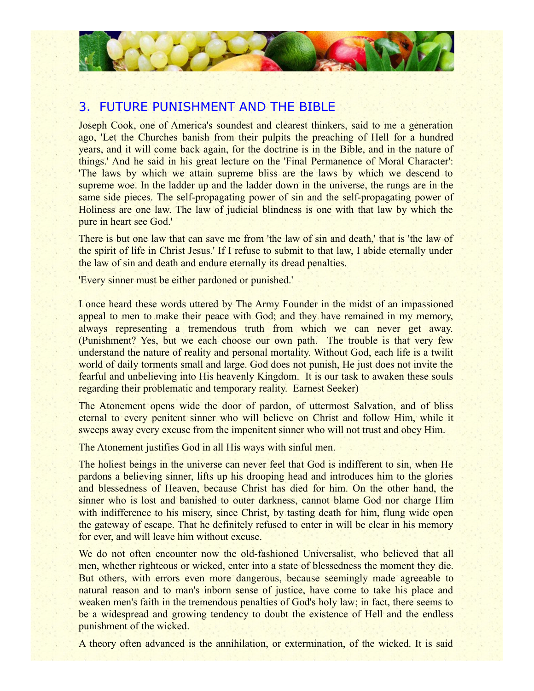

### 3. FUTURE PUNISHMENT AND THE BIBLE

Joseph Cook, one of America's soundest and clearest thinkers, said to me a generation ago, 'Let the Churches banish from their pulpits the preaching of Hell for a hundred years, and it will come back again, for the doctrine is in the Bible, and in the nature of things.' And he said in his great lecture on the 'Final Permanence of Moral Character': 'The laws by which we attain supreme bliss are the laws by which we descend to supreme woe. In the ladder up and the ladder down in the universe, the rungs are in the same side pieces. The self-propagating power of sin and the self-propagating power of Holiness are one law. The law of judicial blindness is one with that law by which the pure in heart see God.'

There is but one law that can save me from 'the law of sin and death,' that is 'the law of the spirit of life in Christ Jesus.' If I refuse to submit to that law, I abide eternally under the law of sin and death and endure eternally its dread penalties.

'Every sinner must be either pardoned or punished.'

I once heard these words uttered by The Army Founder in the midst of an impassioned appeal to men to make their peace with God; and they have remained in my memory, always representing a tremendous truth from which we can never get away. (Punishment? Yes, but we each choose our own path. The trouble is that very few understand the nature of reality and personal mortality. Without God, each life is a twilit world of daily torments small and large. God does not punish, He just does not invite the fearful and unbelieving into His heavenly Kingdom. It is our task to awaken these souls regarding their problematic and temporary reality. Earnest Seeker)

The Atonement opens wide the door of pardon, of uttermost Salvation, and of bliss eternal to every penitent sinner who will believe on Christ and follow Him, while it sweeps away every excuse from the impenitent sinner who will not trust and obey Him.

The Atonement justifies God in all His ways with sinful men.

The holiest beings in the universe can never feel that God is indifferent to sin, when He pardons a believing sinner, lifts up his drooping head and introduces him to the glories and blessedness of Heaven, because Christ has died for him. On the other hand, the sinner who is lost and banished to outer darkness, cannot blame God nor charge Him with indifference to his misery, since Christ, by tasting death for him, flung wide open the gateway of escape. That he definitely refused to enter in will be clear in his memory for ever, and will leave him without excuse.

We do not often encounter now the old-fashioned Universalist, who believed that all men, whether righteous or wicked, enter into a state of blessedness the moment they die. But others, with errors even more dangerous, because seemingly made agreeable to natural reason and to man's inborn sense of justice, have come to take his place and weaken men's faith in the tremendous penalties of God's holy law; in fact, there seems to be a widespread and growing tendency to doubt the existence of Hell and the endless punishment of the wicked.

A theory often advanced is the annihilation, or extermination, of the wicked. It is said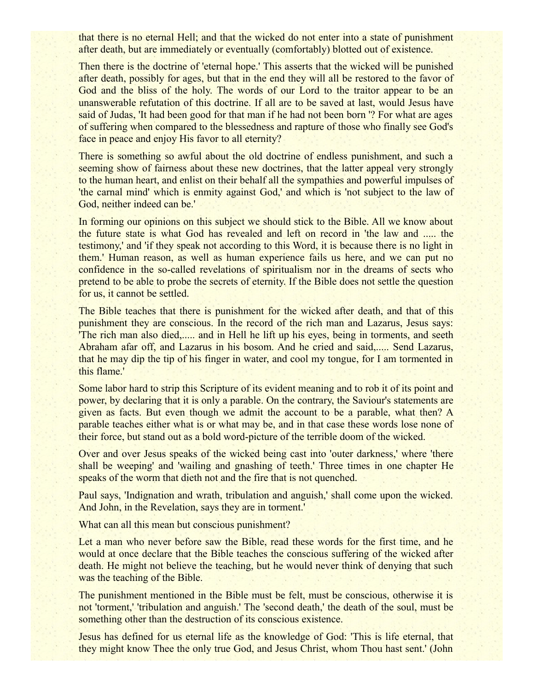that there is no eternal Hell; and that the wicked do not enter into a state of punishment after death, but are immediately or eventually (comfortably) blotted out of existence.

Then there is the doctrine of 'eternal hope.' This asserts that the wicked will be punished after death, possibly for ages, but that in the end they will all be restored to the favor of God and the bliss of the holy. The words of our Lord to the traitor appear to be an unanswerable refutation of this doctrine. If all are to be saved at last, would Jesus have said of Judas, 'It had been good for that man if he had not been born '? For what are ages of suffering when compared to the blessedness and rapture of those who finally see God's face in peace and enjoy His favor to all eternity?

There is something so awful about the old doctrine of endless punishment, and such a seeming show of fairness about these new doctrines, that the latter appeal very strongly to the human heart, and enlist on their behalf all the sympathies and powerful impulses of 'the carnal mind' which is enmity against God,' and which is 'not subject to the law of God, neither indeed can be.'

In forming our opinions on this subject we should stick to the Bible. All we know about the future state is what God has revealed and left on record in 'the law and ..... the testimony,' and 'if they speak not according to this Word, it is because there is no light in them.' Human reason, as well as human experience fails us here, and we can put no confidence in the so-called revelations of spiritualism nor in the dreams of sects who pretend to be able to probe the secrets of eternity. If the Bible does not settle the question for us, it cannot be settled.

The Bible teaches that there is punishment for the wicked after death, and that of this punishment they are conscious. In the record of the rich man and Lazarus, Jesus says: 'The rich man also died,..... and in Hell he lift up his eyes, being in torments, and seeth Abraham afar off, and Lazarus in his bosom. And he cried and said,..... Send Lazarus, that he may dip the tip of his finger in water, and cool my tongue, for I am tormented in this flame.'

Some labor hard to strip this Scripture of its evident meaning and to rob it of its point and power, by declaring that it is only a parable. On the contrary, the Saviour's statements are given as facts. But even though we admit the account to be a parable, what then? A parable teaches either what is or what may be, and in that case these words lose none of their force, but stand out as a bold word-picture of the terrible doom of the wicked.

Over and over Jesus speaks of the wicked being cast into 'outer darkness,' where 'there shall be weeping' and 'wailing and gnashing of teeth.' Three times in one chapter He speaks of the worm that dieth not and the fire that is not quenched.

Paul says, 'Indignation and wrath, tribulation and anguish,' shall come upon the wicked. And John, in the Revelation, says they are in torment.'

What can all this mean but conscious punishment?

Let a man who never before saw the Bible, read these words for the first time, and he would at once declare that the Bible teaches the conscious suffering of the wicked after death. He might not believe the teaching, but he would never think of denying that such was the teaching of the Bible.

The punishment mentioned in the Bible must be felt, must be conscious, otherwise it is not 'torment,' 'tribulation and anguish.' The 'second death,' the death of the soul, must be something other than the destruction of its conscious existence.

Jesus has defined for us eternal life as the knowledge of God: 'This is life eternal, that they might know Thee the only true God, and Jesus Christ, whom Thou hast sent.' (John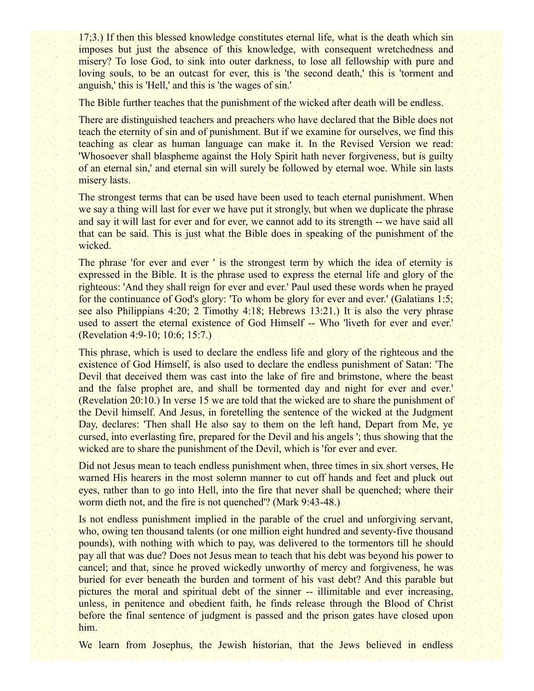17;3.) If then this blessed knowledge constitutes eternal life, what is the death which sin imposes but just the absence of this knowledge, with consequent wretchedness and misery? To lose God, to sink into outer darkness, to lose all fellowship with pure and loving souls, to be an outcast for ever, this is 'the second death,' this is 'torment and anguish,' this is 'Hell,' and this is 'the wages of sin.'

The Bible further teaches that the punishment of the wicked after death will be endless.

There are distinguished teachers and preachers who have declared that the Bible does not teach the eternity of sin and of punishment. But if we examine for ourselves, we find this teaching as clear as human language can make it. In the Revised Version we read: 'Whosoever shall blaspheme against the Holy Spirit hath never forgiveness, but is guilty of an eternal sin,' and eternal sin will surely be followed by eternal woe. While sin lasts misery lasts.

The strongest terms that can be used have been used to teach eternal punishment. When we say a thing will last for ever we have put it strongly, but when we duplicate the phrase and say it will last for ever and for ever, we cannot add to its strength -- we have said all that can be said. This is just what the Bible does in speaking of the punishment of the wicked.

The phrase 'for ever and ever' is the strongest term by which the idea of eternity is expressed in the Bible. It is the phrase used to express the eternal life and glory of the righteous: 'And they shall reign for ever and ever.' Paul used these words when he prayed for the continuance of God's glory: 'To whom be glory for ever and ever.' (Galatians 1:5; see also Philippians 4:20; 2 Timothy 4:18; Hebrews 13:21.) It is also the very phrase used to assert the eternal existence of God Himself -- Who 'liveth for ever and ever.' (Revelation 4:9-10; 10:6; 15:7.)

This phrase, which is used to declare the endless life and glory of the righteous and the existence of God Himself, is also used to declare the endless punishment of Satan: 'The Devil that deceived them was cast into the lake of fire and brimstone, where the beast and the false prophet are, and shall be tormented day and night for ever and ever.' (Revelation 20:10.) In verse 15 we are told that the wicked are to share the punishment of the Devil himself. And Jesus, in foretelling the sentence of the wicked at the Judgment Day, declares: 'Then shall He also say to them on the left hand, Depart from Me, ye cursed, into everlasting fire, prepared for the Devil and his angels '; thus showing that the wicked are to share the punishment of the Devil, which is 'for ever and ever.

Did not Jesus mean to teach endless punishment when, three times in six short verses, He warned His hearers in the most solemn manner to cut off hands and feet and pluck out eyes, rather than to go into Hell, into the fire that never shall be quenched; where their worm dieth not, and the fire is not quenched'? (Mark 9:43-48.)

Is not endless punishment implied in the parable of the cruel and unforgiving servant, who, owing ten thousand talents (or one million eight hundred and seventy-five thousand pounds), with nothing with which to pay, was delivered to the tormentors till he should pay all that was due? Does not Jesus mean to teach that his debt was beyond his power to cancel; and that, since he proved wickedly unworthy of mercy and forgiveness, he was buried for ever beneath the burden and torment of his vast debt? And this parable but pictures the moral and spiritual debt of the sinner -- illimitable and ever increasing, unless, in penitence and obedient faith, he finds release through the Blood of Christ before the final sentence of judgment is passed and the prison gates have closed upon him.

We learn from Josephus, the Jewish historian, that the Jews believed in endless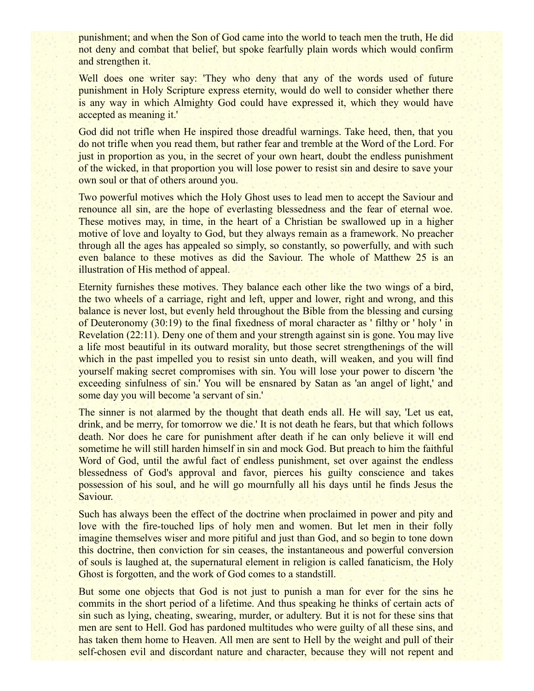punishment; and when the Son of God came into the world to teach men the truth, He did not deny and combat that belief, but spoke fearfully plain words which would confirm and strengthen it.

Well does one writer say: 'They who deny that any of the words used of future punishment in Holy Scripture express eternity, would do well to consider whether there is any way in which Almighty God could have expressed it, which they would have accepted as meaning it.'

God did not trifle when He inspired those dreadful warnings. Take heed, then, that you do not trifle when you read them, but rather fear and tremble at the Word of the Lord. For just in proportion as you, in the secret of your own heart, doubt the endless punishment of the wicked, in that proportion you will lose power to resist sin and desire to save your own soul or that of others around you.

Two powerful motives which the Holy Ghost uses to lead men to accept the Saviour and renounce all sin, are the hope of everlasting blessedness and the fear of eternal woe. These motives may, in time, in the heart of a Christian be swallowed up in a higher motive of love and loyalty to God, but they always remain as a framework. No preacher through all the ages has appealed so simply, so constantly, so powerfully, and with such even balance to these motives as did the Saviour. The whole of Matthew 25 is an illustration of His method of appeal.

Eternity furnishes these motives. They balance each other like the two wings of a bird, the two wheels of a carriage, right and left, upper and lower, right and wrong, and this balance is never lost, but evenly held throughout the Bible from the blessing and cursing of Deuteronomy (30:19) to the final fixedness of moral character as ' filthy or ' holy ' in Revelation (22:11). Deny one of them and your strength against sin is gone. You may live a life most beautiful in its outward morality, but those secret strengthenings of the will which in the past impelled you to resist sin unto death, will weaken, and you will find yourself making secret compromises with sin. You will lose your power to discern 'the exceeding sinfulness of sin.' You will be ensnared by Satan as 'an angel of light,' and some day you will become 'a servant of sin.'

The sinner is not alarmed by the thought that death ends all. He will say, 'Let us eat, drink, and be merry, for tomorrow we die.' It is not death he fears, but that which follows death. Nor does he care for punishment after death if he can only believe it will end sometime he will still harden himself in sin and mock God. But preach to him the faithful Word of God, until the awful fact of endless punishment, set over against the endless blessedness of God's approval and favor, pierces his guilty conscience and takes possession of his soul, and he will go mournfully all his days until he finds Jesus the Saviour.

Such has always been the effect of the doctrine when proclaimed in power and pity and love with the fire-touched lips of holy men and women. But let men in their folly imagine themselves wiser and more pitiful and just than God, and so begin to tone down this doctrine, then conviction for sin ceases, the instantaneous and powerful conversion of souls is laughed at, the supernatural element in religion is called fanaticism, the Holy Ghost is forgotten, and the work of God comes to a standstill.

But some one objects that God is not just to punish a man for ever for the sins he commits in the short period of a lifetime. And thus speaking he thinks of certain acts of sin such as lying, cheating, swearing, murder, or adultery. But it is not for these sins that men are sent to Hell. God has pardoned multitudes who were guilty of all these sins, and has taken them home to Heaven. All men are sent to Hell by the weight and pull of their self-chosen evil and discordant nature and character, because they will not repent and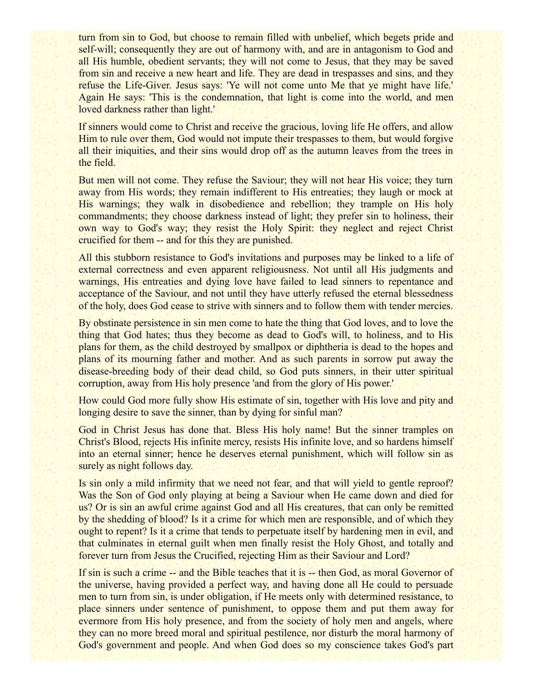turn from sin to God, but choose to remain filled with unbelief, which begets pride and self-will; consequently they are out of harmony with, and are in antagonism to God and all His humble, obedient servants; they will not come to Jesus, that they may be saved from sin and receive a new heart and life. They are dead in trespasses and sins, and they refuse the Life-Giver. Jesus says: 'Ye will not come unto Me that ye might have life.' Again He says: 'This is the condemnation, that light is come into the world, and men loved darkness rather than light.'

If sinners would come to Christ and receive the gracious, loving life He offers, and allow Him to rule over them, God would not impute their trespasses to them, but would forgive all their iniquities, and their sins would drop off as the autumn leaves from the trees in the field.

But men will not come. They refuse the Saviour; they will not hear His voice; they turn away from His words; they remain indifferent to His entreaties; they laugh or mock at His warnings; they walk in disobedience and rebellion; they trample on His holy commandments; they choose darkness instead of light; they prefer sin to holiness, their own way to God's way; they resist the Holy Spirit: they neglect and reject Christ crucified for them -- and for this they are punished.

All this stubborn resistance to God's invitations and purposes may be linked to a life of external correctness and even apparent religiousness. Not until all His judgments and warnings, His entreaties and dying love have failed to lead sinners to repentance and acceptance of the Saviour, and not until they have utterly refused the eternal blessedness of the holy, does God cease to strive with sinners and to follow them with tender mercies.

By obstinate persistence in sin men come to hate the thing that God loves, and to love the thing that God hates; thus they become as dead to God's will, to holiness, and to His plans for them, as the child destroyed by smallpox or diphtheria is dead to the hopes and plans of its mourning father and mother. And as such parents in sorrow put away the disease-breeding body of their dead child, so God puts sinners, in their utter spiritual corruption, away from His holy presence 'and from the glory of His power.'

How could God more fully show His estimate of sin, together with His love and pity and longing desire to save the sinner, than by dying for sinful man?

God in Christ Jesus has done that. Bless His holy name! But the sinner tramples on Christ's Blood, rejects His infinite mercy, resists His infinite love, and so hardens himself into an eternal sinner; hence he deserves eternal punishment, which will follow sin as surely as night follows day.

Is sin only a mild infirmity that we need not fear, and that will yield to gentle reproof? Was the Son of God only playing at being a Saviour when He came down and died for us? Or is sin an awful crime against God and all His creatures, that can only be remitted by the shedding of blood? Is it a crime for which men are responsible, and of which they ought to repent? Is it a crime that tends to perpetuate itself by hardening men in evil, and that culminates in eternal guilt when men finally resist the Holy Ghost, and totally and forever turn from Jesus the Crucified, rejecting Him as their Saviour and Lord?

If sin is such a crime -- and the Bible teaches that it is -- then God, as moral Governor of the universe, having provided a perfect way, and having done all He could to persuade men to turn from sin, is under obligation, if He meets only with determined resistance, to place sinners under sentence of punishment, to oppose them and put them away for evermore from His holy presence, and from the society of holy men and angels, where they can no more breed moral and spiritual pestilence, nor disturb the moral harmony of God's government and people. And when God does so my conscience takes God's part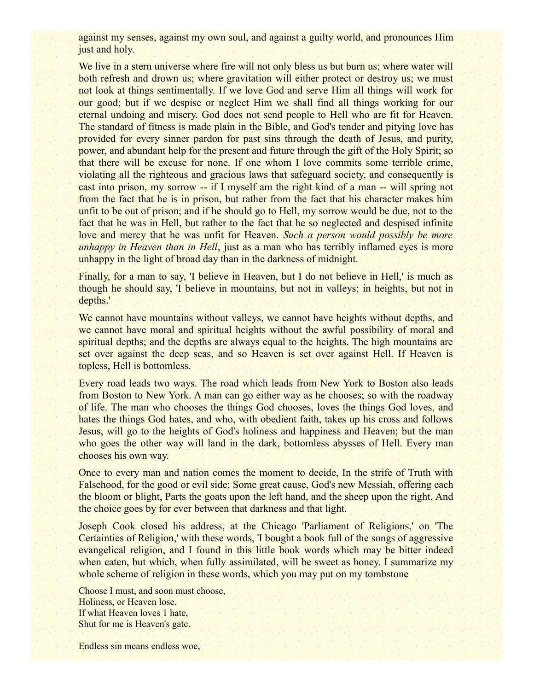against my senses, against my own soul, and against a guilty world, and pronounces Him just and holy.

We live in a stern universe where fire will not only bless us but burn us; where water will both refresh and drown us; where gravitation will either protect or destroy us; we must not look at things sentimentally. If we love God and serve Him all things will work for our good; but if we despise or neglect Him we shall find all things working for our eternal undoing and misery. God does not send people to Hell who are fit for Heaven. The standard of fitness is made plain in the Bible, and God's tender and pitying love has provided for every sinner pardon for past sins through the death of Jesus, and purity, power, and abundant help for the present and future through the gift of the Holy Spirit; so that there will be excuse for none. If one whom I love commits some terrible crime, violating all the righteous and gracious laws that safeguard society, and consequently is cast into prison, my sorrow -- if I myself am the right kind of a man -- will spring not from the fact that he is in prison, but rather from the fact that his character makes him unfit to be out of prison; and if he should go to Hell, my sorrow would be due, not to the fact that he was in Hell, but rather to the fact that he so neglected and despised infinite love and mercy that he was unfit for Heaven. *Such a person would possibly be more unhappy in Heaven than in Hell*, just as a man who has terribly inflamed eyes is more unhappy in the light of broad day than in the darkness of midnight.

Finally, for a man to say, 'I believe in Heaven, but I do not believe in Hell,' is much as though he should say, 'I believe in mountains, but not in valleys; in heights, but not in depths.'

We cannot have mountains without valleys, we cannot have heights without depths, and we cannot have moral and spiritual heights without the awful possibility of moral and spiritual depths; and the depths are always equal to the heights. The high mountains are set over against the deep seas, and so Heaven is set over against Hell. If Heaven is topless, Hell is bottomless.

Every road leads two ways. The road which leads from New York to Boston also leads from Boston to New York. A man can go either way as he chooses; so with the roadway of life. The man who chooses the things God chooses, loves the things God loves, and hates the things God hates, and who, with obedient faith, takes up his cross and follows Jesus, will go to the heights of God's holiness and happiness and Heaven; but the man who goes the other way will land in the dark, bottomless abysses of Hell. Every man chooses his own way.

Once to every man and nation comes the moment to decide, In the strife of Truth with Falsehood, for the good or evil side; Some great cause, God's new Messiah, offering each the bloom or blight, Parts the goats upon the left hand, and the sheep upon the right, And the choice goes by for ever between that darkness and that light.

Joseph Cook closed his address, at the Chicago 'Parliament of Religions,' on 'The Certainties of Religion,' with these words, 'I bought a book full of the songs of aggressive evangelical religion, and I found in this little book words which may be bitter indeed when eaten, but which, when fully assimilated, will be sweet as honey. I summarize my whole scheme of religion in these words, which you may put on my tombstone

Choose I must, and soon must choose, Holiness, or Heaven lose. If what Heaven loves 1 hate, Shut for me is Heaven's gate.

Endless sin means endless woe,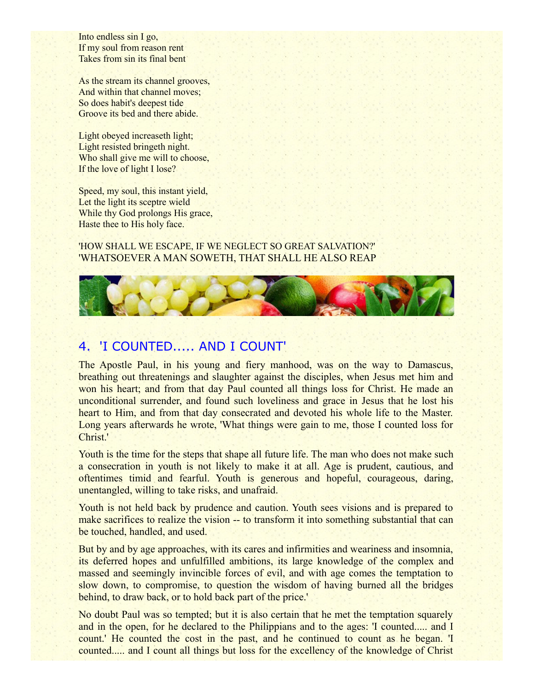Into endless sin I go, If my soul from reason rent Takes from sin its final bent

As the stream its channel grooves, And within that channel moves; So does habit's deepest tide Groove its bed and there abide.

Light obeyed increaseth light; Light resisted bringeth night. Who shall give me will to choose, If the love of light I lose?

Speed, my soul, this instant yield, Let the light its sceptre wield While thy God prolongs His grace, Haste thee to His holy face.

#### 'HOW SHALL WE ESCAPE, IF WE NEGLECT SO GREAT SALVATION?' 'WHATSOEVER A MAN SOWETH, THAT SHALL HE ALSO REAP



# 4. 'I COUNTED..... AND I COUNT'

The Apostle Paul, in his young and fiery manhood, was on the way to Damascus, breathing out threatenings and slaughter against the disciples, when Jesus met him and won his heart; and from that day Paul counted all things loss for Christ. He made an unconditional surrender, and found such loveliness and grace in Jesus that he lost his heart to Him, and from that day consecrated and devoted his whole life to the Master. Long years afterwards he wrote, 'What things were gain to me, those I counted loss for Christ.'

Youth is the time for the steps that shape all future life. The man who does not make such a consecration in youth is not likely to make it at all. Age is prudent, cautious, and oftentimes timid and fearful. Youth is generous and hopeful, courageous, daring, unentangled, willing to take risks, and unafraid.

Youth is not held back by prudence and caution. Youth sees visions and is prepared to make sacrifices to realize the vision -- to transform it into something substantial that can be touched, handled, and used.

But by and by age approaches, with its cares and infirmities and weariness and insomnia, its deferred hopes and unfulfilled ambitions, its large knowledge of the complex and massed and seemingly invincible forces of evil, and with age comes the temptation to slow down, to compromise, to question the wisdom of having burned all the bridges behind, to draw back, or to hold back part of the price.'

No doubt Paul was so tempted; but it is also certain that he met the temptation squarely and in the open, for he declared to the Philippians and to the ages: 'I counted..... and I count.' He counted the cost in the past, and he continued to count as he began. 'I counted..... and I count all things but loss for the excellency of the knowledge of Christ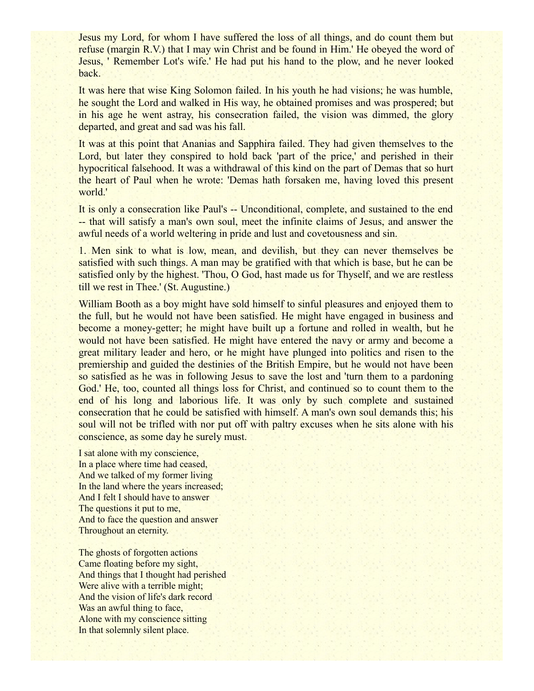Jesus my Lord, for whom I have suffered the loss of all things, and do count them but refuse (margin R.V.) that I may win Christ and be found in Him.' He obeyed the word of Jesus, ' Remember Lot's wife.' He had put his hand to the plow, and he never looked back.

It was here that wise King Solomon failed. In his youth he had visions; he was humble, he sought the Lord and walked in His way, he obtained promises and was prospered; but in his age he went astray, his consecration failed, the vision was dimmed, the glory departed, and great and sad was his fall.

It was at this point that Ananias and Sapphira failed. They had given themselves to the Lord, but later they conspired to hold back 'part of the price,' and perished in their hypocritical falsehood. It was a withdrawal of this kind on the part of Demas that so hurt the heart of Paul when he wrote: 'Demas hath forsaken me, having loved this present world.'

It is only a consecration like Paul's -- Unconditional, complete, and sustained to the end -- that will satisfy a man's own soul, meet the infinite claims of Jesus, and answer the awful needs of a world weltering in pride and lust and covetousness and sin.

1. Men sink to what is low, mean, and devilish, but they can never themselves be satisfied with such things. A man may be gratified with that which is base, but he can be satisfied only by the highest. 'Thou, O God, hast made us for Thyself, and we are restless till we rest in Thee.' (St. Augustine.)

William Booth as a boy might have sold himself to sinful pleasures and enjoyed them to the full, but he would not have been satisfied. He might have engaged in business and become a money-getter; he might have built up a fortune and rolled in wealth, but he would not have been satisfied. He might have entered the navy or army and become a great military leader and hero, or he might have plunged into politics and risen to the premiership and guided the destinies of the British Empire, but he would not have been so satisfied as he was in following Jesus to save the lost and 'turn them to a pardoning God.' He, too, counted all things loss for Christ, and continued so to count them to the end of his long and laborious life. It was only by such complete and sustained consecration that he could be satisfied with himself. A man's own soul demands this; his soul will not be trifled with nor put off with paltry excuses when he sits alone with his conscience, as some day he surely must.

I sat alone with my conscience, In a place where time had ceased, And we talked of my former living In the land where the years increased; And I felt I should have to answer The questions it put to me, And to face the question and answer Throughout an eternity.

The ghosts of forgotten actions Came floating before my sight, And things that I thought had perished Were alive with a terrible might; And the vision of life's dark record Was an awful thing to face, Alone with my conscience sitting In that solemnly silent place.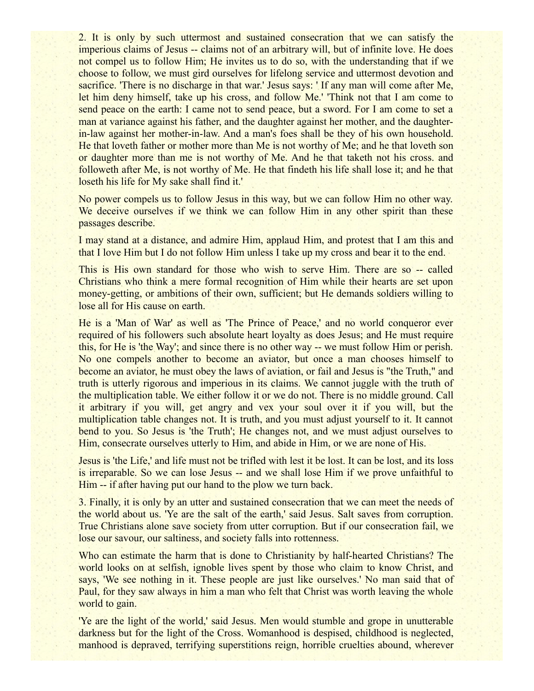2. It is only by such uttermost and sustained consecration that we can satisfy the imperious claims of Jesus -- claims not of an arbitrary will, but of infinite love. He does not compel us to follow Him; He invites us to do so, with the understanding that if we choose to follow, we must gird ourselves for lifelong service and uttermost devotion and sacrifice. 'There is no discharge in that war.' Jesus says: 'If any man will come after Me, let him deny himself, take up his cross, and follow Me.' 'Think not that I am come to send peace on the earth: I came not to send peace, but a sword. For I am come to set a man at variance against his father, and the daughter against her mother, and the daughterin-law against her mother-in-law. And a man's foes shall be they of his own household. He that loveth father or mother more than Me is not worthy of Me; and he that loveth son or daughter more than me is not worthy of Me. And he that taketh not his cross. and followeth after Me, is not worthy of Me. He that findeth his life shall lose it; and he that loseth his life for My sake shall find it.'

No power compels us to follow Jesus in this way, but we can follow Him no other way. We deceive ourselves if we think we can follow Him in any other spirit than these passages describe.

I may stand at a distance, and admire Him, applaud Him, and protest that I am this and that I love Him but I do not follow Him unless I take up my cross and bear it to the end.

This is His own standard for those who wish to serve Him. There are so -- called Christians who think a mere formal recognition of Him while their hearts are set upon money-getting, or ambitions of their own, sufficient; but He demands soldiers willing to lose all for His cause on earth.

He is a 'Man of War' as well as 'The Prince of Peace,' and no world conqueror ever required of his followers such absolute heart loyalty as does Jesus; and He must require this, for He is 'the Way'; and since there is no other way -- we must follow Him or perish. No one compels another to become an aviator, but once a man chooses himself to become an aviator, he must obey the laws of aviation, or fail and Jesus is "the Truth," and truth is utterly rigorous and imperious in its claims. We cannot juggle with the truth of the multiplication table. We either follow it or we do not. There is no middle ground. Call it arbitrary if you will, get angry and vex your soul over it if you will, but the multiplication table changes not. It is truth, and you must adjust yourself to it. It cannot bend to you. So Jesus is 'the Truth'; He changes not, and we must adjust ourselves to Him, consecrate ourselves utterly to Him, and abide in Him, or we are none of His.

Jesus is 'the Life,' and life must not be trifled with lest it be lost. It can be lost, and its loss is irreparable. So we can lose Jesus -- and we shall lose Him if we prove unfaithful to Him -- if after having put our hand to the plow we turn back.

3. Finally, it is only by an utter and sustained consecration that we can meet the needs of the world about us. 'Ye are the salt of the earth,' said Jesus. Salt saves from corruption. True Christians alone save society from utter corruption. But if our consecration fail, we lose our savour, our saltiness, and society falls into rottenness.

Who can estimate the harm that is done to Christianity by half-hearted Christians? The world looks on at selfish, ignoble lives spent by those who claim to know Christ, and says, 'We see nothing in it. These people are just like ourselves.' No man said that of Paul, for they saw always in him a man who felt that Christ was worth leaving the whole world to gain.

'Ye are the light of the world,' said Jesus. Men would stumble and grope in unutterable darkness but for the light of the Cross. Womanhood is despised, childhood is neglected, manhood is depraved, terrifying superstitions reign, horrible cruelties abound, wherever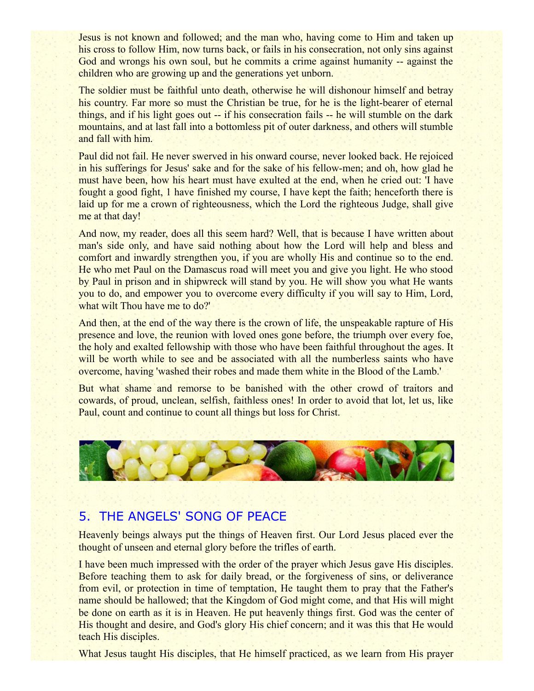Jesus is not known and followed; and the man who, having come to Him and taken up his cross to follow Him, now turns back, or fails in his consecration, not only sins against God and wrongs his own soul, but he commits a crime against humanity -- against the children who are growing up and the generations yet unborn.

The soldier must be faithful unto death, otherwise he will dishonour himself and betray his country. Far more so must the Christian be true, for he is the light-bearer of eternal things, and if his light goes out -- if his consecration fails -- he will stumble on the dark mountains, and at last fall into a bottomless pit of outer darkness, and others will stumble and fall with him.

Paul did not fail. He never swerved in his onward course, never looked back. He rejoiced in his sufferings for Jesus' sake and for the sake of his fellow-men; and oh, how glad he must have been, how his heart must have exulted at the end, when he cried out: 'I have fought a good fight, 1 have finished my course, I have kept the faith; henceforth there is laid up for me a crown of righteousness, which the Lord the righteous Judge, shall give me at that day!

And now, my reader, does all this seem hard? Well, that is because I have written about man's side only, and have said nothing about how the Lord will help and bless and comfort and inwardly strengthen you, if you are wholly His and continue so to the end. He who met Paul on the Damascus road will meet you and give you light. He who stood by Paul in prison and in shipwreck will stand by you. He will show you what He wants you to do, and empower you to overcome every difficulty if you will say to Him, Lord, what wilt Thou have me to do?'

And then, at the end of the way there is the crown of life, the unspeakable rapture of His presence and love, the reunion with loved ones gone before, the triumph over every foe, the holy and exalted fellowship with those who have been faithful throughout the ages. It will be worth while to see and be associated with all the numberless saints who have overcome, having 'washed their robes and made them white in the Blood of the Lamb.'

But what shame and remorse to be banished with the other crowd of traitors and cowards, of proud, unclean, selfish, faithless ones! In order to avoid that lot, let us, like Paul, count and continue to count all things but loss for Christ.



## 5. THE ANGELS' SONG OF PEACE

Heavenly beings always put the things of Heaven first. Our Lord Jesus placed ever the thought of unseen and eternal glory before the trifles of earth.

I have been much impressed with the order of the prayer which Jesus gave His disciples. Before teaching them to ask for daily bread, or the forgiveness of sins, or deliverance from evil, or protection in time of temptation, He taught them to pray that the Father's name should be hallowed; that the Kingdom of God might come, and that His will might be done on earth as it is in Heaven. He put heavenly things first. God was the center of His thought and desire, and God's glory His chief concern; and it was this that He would teach His disciples.

What Jesus taught His disciples, that He himself practiced, as we learn from His prayer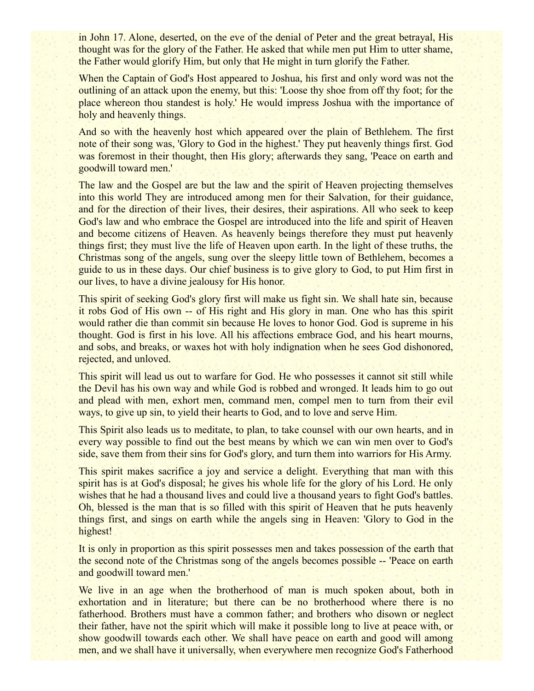in John 17. Alone, deserted, on the eve of the denial of Peter and the great betrayal, His thought was for the glory of the Father. He asked that while men put Him to utter shame, the Father would glorify Him, but only that He might in turn glorify the Father.

When the Captain of God's Host appeared to Joshua, his first and only word was not the outlining of an attack upon the enemy, but this: 'Loose thy shoe from off thy foot; for the place whereon thou standest is holy.' He would impress Joshua with the importance of holy and heavenly things.

And so with the heavenly host which appeared over the plain of Bethlehem. The first note of their song was, 'Glory to God in the highest.' They put heavenly things first. God was foremost in their thought, then His glory; afterwards they sang, 'Peace on earth and goodwill toward men.'

The law and the Gospel are but the law and the spirit of Heaven projecting themselves into this world They are introduced among men for their Salvation, for their guidance, and for the direction of their lives, their desires, their aspirations. All who seek to keep God's law and who embrace the Gospel are introduced into the life and spirit of Heaven and become citizens of Heaven. As heavenly beings therefore they must put heavenly things first; they must live the life of Heaven upon earth. In the light of these truths, the Christmas song of the angels, sung over the sleepy little town of Bethlehem, becomes a guide to us in these days. Our chief business is to give glory to God, to put Him first in our lives, to have a divine jealousy for His honor.

This spirit of seeking God's glory first will make us fight sin. We shall hate sin, because it robs God of His own -- of His right and His glory in man. One who has this spirit would rather die than commit sin because He loves to honor God. God is supreme in his thought. God is first in his love. All his affections embrace God, and his heart mourns, and sobs, and breaks, or waxes hot with holy indignation when he sees God dishonored, rejected, and unloved.

This spirit will lead us out to warfare for God. He who possesses it cannot sit still while the Devil has his own way and while God is robbed and wronged. It leads him to go out and plead with men, exhort men, command men, compel men to turn from their evil ways, to give up sin, to yield their hearts to God, and to love and serve Him.

This Spirit also leads us to meditate, to plan, to take counsel with our own hearts, and in every way possible to find out the best means by which we can win men over to God's side, save them from their sins for God's glory, and turn them into warriors for His Army.

This spirit makes sacrifice a joy and service a delight. Everything that man with this spirit has is at God's disposal; he gives his whole life for the glory of his Lord. He only wishes that he had a thousand lives and could live a thousand years to fight God's battles. Oh, blessed is the man that is so filled with this spirit of Heaven that he puts heavenly things first, and sings on earth while the angels sing in Heaven: 'Glory to God in the highest!

It is only in proportion as this spirit possesses men and takes possession of the earth that the second note of the Christmas song of the angels becomes possible -- 'Peace on earth and goodwill toward men.'

We live in an age when the brotherhood of man is much spoken about, both in exhortation and in literature; but there can be no brotherhood where there is no fatherhood. Brothers must have a common father; and brothers who disown or neglect their father, have not the spirit which will make it possible long to live at peace with, or show goodwill towards each other. We shall have peace on earth and good will among men, and we shall have it universally, when everywhere men recognize God's Fatherhood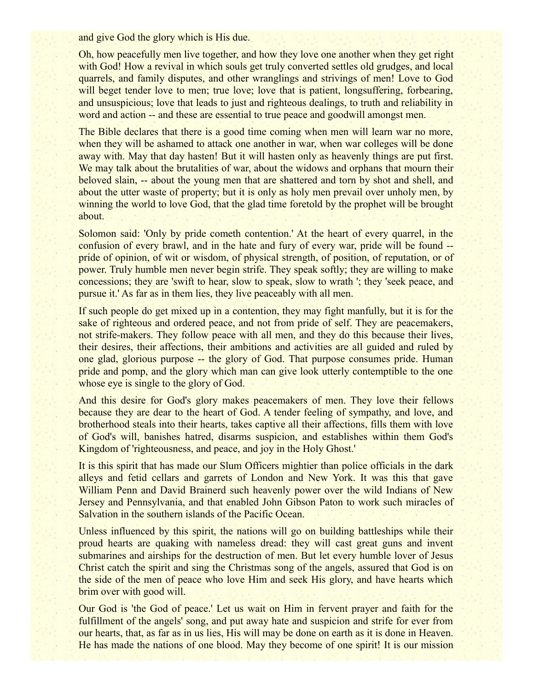and give God the glory which is His due.

Oh, how peacefully men live together, and how they love one another when they get right with God! How a revival in which souls get truly converted settles old grudges, and local quarrels, and family disputes, and other wranglings and strivings of men! Love to God will beget tender love to men; true love; love that is patient, longsuffering, forbearing, and unsuspicious; love that leads to just and righteous dealings, to truth and reliability in word and action -- and these are essential to true peace and goodwill amongst men.

The Bible declares that there is a good time coming when men will learn war no more, when they will be ashamed to attack one another in war, when war colleges will be done away with. May that day hasten! But it will hasten only as heavenly things are put first. We may talk about the brutalities of war, about the widows and orphans that mourn their beloved slain, -- about the young men that are shattered and torn by shot and shell, and about the utter waste of property; but it is only as holy men prevail over unholy men, by winning the world to love God, that the glad time foretold by the prophet will be brought about.

Solomon said: 'Only by pride cometh contention.' At the heart of every quarrel, in the confusion of every brawl, and in the hate and fury of every war, pride will be found - pride of opinion, of wit or wisdom, of physical strength, of position, of reputation, or of power. Truly humble men never begin strife. They speak softly; they are willing to make concessions; they are 'swift to hear, slow to speak, slow to wrath '; they 'seek peace, and pursue it.' As far as in them lies, they live peaceably with all men.

If such people do get mixed up in a contention, they may fight manfully, but it is for the sake of righteous and ordered peace, and not from pride of self. They are peacemakers, not strife-makers. They follow peace with all men, and they do this because their lives, their desires, their affections, their ambitions and activities are all guided and ruled by one glad, glorious purpose -- the glory of God. That purpose consumes pride. Human pride and pomp, and the glory which man can give look utterly contemptible to the one whose eye is single to the glory of God.

And this desire for God's glory makes peacemakers of men. They love their fellows because they are dear to the heart of God. A tender feeling of sympathy, and love, and brotherhood steals into their hearts, takes captive all their affections, fills them with love of God's will, banishes hatred, disarms suspicion, and establishes within them God's Kingdom of 'righteousness, and peace, and joy in the Holy Ghost.'

It is this spirit that has made our Slum Officers mightier than police officials in the dark alleys and fetid cellars and garrets of London and New York. It was this that gave William Penn and David Brainerd such heavenly power over the wild Indians of New Jersey and Pennsylvania, and that enabled John Gibson Paton to work such miracles of Salvation in the southern islands of the Pacific Ocean.

Unless influenced by this spirit, the nations will go on building battleships while their proud hearts are quaking with nameless dread: they will cast great guns and invent submarines and airships for the destruction of men. But let every humble lover of Jesus Christ catch the spirit and sing the Christmas song of the angels, assured that God is on the side of the men of peace who love Him and seek His glory, and have hearts which brim over with good will.

Our God is 'the God of peace.' Let us wait on Him in fervent prayer and faith for the fulfillment of the angels' song, and put away hate and suspicion and strife for ever from our hearts, that, as far as in us lies, His will may be done on earth as it is done in Heaven. He has made the nations of one blood. May they become of one spirit! It is our mission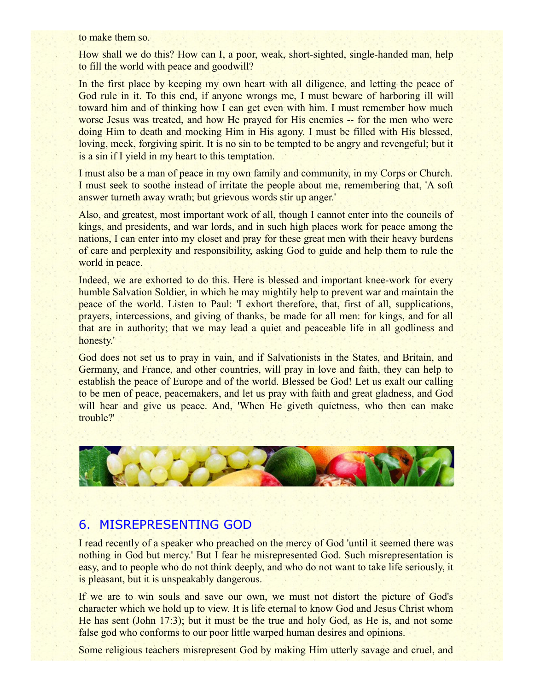to make them so.

How shall we do this? How can I, a poor, weak, short-sighted, single-handed man, help to fill the world with peace and goodwill?

In the first place by keeping my own heart with all diligence, and letting the peace of God rule in it. To this end, if anyone wrongs me, I must beware of harboring ill will toward him and of thinking how I can get even with him. I must remember how much worse Jesus was treated, and how He prayed for His enemies -- for the men who were doing Him to death and mocking Him in His agony. I must be filled with His blessed, loving, meek, forgiving spirit. It is no sin to be tempted to be angry and revengeful; but it is a sin if I yield in my heart to this temptation.

I must also be a man of peace in my own family and community, in my Corps or Church. I must seek to soothe instead of irritate the people about me, remembering that, 'A soft answer turneth away wrath; but grievous words stir up anger.'

Also, and greatest, most important work of all, though I cannot enter into the councils of kings, and presidents, and war lords, and in such high places work for peace among the nations, I can enter into my closet and pray for these great men with their heavy burdens of care and perplexity and responsibility, asking God to guide and help them to rule the world in peace.

Indeed, we are exhorted to do this. Here is blessed and important knee-work for every humble Salvation Soldier, in which he may mightily help to prevent war and maintain the peace of the world. Listen to Paul: 'I exhort therefore, that, first of all, supplications, prayers, intercessions, and giving of thanks, be made for all men: for kings, and for all that are in authority; that we may lead a quiet and peaceable life in all godliness and honesty.'

God does not set us to pray in vain, and if Salvationists in the States, and Britain, and Germany, and France, and other countries, will pray in love and faith, they can help to establish the peace of Europe and of the world. Blessed be God! Let us exalt our calling to be men of peace, peacemakers, and let us pray with faith and great gladness, and God will hear and give us peace. And, 'When He giveth quietness, who then can make trouble?'



## 6. MISREPRESENTING GOD

I read recently of a speaker who preached on the mercy of God 'until it seemed there was nothing in God but mercy.' But I fear he misrepresented God. Such misrepresentation is easy, and to people who do not think deeply, and who do not want to take life seriously, it is pleasant, but it is unspeakably dangerous.

If we are to win souls and save our own, we must not distort the picture of God's character which we hold up to view. It is life eternal to know God and Jesus Christ whom He has sent (John 17:3); but it must be the true and holy God, as He is, and not some false god who conforms to our poor little warped human desires and opinions.

Some religious teachers misrepresent God by making Him utterly savage and cruel, and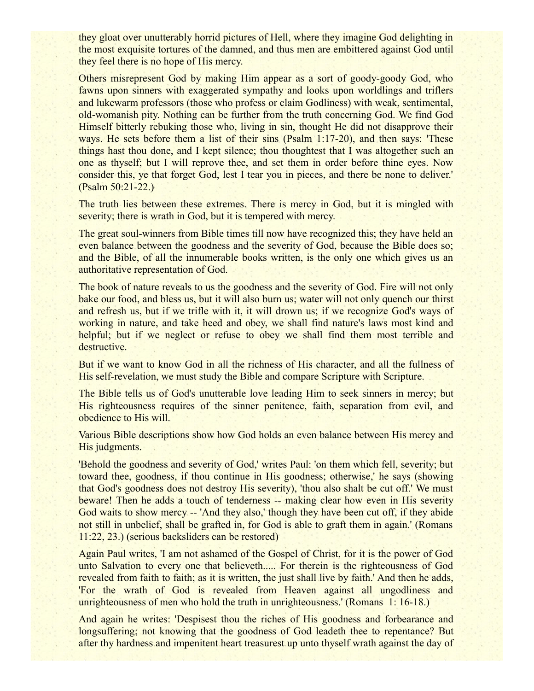they gloat over unutterably horrid pictures of Hell, where they imagine God delighting in the most exquisite tortures of the damned, and thus men are embittered against God until they feel there is no hope of His mercy.

Others misrepresent God by making Him appear as a sort of goody-goody God, who fawns upon sinners with exaggerated sympathy and looks upon worldlings and triflers and lukewarm professors (those who profess or claim Godliness) with weak, sentimental, old-womanish pity. Nothing can be further from the truth concerning God. We find God Himself bitterly rebuking those who, living in sin, thought He did not disapprove their ways. He sets before them a list of their sins (Psalm 1:17-20), and then says: 'These things hast thou done, and I kept silence; thou thoughtest that I was altogether such an one as thyself; but I will reprove thee, and set them in order before thine eyes. Now consider this, ye that forget God, lest I tear you in pieces, and there be none to deliver.' (Psalm 50:21-22.)

The truth lies between these extremes. There is mercy in God, but it is mingled with severity; there is wrath in God, but it is tempered with mercy.

The great soul-winners from Bible times till now have recognized this; they have held an even balance between the goodness and the severity of God, because the Bible does so; and the Bible, of all the innumerable books written, is the only one which gives us an authoritative representation of God.

The book of nature reveals to us the goodness and the severity of God. Fire will not only bake our food, and bless us, but it will also burn us; water will not only quench our thirst and refresh us, but if we trifle with it, it will drown us; if we recognize God's ways of working in nature, and take heed and obey, we shall find nature's laws most kind and helpful; but if we neglect or refuse to obey we shall find them most terrible and destructive.

But if we want to know God in all the richness of His character, and all the fullness of His self-revelation, we must study the Bible and compare Scripture with Scripture.

The Bible tells us of God's unutterable love leading Him to seek sinners in mercy; but His righteousness requires of the sinner penitence, faith, separation from evil, and obedience to His will.

Various Bible descriptions show how God holds an even balance between His mercy and His judgments.

'Behold the goodness and severity of God,' writes Paul: 'on them which fell, severity; but toward thee, goodness, if thou continue in His goodness; otherwise,' he says (showing that God's goodness does not destroy His severity), 'thou also shalt be cut off.' We must beware! Then he adds a touch of tenderness -- making clear how even in His severity God waits to show mercy -- 'And they also,' though they have been cut off, if they abide not still in unbelief, shall be grafted in, for God is able to graft them in again.' (Romans 11:22, 23.) (serious backsliders can be restored)

Again Paul writes, 'I am not ashamed of the Gospel of Christ, for it is the power of God unto Salvation to every one that believeth..... For therein is the righteousness of God revealed from faith to faith; as it is written, the just shall live by faith.' And then he adds, 'For the wrath of God is revealed from Heaven against all ungodliness and unrighteousness of men who hold the truth in unrighteousness.' (Romans 1: 16-18.)

And again he writes: 'Despisest thou the riches of His goodness and forbearance and longsuffering; not knowing that the goodness of God leadeth thee to repentance? But after thy hardness and impenitent heart treasurest up unto thyself wrath against the day of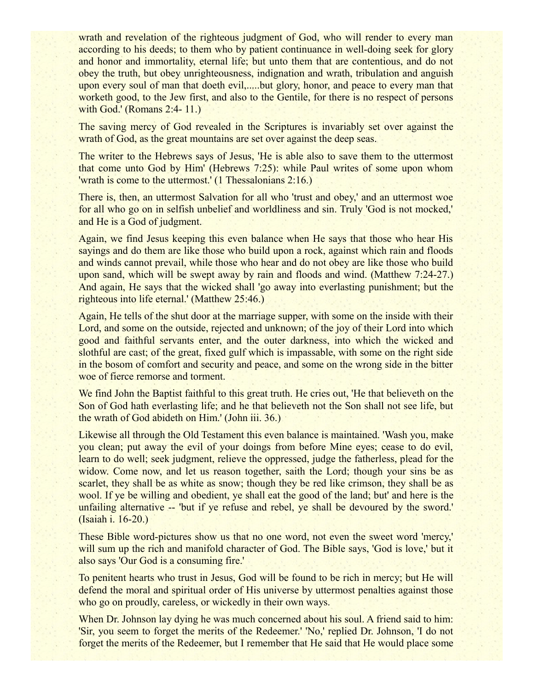wrath and revelation of the righteous judgment of God, who will render to every man according to his deeds; to them who by patient continuance in well-doing seek for glory and honor and immortality, eternal life; but unto them that are contentious, and do not obey the truth, but obey unrighteousness, indignation and wrath, tribulation and anguish upon every soul of man that doeth evil,.....but glory, honor, and peace to every man that worketh good, to the Jew first, and also to the Gentile, for there is no respect of persons with God.' (Romans 2:4- 11.)

The saving mercy of God revealed in the Scriptures is invariably set over against the wrath of God, as the great mountains are set over against the deep seas.

The writer to the Hebrews says of Jesus, 'He is able also to save them to the uttermost that come unto God by Him' (Hebrews 7:25): while Paul writes of some upon whom 'wrath is come to the uttermost.' (1 Thessalonians 2:16.)

There is, then, an uttermost Salvation for all who 'trust and obey,' and an uttermost woe for all who go on in selfish unbelief and worldliness and sin. Truly 'God is not mocked,' and He is a God of judgment.

Again, we find Jesus keeping this even balance when He says that those who hear His sayings and do them are like those who build upon a rock, against which rain and floods and winds cannot prevail, while those who hear and do not obey are like those who build upon sand, which will be swept away by rain and floods and wind. (Matthew 7:24-27.) And again, He says that the wicked shall 'go away into everlasting punishment; but the righteous into life eternal.' (Matthew 25:46.)

Again, He tells of the shut door at the marriage supper, with some on the inside with their Lord, and some on the outside, rejected and unknown; of the joy of their Lord into which good and faithful servants enter, and the outer darkness, into which the wicked and slothful are cast; of the great, fixed gulf which is impassable, with some on the right side in the bosom of comfort and security and peace, and some on the wrong side in the bitter woe of fierce remorse and torment.

We find John the Baptist faithful to this great truth. He cries out, 'He that believeth on the Son of God hath everlasting life; and he that believeth not the Son shall not see life, but the wrath of God abideth on Him.' (John iii. 36.)

Likewise all through the Old Testament this even balance is maintained. 'Wash you, make you clean; put away the evil of your doings from before Mine eyes; cease to do evil, learn to do well; seek judgment, relieve the oppressed, judge the fatherless, plead for the widow. Come now, and let us reason together, saith the Lord; though your sins be as scarlet, they shall be as white as snow; though they be red like crimson, they shall be as wool. If ye be willing and obedient, ye shall eat the good of the land; but' and here is the unfailing alternative -- 'but if ye refuse and rebel, ye shall be devoured by the sword.' (Isaiah i. 16-20.)

These Bible word-pictures show us that no one word, not even the sweet word 'mercy,' will sum up the rich and manifold character of God. The Bible says, 'God is love,' but it also says 'Our God is a consuming fire.'

To penitent hearts who trust in Jesus, God will be found to be rich in mercy; but He will defend the moral and spiritual order of His universe by uttermost penalties against those who go on proudly, careless, or wickedly in their own ways.

When Dr. Johnson lay dying he was much concerned about his soul. A friend said to him: 'Sir, you seem to forget the merits of the Redeemer.' 'No,' replied Dr. Johnson, 'I do not forget the merits of the Redeemer, but I remember that He said that He would place some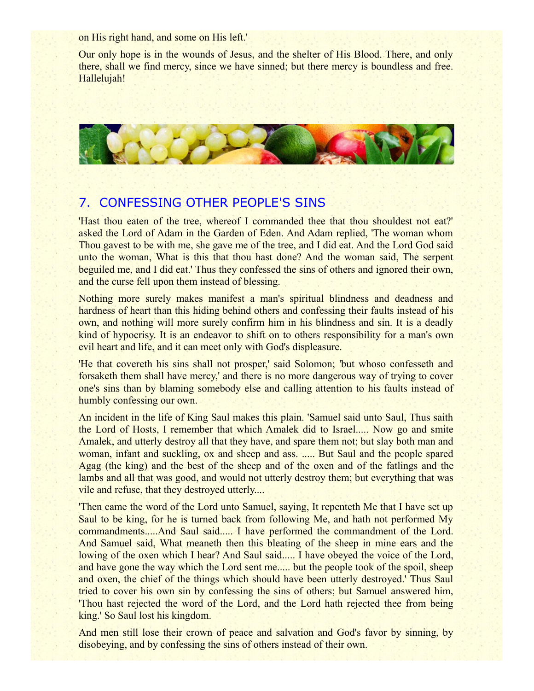on His right hand, and some on His left.'

Our only hope is in the wounds of Jesus, and the shelter of His Blood. There, and only there, shall we find mercy, since we have sinned; but there mercy is boundless and free. Hallelujah!



#### 7. CONFESSING OTHER PEOPLE'S SINS

'Hast thou eaten of the tree, whereof I commanded thee that thou shouldest not eat?' asked the Lord of Adam in the Garden of Eden. And Adam replied, 'The woman whom Thou gavest to be with me, she gave me of the tree, and I did eat. And the Lord God said unto the woman, What is this that thou hast done? And the woman said, The serpent beguiled me, and I did eat.' Thus they confessed the sins of others and ignored their own, and the curse fell upon them instead of blessing.

Nothing more surely makes manifest a man's spiritual blindness and deadness and hardness of heart than this hiding behind others and confessing their faults instead of his own, and nothing will more surely confirm him in his blindness and sin. It is a deadly kind of hypocrisy. It is an endeavor to shift on to others responsibility for a man's own evil heart and life, and it can meet only with God's displeasure.

'He that covereth his sins shall not prosper,' said Solomon; 'but whoso confesseth and forsaketh them shall have mercy,' and there is no more dangerous way of trying to cover one's sins than by blaming somebody else and calling attention to his faults instead of humbly confessing our own.

An incident in the life of King Saul makes this plain. 'Samuel said unto Saul, Thus saith the Lord of Hosts, I remember that which Amalek did to Israel..... Now go and smite Amalek, and utterly destroy all that they have, and spare them not; but slay both man and woman, infant and suckling, ox and sheep and ass. ..... But Saul and the people spared Agag (the king) and the best of the sheep and of the oxen and of the fatlings and the lambs and all that was good, and would not utterly destroy them; but everything that was vile and refuse, that they destroyed utterly....

'Then came the word of the Lord unto Samuel, saying, It repenteth Me that I have set up Saul to be king, for he is turned back from following Me, and hath not performed My commandments.....And Saul said..... I have performed the commandment of the Lord. And Samuel said, What meaneth then this bleating of the sheep in mine ears and the lowing of the oxen which I hear? And Saul said..... I have obeyed the voice of the Lord, and have gone the way which the Lord sent me..... but the people took of the spoil, sheep and oxen, the chief of the things which should have been utterly destroyed.' Thus Saul tried to cover his own sin by confessing the sins of others; but Samuel answered him, 'Thou hast rejected the word of the Lord, and the Lord hath rejected thee from being king.' So Saul lost his kingdom.

And men still lose their crown of peace and salvation and God's favor by sinning, by disobeying, and by confessing the sins of others instead of their own.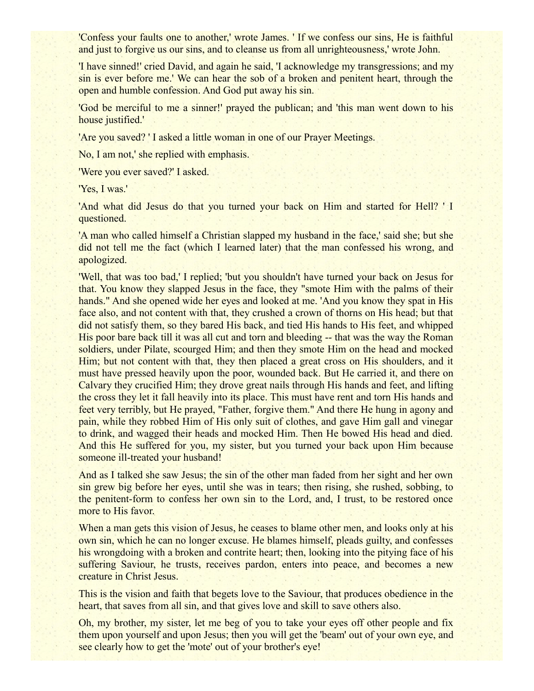'Confess your faults one to another,' wrote James. ' If we confess our sins, He is faithful and just to forgive us our sins, and to cleanse us from all unrighteousness,' wrote John.

'I have sinned!' cried David, and again he said, 'I acknowledge my transgressions; and my sin is ever before me.' We can hear the sob of a broken and penitent heart, through the open and humble confession. And God put away his sin.

'God be merciful to me a sinner!' prayed the publican; and 'this man went down to his house justified.'

'Are you saved? ' I asked a little woman in one of our Prayer Meetings.

No, I am not,' she replied with emphasis.

'Were you ever saved?' I asked.

'Yes, I was.'

'And what did Jesus do that you turned your back on Him and started for Hell? ' I questioned.

'A man who called himself a Christian slapped my husband in the face,' said she; but she did not tell me the fact (which I learned later) that the man confessed his wrong, and apologized.

'Well, that was too bad,' I replied; 'but you shouldn't have turned your back on Jesus for that. You know they slapped Jesus in the face, they "smote Him with the palms of their hands." And she opened wide her eyes and looked at me. 'And you know they spat in His face also, and not content with that, they crushed a crown of thorns on His head; but that did not satisfy them, so they bared His back, and tied His hands to His feet, and whipped His poor bare back till it was all cut and torn and bleeding -- that was the way the Roman soldiers, under Pilate, scourged Him; and then they smote Him on the head and mocked Him; but not content with that, they then placed a great cross on His shoulders, and it must have pressed heavily upon the poor, wounded back. But He carried it, and there on Calvary they crucified Him; they drove great nails through His hands and feet, and lifting the cross they let it fall heavily into its place. This must have rent and torn His hands and feet very terribly, but He prayed, "Father, forgive them." And there He hung in agony and pain, while they robbed Him of His only suit of clothes, and gave Him gall and vinegar to drink, and wagged their heads and mocked Him. Then He bowed His head and died. And this He suffered for you, my sister, but you turned your back upon Him because someone ill-treated your husband!

And as I talked she saw Jesus; the sin of the other man faded from her sight and her own sin grew big before her eyes, until she was in tears; then rising, she rushed, sobbing, to the penitent-form to confess her own sin to the Lord, and, I trust, to be restored once more to His favor.

When a man gets this vision of Jesus, he ceases to blame other men, and looks only at his own sin, which he can no longer excuse. He blames himself, pleads guilty, and confesses his wrongdoing with a broken and contrite heart; then, looking into the pitying face of his suffering Saviour, he trusts, receives pardon, enters into peace, and becomes a new creature in Christ Jesus.

This is the vision and faith that begets love to the Saviour, that produces obedience in the heart, that saves from all sin, and that gives love and skill to save others also.

Oh, my brother, my sister, let me beg of you to take your eyes off other people and fix them upon yourself and upon Jesus; then you will get the 'beam' out of your own eye, and see clearly how to get the 'mote' out of your brother's eye!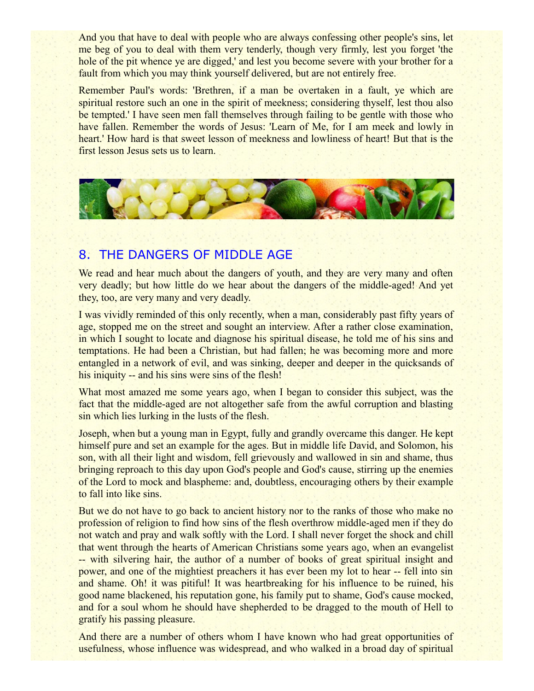And you that have to deal with people who are always confessing other people's sins, let me beg of you to deal with them very tenderly, though very firmly, lest you forget 'the hole of the pit whence ye are digged,' and lest you become severe with your brother for a fault from which you may think yourself delivered, but are not entirely free.

Remember Paul's words: 'Brethren, if a man be overtaken in a fault, ye which are spiritual restore such an one in the spirit of meekness; considering thyself, lest thou also be tempted.' I have seen men fall themselves through failing to be gentle with those who have fallen. Remember the words of Jesus: 'Learn of Me, for I am meek and lowly in heart.' How hard is that sweet lesson of meekness and lowliness of heart! But that is the first lesson Jesus sets us to learn.



### 8. THE DANGERS OF MIDDLE AGE

We read and hear much about the dangers of youth, and they are very many and often very deadly; but how little do we hear about the dangers of the middle-aged! And yet they, too, are very many and very deadly.

I was vividly reminded of this only recently, when a man, considerably past fifty years of age, stopped me on the street and sought an interview. After a rather close examination, in which I sought to locate and diagnose his spiritual disease, he told me of his sins and temptations. He had been a Christian, but had fallen; he was becoming more and more entangled in a network of evil, and was sinking, deeper and deeper in the quicksands of his iniquity -- and his sins were sins of the flesh!

What most amazed me some years ago, when I began to consider this subject, was the fact that the middle-aged are not altogether safe from the awful corruption and blasting sin which lies lurking in the lusts of the flesh.

Joseph, when but a young man in Egypt, fully and grandly overcame this danger. He kept himself pure and set an example for the ages. But in middle life David, and Solomon, his son, with all their light and wisdom, fell grievously and wallowed in sin and shame, thus bringing reproach to this day upon God's people and God's cause, stirring up the enemies of the Lord to mock and blaspheme: and, doubtless, encouraging others by their example to fall into like sins.

But we do not have to go back to ancient history nor to the ranks of those who make no profession of religion to find how sins of the flesh overthrow middle-aged men if they do not watch and pray and walk softly with the Lord. I shall never forget the shock and chill that went through the hearts of American Christians some years ago, when an evangelist -- with silvering hair, the author of a number of books of great spiritual insight and power, and one of the mightiest preachers it has ever been my lot to hear -- fell into sin and shame. Oh! it was pitiful! It was heartbreaking for his influence to be ruined, his good name blackened, his reputation gone, his family put to shame, God's cause mocked, and for a soul whom he should have shepherded to be dragged to the mouth of Hell to gratify his passing pleasure.

And there are a number of others whom I have known who had great opportunities of usefulness, whose influence was widespread, and who walked in a broad day of spiritual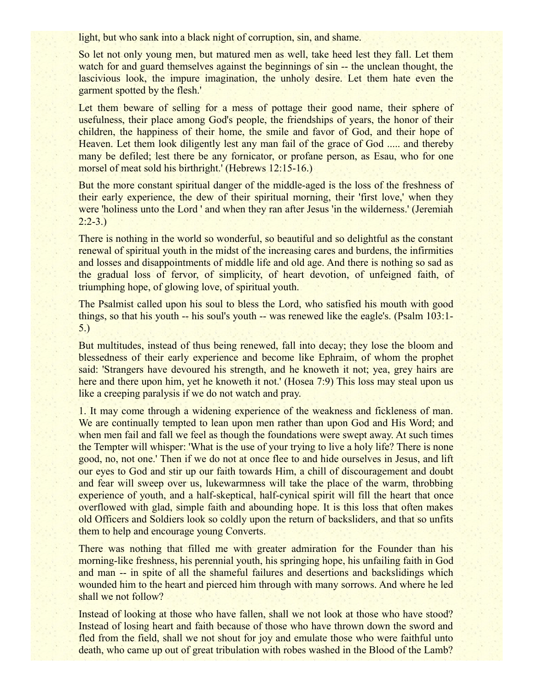light, but who sank into a black night of corruption, sin, and shame.

So let not only young men, but matured men as well, take heed lest they fall. Let them watch for and guard themselves against the beginnings of sin -- the unclean thought, the lascivious look, the impure imagination, the unholy desire. Let them hate even the garment spotted by the flesh.'

Let them beware of selling for a mess of pottage their good name, their sphere of usefulness, their place among God's people, the friendships of years, the honor of their children, the happiness of their home, the smile and favor of God, and their hope of Heaven. Let them look diligently lest any man fail of the grace of God ..... and thereby many be defiled; lest there be any fornicator, or profane person, as Esau, who for one morsel of meat sold his birthright.' (Hebrews 12:15-16.)

But the more constant spiritual danger of the middle-aged is the loss of the freshness of their early experience, the dew of their spiritual morning, their 'first love,' when they were 'holiness unto the Lord ' and when they ran after Jesus 'in the wilderness.' (Jeremiah  $2:2-3.$ 

There is nothing in the world so wonderful, so beautiful and so delightful as the constant renewal of spiritual youth in the midst of the increasing cares and burdens, the infirmities and losses and disappointments of middle life and old age. And there is nothing so sad as the gradual loss of fervor, of simplicity, of heart devotion, of unfeigned faith, of triumphing hope, of glowing love, of spiritual youth.

The Psalmist called upon his soul to bless the Lord, who satisfied his mouth with good things, so that his youth -- his soul's youth -- was renewed like the eagle's. (Psalm 103:1- 5.)

But multitudes, instead of thus being renewed, fall into decay; they lose the bloom and blessedness of their early experience and become like Ephraim, of whom the prophet said: 'Strangers have devoured his strength, and he knoweth it not; yea, grey hairs are here and there upon him, yet he knoweth it not.' (Hosea 7:9) This loss may steal upon us like a creeping paralysis if we do not watch and pray.

1. It may come through a widening experience of the weakness and fickleness of man. We are continually tempted to lean upon men rather than upon God and His Word; and when men fail and fall we feel as though the foundations were swept away. At such times the Tempter will whisper: 'What is the use of your trying to live a holy life? There is none good, no, not one.' Then if we do not at once flee to and hide ourselves in Jesus, and lift our eyes to God and stir up our faith towards Him, a chill of discouragement and doubt and fear will sweep over us, lukewarmness will take the place of the warm, throbbing experience of youth, and a half-skeptical, half-cynical spirit will fill the heart that once overflowed with glad, simple faith and abounding hope. It is this loss that often makes old Officers and Soldiers look so coldly upon the return of backsliders, and that so unfits them to help and encourage young Converts.

There was nothing that filled me with greater admiration for the Founder than his morning-like freshness, his perennial youth, his springing hope, his unfailing faith in God and man -- in spite of all the shameful failures and desertions and backslidings which wounded him to the heart and pierced him through with many sorrows. And where he led shall we not follow?

Instead of looking at those who have fallen, shall we not look at those who have stood? Instead of losing heart and faith because of those who have thrown down the sword and fled from the field, shall we not shout for joy and emulate those who were faithful unto death, who came up out of great tribulation with robes washed in the Blood of the Lamb?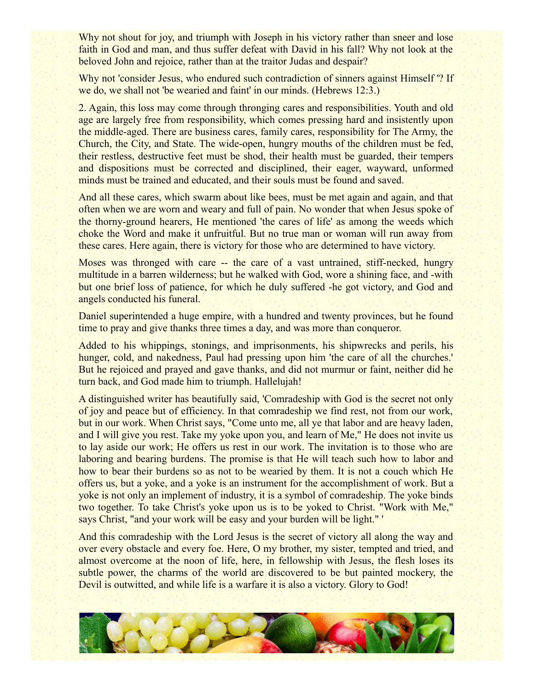Why not shout for joy, and triumph with Joseph in his victory rather than sneer and lose faith in God and man, and thus suffer defeat with David in his fall? Why not look at the beloved John and rejoice, rather than at the traitor Judas and despair?

Why not 'consider Jesus, who endured such contradiction of sinners against Himself '? If we do, we shall not 'be wearied and faint' in our minds. (Hebrews 12:3.)

2. Again, this loss may come through thronging cares and responsibilities. Youth and old age are largely free from responsibility, which comes pressing hard and insistently upon the middle-aged. There are business cares, family cares, responsibility for The Army, the Church, the City, and State. The wide-open, hungry mouths of the children must be fed, their restless, destructive feet must be shod, their health must be guarded, their tempers and dispositions must be corrected and disciplined, their eager, wayward, unformed minds must be trained and educated, and their souls must be found and saved.

And all these cares, which swarm about like bees, must be met again and again, and that often when we are worn and weary and full of pain. No wonder that when Jesus spoke of the thorny-ground hearers, He mentioned 'the cares of life' as among the weeds which choke the Word and make it unfruitful. But no true man or woman will run away from these cares. Here again, there is victory for those who are determined to have victory.

Moses was thronged with care -- the care of a vast untrained, stiff-necked, hungry multitude in a barren wilderness; but he walked with God, wore a shining face, and -with but one brief loss of patience, for which he duly suffered -he got victory, and God and angels conducted his funeral.

Daniel superintended a huge empire, with a hundred and twenty provinces, but he found time to pray and give thanks three times a day, and was more than conqueror.

Added to his whippings, stonings, and imprisonments, his shipwrecks and perils, his hunger, cold, and nakedness, Paul had pressing upon him 'the care of all the churches.' But he rejoiced and prayed and gave thanks, and did not murmur or faint, neither did he turn back, and God made him to triumph. Hallelujah!

A distinguished writer has beautifully said, 'Comradeship with God is the secret not only of joy and peace but of efficiency. In that comradeship we find rest, not from our work, but in our work. When Christ says, "Come unto me, all ye that labor and are heavy laden, and I will give you rest. Take my yoke upon you, and learn of Me," He does not invite us to lay aside our work; He offers us rest in our work. The invitation is to those who are laboring and bearing burdens. The promise is that He will teach such how to labor and how to bear their burdens so as not to be wearied by them. It is not a couch which He offers us, but a yoke, and a yoke is an instrument for the accomplishment of work. But a yoke is not only an implement of industry, it is a symbol of comradeship. The yoke binds two together. To take Christ's yoke upon us is to be yoked to Christ. "Work with Me," says Christ, "and your work will be easy and your burden will be light."

And this comradeship with the Lord Jesus is the secret of victory all along the way and over every obstacle and every foe. Here, O my brother, my sister, tempted and tried, and almost overcome at the noon of life, here, in fellowship with Jesus, the flesh loses its subtle power, the charms of the world are discovered to be but painted mockery, the Devil is outwitted, and while life is a warfare it is also a victory. Glory to God!

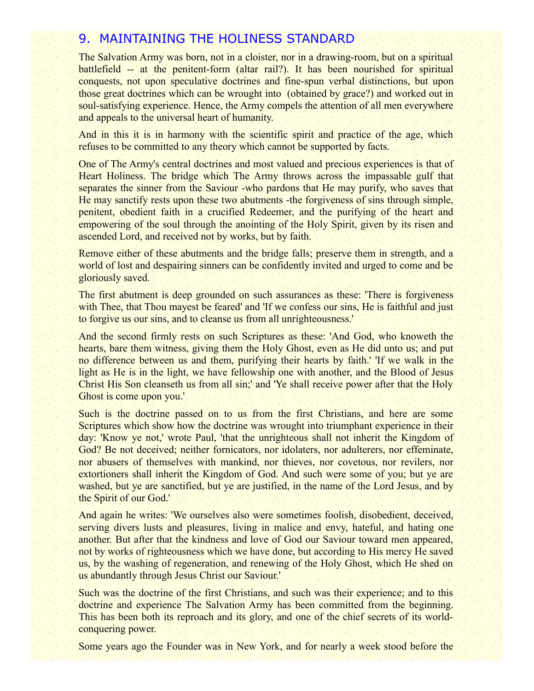### 9. MAINTAINING THE HOLINESS STANDARD

The Salvation Army was born, not in a cloister, nor in a drawing-room, but on a spiritual battlefield -- at the penitent-form (altar rail?). It has been nourished for spiritual conquests, not upon speculative doctrines and fine-spun verbal distinctions, but upon those great doctrines which can be wrought into (obtained by grace?) and worked out in soul-satisfying experience. Hence, the Army compels the attention of all men everywhere and appeals to the universal heart of humanity.

And in this it is in harmony with the scientific spirit and practice of the age, which refuses to be committed to any theory which cannot be supported by facts.

One of The Army's central doctrines and most valued and precious experiences is that of Heart Holiness. The bridge which The Army throws across the impassable gulf that separates the sinner from the Saviour -who pardons that He may purify, who saves that He may sanctify rests upon these two abutments -the forgiveness of sins through simple, penitent, obedient faith in a crucified Redeemer, and the purifying of the heart and empowering of the soul through the anointing of the Holy Spirit, given by its risen and ascended Lord, and received not by works, but by faith.

Remove either of these abutments and the bridge falls; preserve them in strength, and a world of lost and despairing sinners can be confidently invited and urged to come and be gloriously saved.

The first abutment is deep grounded on such assurances as these: 'There is forgiveness with Thee, that Thou mayest be feared' and 'If we confess our sins, He is faithful and just to forgive us our sins, and to cleanse us from all unrighteousness.'

And the second firmly rests on such Scriptures as these: 'And God, who knoweth the hearts, bare them witness, giving them the Holy Ghost, even as He did unto us; and put no difference between us and them, purifying their hearts by faith.' 'If we walk in the light as He is in the light, we have fellowship one with another, and the Blood of Jesus Christ His Son cleanseth us from all sin;' and 'Ye shall receive power after that the Holy Ghost is come upon you.'

Such is the doctrine passed on to us from the first Christians, and here are some Scriptures which show how the doctrine was wrought into triumphant experience in their day: 'Know ye not,' wrote Paul, 'that the unrighteous shall not inherit the Kingdom of God? Be not deceived; neither fornicators, nor idolaters, nor adulterers, nor effeminate, nor abusers of themselves with mankind, nor thieves, nor covetous, nor revilers, nor extortioners shall inherit the Kingdom of God. And such were some of you; but ye are washed, but ye are sanctified, but ye are justified, in the name of the Lord Jesus, and by the Spirit of our God.'

And again he writes: 'We ourselves also were sometimes foolish, disobedient, deceived, serving divers lusts and pleasures, living in malice and envy, hateful, and hating one another. But after that the kindness and love of God our Saviour toward men appeared, not by works of righteousness which we have done, but according to His mercy He saved us, by the washing of regeneration, and renewing of the Holy Ghost, which He shed on us abundantly through Jesus Christ our Saviour.'

Such was the doctrine of the first Christians, and such was their experience; and to this doctrine and experience The Salvation Army has been committed from the beginning. This has been both its reproach and its glory, and one of the chief secrets of its worldconquering power.

Some years ago the Founder was in New York, and for nearly a week stood before the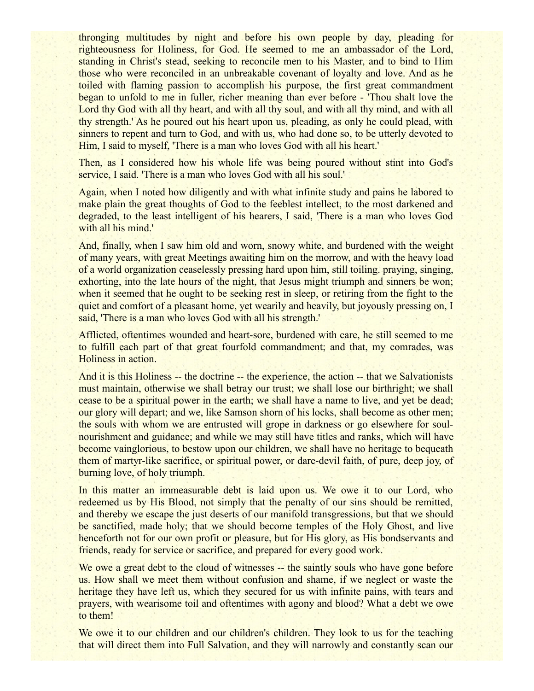thronging multitudes by night and before his own people by day, pleading for righteousness for Holiness, for God. He seemed to me an ambassador of the Lord, standing in Christ's stead, seeking to reconcile men to his Master, and to bind to Him those who were reconciled in an unbreakable covenant of loyalty and love. And as he toiled with flaming passion to accomplish his purpose, the first great commandment began to unfold to me in fuller, richer meaning than ever before - 'Thou shalt love the Lord thy God with all thy heart, and with all thy soul, and with all thy mind, and with all thy strength.' As he poured out his heart upon us, pleading, as only he could plead, with sinners to repent and turn to God, and with us, who had done so, to be utterly devoted to Him, I said to myself, 'There is a man who loves God with all his heart.'

Then, as I considered how his whole life was being poured without stint into God's service, I said. 'There is a man who loves God with all his soul.'

Again, when I noted how diligently and with what infinite study and pains he labored to make plain the great thoughts of God to the feeblest intellect, to the most darkened and degraded, to the least intelligent of his hearers, I said, 'There is a man who loves God with all his mind.'

And, finally, when I saw him old and worn, snowy white, and burdened with the weight of many years, with great Meetings awaiting him on the morrow, and with the heavy load of a world organization ceaselessly pressing hard upon him, still toiling. praying, singing, exhorting, into the late hours of the night, that Jesus might triumph and sinners be won; when it seemed that he ought to be seeking rest in sleep, or retiring from the fight to the quiet and comfort of a pleasant home, yet wearily and heavily, but joyously pressing on, I said, 'There is a man who loves God with all his strength.'

Afflicted, oftentimes wounded and heart-sore, burdened with care, he still seemed to me to fulfill each part of that great fourfold commandment; and that, my comrades, was Holiness in action.

And it is this Holiness -- the doctrine -- the experience, the action -- that we Salvationists must maintain, otherwise we shall betray our trust; we shall lose our birthright; we shall cease to be a spiritual power in the earth; we shall have a name to live, and yet be dead; our glory will depart; and we, like Samson shorn of his locks, shall become as other men; the souls with whom we are entrusted will grope in darkness or go elsewhere for soulnourishment and guidance; and while we may still have titles and ranks, which will have become vainglorious, to bestow upon our children, we shall have no heritage to bequeath them of martyr-like sacrifice, or spiritual power, or dare-devil faith, of pure, deep joy, of burning love, of holy triumph.

In this matter an immeasurable debt is laid upon us. We owe it to our Lord, who redeemed us by His Blood, not simply that the penalty of our sins should be remitted, and thereby we escape the just deserts of our manifold transgressions, but that we should be sanctified, made holy; that we should become temples of the Holy Ghost, and live henceforth not for our own profit or pleasure, but for His glory, as His bondservants and friends, ready for service or sacrifice, and prepared for every good work.

We owe a great debt to the cloud of witnesses -- the saintly souls who have gone before us. How shall we meet them without confusion and shame, if we neglect or waste the heritage they have left us, which they secured for us with infinite pains, with tears and prayers, with wearisome toil and oftentimes with agony and blood? What a debt we owe to them!

We owe it to our children and our children's children. They look to us for the teaching that will direct them into Full Salvation, and they will narrowly and constantly scan our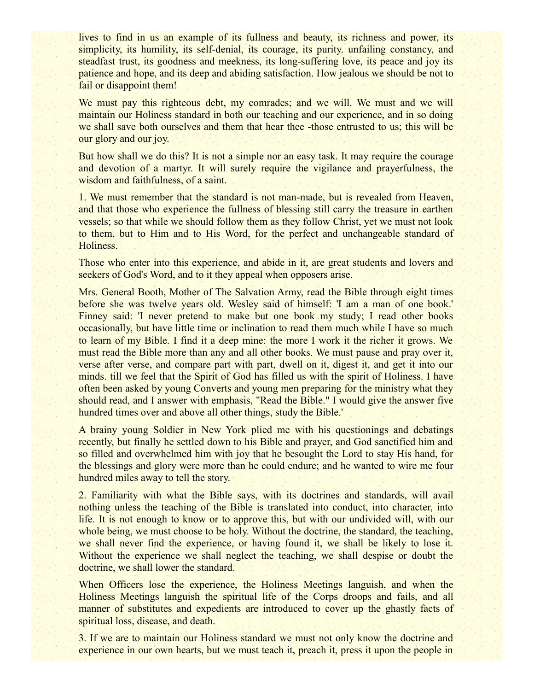lives to find in us an example of its fullness and beauty, its richness and power, its simplicity, its humility, its self-denial, its courage, its purity. unfailing constancy, and steadfast trust, its goodness and meekness, its long-suffering love, its peace and joy its patience and hope, and its deep and abiding satisfaction. How jealous we should be not to fail or disappoint them!

We must pay this righteous debt, my comrades; and we will. We must and we will maintain our Holiness standard in both our teaching and our experience, and in so doing we shall save both ourselves and them that hear thee -those entrusted to us; this will be our glory and our joy.

But how shall we do this? It is not a simple nor an easy task. It may require the courage and devotion of a martyr. It will surely require the vigilance and prayerfulness, the wisdom and faithfulness, of a saint.

1. We must remember that the standard is not man-made, but is revealed from Heaven, and that those who experience the fullness of blessing still carry the treasure in earthen vessels; so that while we should follow them as they follow Christ, yet we must not look to them, but to Him and to His Word, for the perfect and unchangeable standard of Holiness.

Those who enter into this experience, and abide in it, are great students and lovers and seekers of God's Word, and to it they appeal when opposers arise.

Mrs. General Booth, Mother of The Salvation Army, read the Bible through eight times before she was twelve years old. Wesley said of himself: 'I am a man of one book.' Finney said: 'I never pretend to make but one book my study; I read other books occasionally, but have little time or inclination to read them much while I have so much to learn of my Bible. I find it a deep mine: the more I work it the richer it grows. We must read the Bible more than any and all other books. We must pause and pray over it, verse after verse, and compare part with part, dwell on it, digest it, and get it into our minds. till we feel that the Spirit of God has filled us with the spirit of Holiness. I have often been asked by young Converts and young men preparing for the ministry what they should read, and I answer with emphasis, "Read the Bible." I would give the answer five hundred times over and above all other things, study the Bible.'

A brainy young Soldier in New York plied me with his questionings and debatings recently, but finally he settled down to his Bible and prayer, and God sanctified him and so filled and overwhelmed him with joy that he besought the Lord to stay His hand, for the blessings and glory were more than he could endure; and he wanted to wire me four hundred miles away to tell the story.

2. Familiarity with what the Bible says, with its doctrines and standards, will avail nothing unless the teaching of the Bible is translated into conduct, into character, into life. It is not enough to know or to approve this, but with our undivided will, with our whole being, we must choose to be holy. Without the doctrine, the standard, the teaching, we shall never find the experience, or having found it, we shall be likely to lose it. Without the experience we shall neglect the teaching, we shall despise or doubt the doctrine, we shall lower the standard.

When Officers lose the experience, the Holiness Meetings languish, and when the Holiness Meetings languish the spiritual life of the Corps droops and fails, and all manner of substitutes and expedients are introduced to cover up the ghastly facts of spiritual loss, disease, and death.

3. If we are to maintain our Holiness standard we must not only know the doctrine and experience in our own hearts, but we must teach it, preach it, press it upon the people in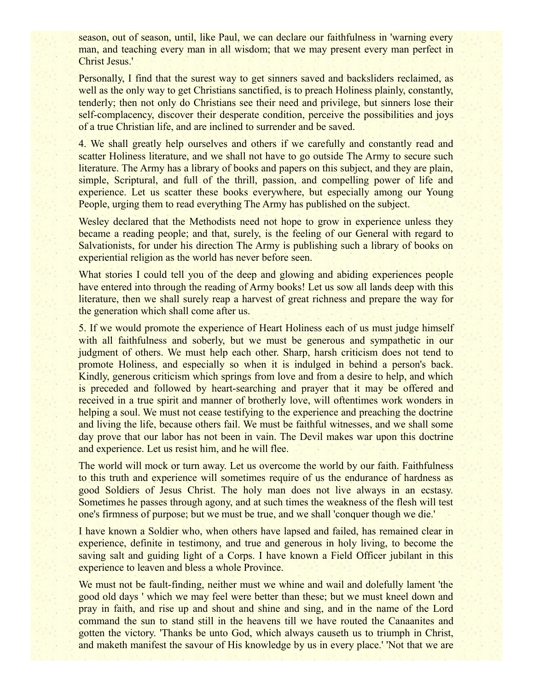season, out of season, until, like Paul, we can declare our faithfulness in 'warning every man, and teaching every man in all wisdom; that we may present every man perfect in Christ Jesus.'

Personally, I find that the surest way to get sinners saved and backsliders reclaimed, as well as the only way to get Christians sanctified, is to preach Holiness plainly, constantly, tenderly; then not only do Christians see their need and privilege, but sinners lose their self-complacency, discover their desperate condition, perceive the possibilities and joys of a true Christian life, and are inclined to surrender and be saved.

4. We shall greatly help ourselves and others if we carefully and constantly read and scatter Holiness literature, and we shall not have to go outside The Army to secure such literature. The Army has a library of books and papers on this subject, and they are plain, simple, Scriptural, and full of the thrill, passion, and compelling power of life and experience. Let us scatter these books everywhere, but especially among our Young People, urging them to read everything The Army has published on the subject.

Wesley declared that the Methodists need not hope to grow in experience unless they became a reading people; and that, surely, is the feeling of our General with regard to Salvationists, for under his direction The Army is publishing such a library of books on experiential religion as the world has never before seen.

What stories I could tell you of the deep and glowing and abiding experiences people have entered into through the reading of Army books! Let us sow all lands deep with this literature, then we shall surely reap a harvest of great richness and prepare the way for the generation which shall come after us.

5. If we would promote the experience of Heart Holiness each of us must judge himself with all faithfulness and soberly, but we must be generous and sympathetic in our judgment of others. We must help each other. Sharp, harsh criticism does not tend to promote Holiness, and especially so when it is indulged in behind a person's back. Kindly, generous criticism which springs from love and from a desire to help, and which is preceded and followed by heart-searching and prayer that it may be offered and received in a true spirit and manner of brotherly love, will oftentimes work wonders in helping a soul. We must not cease testifying to the experience and preaching the doctrine and living the life, because others fail. We must be faithful witnesses, and we shall some day prove that our labor has not been in vain. The Devil makes war upon this doctrine and experience. Let us resist him, and he will flee.

The world will mock or turn away. Let us overcome the world by our faith. Faithfulness to this truth and experience will sometimes require of us the endurance of hardness as good Soldiers of Jesus Christ. The holy man does not live always in an ecstasy. Sometimes he passes through agony, and at such times the weakness of the flesh will test one's firmness of purpose; but we must be true, and we shall 'conquer though we die.'

I have known a Soldier who, when others have lapsed and failed, has remained clear in experience, definite in testimony, and true and generous in holy living, to become the saving salt and guiding light of a Corps. I have known a Field Officer jubilant in this experience to leaven and bless a whole Province.

We must not be fault-finding, neither must we whine and wail and dolefully lament 'the good old days ' which we may feel were better than these; but we must kneel down and pray in faith, and rise up and shout and shine and sing, and in the name of the Lord command the sun to stand still in the heavens till we have routed the Canaanites and gotten the victory. 'Thanks be unto God, which always causeth us to triumph in Christ, and maketh manifest the savour of His knowledge by us in every place.' 'Not that we are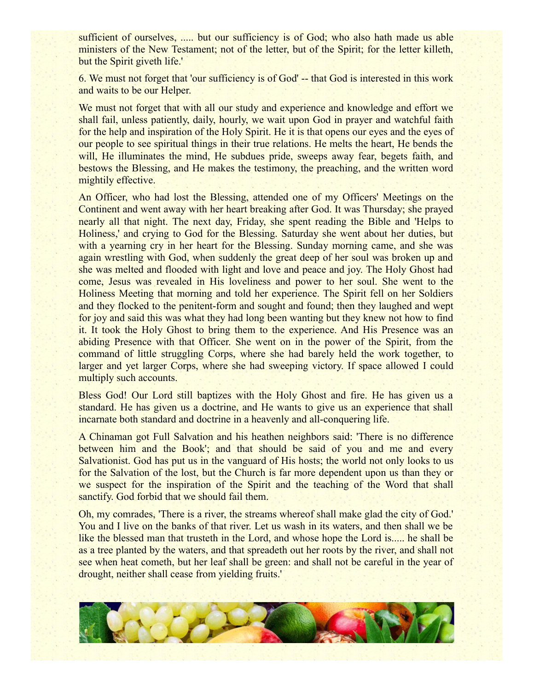sufficient of ourselves, ..... but our sufficiency is of God; who also hath made us able ministers of the New Testament; not of the letter, but of the Spirit; for the letter killeth, but the Spirit giveth life.'

6. We must not forget that 'our sufficiency is of God' -- that God is interested in this work and waits to be our Helper.

We must not forget that with all our study and experience and knowledge and effort we shall fail, unless patiently, daily, hourly, we wait upon God in prayer and watchful faith for the help and inspiration of the Holy Spirit. He it is that opens our eyes and the eyes of our people to see spiritual things in their true relations. He melts the heart, He bends the will, He illuminates the mind, He subdues pride, sweeps away fear, begets faith, and bestows the Blessing, and He makes the testimony, the preaching, and the written word mightily effective.

An Officer, who had lost the Blessing, attended one of my Officers' Meetings on the Continent and went away with her heart breaking after God. It was Thursday; she prayed nearly all that night. The next day, Friday, she spent reading the Bible and 'Helps to Holiness,' and crying to God for the Blessing. Saturday she went about her duties, but with a yearning cry in her heart for the Blessing. Sunday morning came, and she was again wrestling with God, when suddenly the great deep of her soul was broken up and she was melted and flooded with light and love and peace and joy. The Holy Ghost had come, Jesus was revealed in His loveliness and power to her soul. She went to the Holiness Meeting that morning and told her experience. The Spirit fell on her Soldiers and they flocked to the penitent-form and sought and found; then they laughed and wept for joy and said this was what they had long been wanting but they knew not how to find it. It took the Holy Ghost to bring them to the experience. And His Presence was an abiding Presence with that Officer. She went on in the power of the Spirit, from the command of little struggling Corps, where she had barely held the work together, to larger and yet larger Corps, where she had sweeping victory. If space allowed I could multiply such accounts.

Bless God! Our Lord still baptizes with the Holy Ghost and fire. He has given us a standard. He has given us a doctrine, and He wants to give us an experience that shall incarnate both standard and doctrine in a heavenly and all-conquering life.

A Chinaman got Full Salvation and his heathen neighbors said: 'There is no difference between him and the Book'; and that should be said of you and me and every Salvationist. God has put us in the vanguard of His hosts; the world not only looks to us for the Salvation of the lost, but the Church is far more dependent upon us than they or we suspect for the inspiration of the Spirit and the teaching of the Word that shall sanctify. God forbid that we should fail them.

Oh, my comrades, 'There is a river, the streams whereof shall make glad the city of God.' You and I live on the banks of that river. Let us wash in its waters, and then shall we be like the blessed man that trusteth in the Lord, and whose hope the Lord is..... he shall be as a tree planted by the waters, and that spreadeth out her roots by the river, and shall not see when heat cometh, but her leaf shall be green: and shall not be careful in the year of drought, neither shall cease from yielding fruits.'

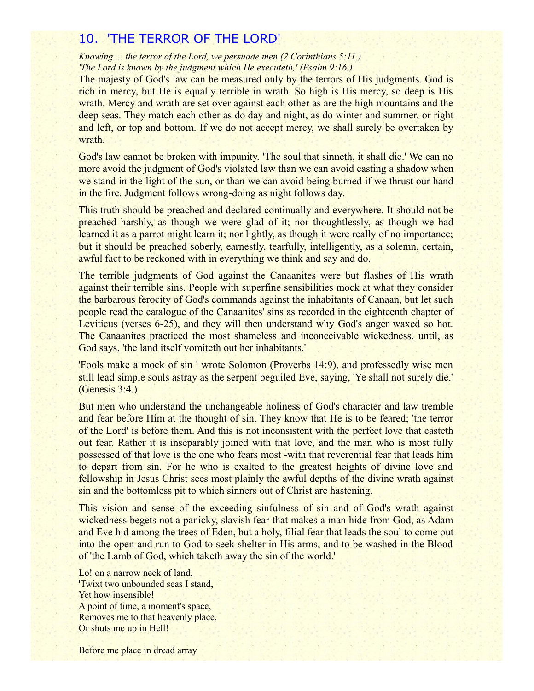## 10. 'THE TERROR OF THE LORD'

*Knowing.... the terror of the Lord, we persuade men (2 Corinthians 5:11.) 'The Lord is known by the judgment which He executeth,' (Psalm 9:16.)*

The majesty of God's law can be measured only by the terrors of His judgments. God is rich in mercy, but He is equally terrible in wrath. So high is His mercy, so deep is His wrath. Mercy and wrath are set over against each other as are the high mountains and the deep seas. They match each other as do day and night, as do winter and summer, or right and left, or top and bottom. If we do not accept mercy, we shall surely be overtaken by wrath.

God's law cannot be broken with impunity. 'The soul that sinneth, it shall die.' We can no more avoid the judgment of God's violated law than we can avoid casting a shadow when we stand in the light of the sun, or than we can avoid being burned if we thrust our hand in the fire. Judgment follows wrong-doing as night follows day.

This truth should be preached and declared continually and everywhere. It should not be preached harshly, as though we were glad of it; nor thoughtlessly, as though we had learned it as a parrot might learn it; nor lightly, as though it were really of no importance; but it should be preached soberly, earnestly, tearfully, intelligently, as a solemn, certain, awful fact to be reckoned with in everything we think and say and do.

The terrible judgments of God against the Canaanites were but flashes of His wrath against their terrible sins. People with superfine sensibilities mock at what they consider the barbarous ferocity of God's commands against the inhabitants of Canaan, but let such people read the catalogue of the Canaanites' sins as recorded in the eighteenth chapter of Leviticus (verses 6-25), and they will then understand why God's anger waxed so hot. The Canaanites practiced the most shameless and inconceivable wickedness, until, as God says, 'the land itself vomiteth out her inhabitants.'

'Fools make a mock of sin ' wrote Solomon (Proverbs 14:9), and professedly wise men still lead simple souls astray as the serpent beguiled Eve, saying, 'Ye shall not surely die.' (Genesis 3:4.)

But men who understand the unchangeable holiness of God's character and law tremble and fear before Him at the thought of sin. They know that He is to be feared; 'the terror of the Lord' is before them. And this is not inconsistent with the perfect love that casteth out fear. Rather it is inseparably joined with that love, and the man who is most fully possessed of that love is the one who fears most -with that reverential fear that leads him to depart from sin. For he who is exalted to the greatest heights of divine love and fellowship in Jesus Christ sees most plainly the awful depths of the divine wrath against sin and the bottomless pit to which sinners out of Christ are hastening.

This vision and sense of the exceeding sinfulness of sin and of God's wrath against wickedness begets not a panicky, slavish fear that makes a man hide from God, as Adam and Eve hid among the trees of Eden, but a holy, filial fear that leads the soul to come out into the open and run to God to seek shelter in His arms, and to be washed in the Blood of 'the Lamb of God, which taketh away the sin of the world.'

Lo! on a narrow neck of land, 'Twixt two unbounded seas I stand, Yet how insensible! A point of time, a moment's space, Removes me to that heavenly place, Or shuts me up in Hell!

Before me place in dread array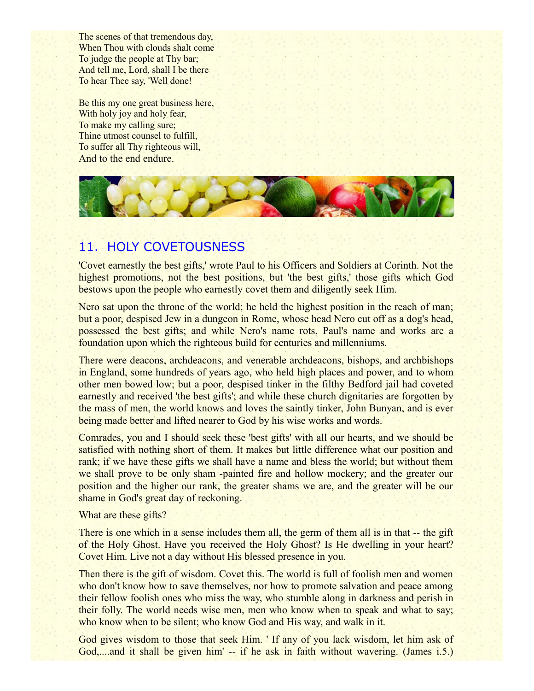The scenes of that tremendous day, When Thou with clouds shalt come To judge the people at Thy bar; And tell me, Lord, shall I be there To hear Thee say, 'Well done!

Be this my one great business here, With holy joy and holy fear, To make my calling sure; Thine utmost counsel to fulfill, To suffer all Thy righteous will, And to the end endure.



## 11. HOLY COVETOUSNESS

'Covet earnestly the best gifts,' wrote Paul to his Officers and Soldiers at Corinth. Not the highest promotions, not the best positions, but 'the best gifts,' those gifts which God bestows upon the people who earnestly covet them and diligently seek Him.

Nero sat upon the throne of the world; he held the highest position in the reach of man; but a poor, despised Jew in a dungeon in Rome, whose head Nero cut off as a dog's head, possessed the best gifts; and while Nero's name rots, Paul's name and works are a foundation upon which the righteous build for centuries and millenniums.

There were deacons, archdeacons, and venerable archdeacons, bishops, and archbishops in England, some hundreds of years ago, who held high places and power, and to whom other men bowed low; but a poor, despised tinker in the filthy Bedford jail had coveted earnestly and received 'the best gifts'; and while these church dignitaries are forgotten by the mass of men, the world knows and loves the saintly tinker, John Bunyan, and is ever being made better and lifted nearer to God by his wise works and words.

Comrades, you and I should seek these 'best gifts' with all our hearts, and we should be satisfied with nothing short of them. It makes but little difference what our position and rank; if we have these gifts we shall have a name and bless the world; but without them we shall prove to be only sham -painted fire and hollow mockery; and the greater our position and the higher our rank, the greater shams we are, and the greater will be our shame in God's great day of reckoning.

What are these gifts?

There is one which in a sense includes them all, the germ of them all is in that -- the gift of the Holy Ghost. Have you received the Holy Ghost? Is He dwelling in your heart? Covet Him. Live not a day without His blessed presence in you.

Then there is the gift of wisdom. Covet this. The world is full of foolish men and women who don't know how to save themselves, nor how to promote salvation and peace among their fellow foolish ones who miss the way, who stumble along in darkness and perish in their folly. The world needs wise men, men who know when to speak and what to say; who know when to be silent; who know God and His way, and walk in it.

God gives wisdom to those that seek Him. ' If any of you lack wisdom, let him ask of God,....and it shall be given him' -- if he ask in faith without wavering. (James i.5.)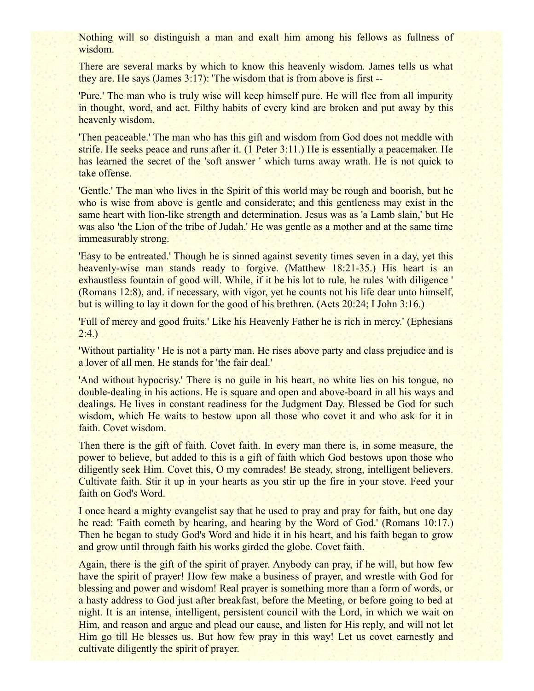Nothing will so distinguish a man and exalt him among his fellows as fullness of wisdom.

There are several marks by which to know this heavenly wisdom. James tells us what they are. He says (James 3:17): 'The wisdom that is from above is first --

'Pure.' The man who is truly wise will keep himself pure. He will flee from all impurity in thought, word, and act. Filthy habits of every kind are broken and put away by this heavenly wisdom.

'Then peaceable.' The man who has this gift and wisdom from God does not meddle with strife. He seeks peace and runs after it. (1 Peter 3:11.) He is essentially a peacemaker. He has learned the secret of the 'soft answer ' which turns away wrath. He is not quick to take offense.

'Gentle.' The man who lives in the Spirit of this world may be rough and boorish, but he who is wise from above is gentle and considerate; and this gentleness may exist in the same heart with lion-like strength and determination. Jesus was as 'a Lamb slain,' but He was also 'the Lion of the tribe of Judah.' He was gentle as a mother and at the same time immeasurably strong.

'Easy to be entreated.' Though he is sinned against seventy times seven in a day, yet this heavenly-wise man stands ready to forgive. (Matthew 18:21-35.) His heart is an exhaustless fountain of good will. While, if it be his lot to rule, he rules 'with diligence ' (Romans 12:8), and. if necessary, with vigor, yet he counts not his life dear unto himself, but is willing to lay it down for the good of his brethren. (Acts 20:24; I John 3:16.)

'Full of mercy and good fruits.' Like his Heavenly Father he is rich in mercy.' (Ephesians  $2:4.$ 

'Without partiality ' He is not a party man. He rises above party and class prejudice and is a lover of all men. He stands for 'the fair deal.'

'And without hypocrisy.' There is no guile in his heart, no white lies on his tongue, no double-dealing in his actions. He is square and open and above-board in all his ways and dealings. He lives in constant readiness for the Judgment Day. Blessed be God for such wisdom, which He waits to bestow upon all those who covet it and who ask for it in faith. Covet wisdom.

Then there is the gift of faith. Covet faith. In every man there is, in some measure, the power to believe, but added to this is a gift of faith which God bestows upon those who diligently seek Him. Covet this, O my comrades! Be steady, strong, intelligent believers. Cultivate faith. Stir it up in your hearts as you stir up the fire in your stove. Feed your faith on God's Word.

I once heard a mighty evangelist say that he used to pray and pray for faith, but one day he read: 'Faith cometh by hearing, and hearing by the Word of God.' (Romans 10:17.) Then he began to study God's Word and hide it in his heart, and his faith began to grow and grow until through faith his works girded the globe. Covet faith.

Again, there is the gift of the spirit of prayer. Anybody can pray, if he will, but how few have the spirit of prayer! How few make a business of prayer, and wrestle with God for blessing and power and wisdom! Real prayer is something more than a form of words, or a hasty address to God just after breakfast, before the Meeting, or before going to bed at night. It is an intense, intelligent, persistent council with the Lord, in which we wait on Him, and reason and argue and plead our cause, and listen for His reply, and will not let Him go till He blesses us. But how few pray in this way! Let us covet earnestly and cultivate diligently the spirit of prayer.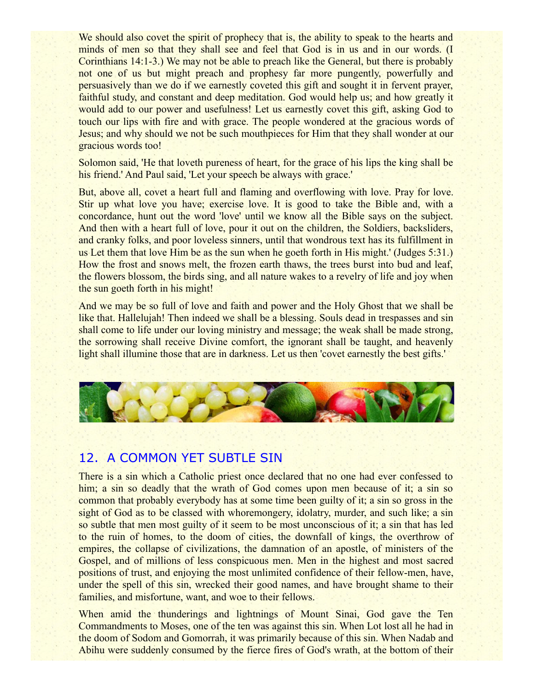We should also covet the spirit of prophecy that is, the ability to speak to the hearts and minds of men so that they shall see and feel that God is in us and in our words. (I Corinthians 14:1-3.) We may not be able to preach like the General, but there is probably not one of us but might preach and prophesy far more pungently, powerfully and persuasively than we do if we earnestly coveted this gift and sought it in fervent prayer, faithful study, and constant and deep meditation. God would help us; and how greatly it would add to our power and usefulness! Let us earnestly covet this gift, asking God to touch our lips with fire and with grace. The people wondered at the gracious words of Jesus; and why should we not be such mouthpieces for Him that they shall wonder at our gracious words too!

Solomon said, 'He that loveth pureness of heart, for the grace of his lips the king shall be his friend.' And Paul said, 'Let your speech be always with grace.'

But, above all, covet a heart full and flaming and overflowing with love. Pray for love. Stir up what love you have; exercise love. It is good to take the Bible and, with a concordance, hunt out the word 'love' until we know all the Bible says on the subject. And then with a heart full of love, pour it out on the children, the Soldiers, backsliders, and cranky folks, and poor loveless sinners, until that wondrous text has its fulfillment in us Let them that love Him be as the sun when he goeth forth in His might.' (Judges 5:31.) How the frost and snows melt, the frozen earth thaws, the trees burst into bud and leaf, the flowers blossom, the birds sing, and all nature wakes to a revelry of life and joy when the sun goeth forth in his might!

And we may be so full of love and faith and power and the Holy Ghost that we shall be like that. Hallelujah! Then indeed we shall be a blessing. Souls dead in trespasses and sin shall come to life under our loving ministry and message; the weak shall be made strong, the sorrowing shall receive Divine comfort, the ignorant shall be taught, and heavenly light shall illumine those that are in darkness. Let us then 'covet earnestly the best gifts.'



## 12. A COMMON YET SUBTLE SIN

There is a sin which a Catholic priest once declared that no one had ever confessed to him; a sin so deadly that the wrath of God comes upon men because of it; a sin so common that probably everybody has at some time been guilty of it; a sin so gross in the sight of God as to be classed with whoremongery, idolatry, murder, and such like; a sin so subtle that men most guilty of it seem to be most unconscious of it; a sin that has led to the ruin of homes, to the doom of cities, the downfall of kings, the overthrow of empires, the collapse of civilizations, the damnation of an apostle, of ministers of the Gospel, and of millions of less conspicuous men. Men in the highest and most sacred positions of trust, and enjoying the most unlimited confidence of their fellow-men, have, under the spell of this sin, wrecked their good names, and have brought shame to their families, and misfortune, want, and woe to their fellows.

When amid the thunderings and lightnings of Mount Sinai, God gave the Ten Commandments to Moses, one of the ten was against this sin. When Lot lost all he had in the doom of Sodom and Gomorrah, it was primarily because of this sin. When Nadab and Abihu were suddenly consumed by the fierce fires of God's wrath, at the bottom of their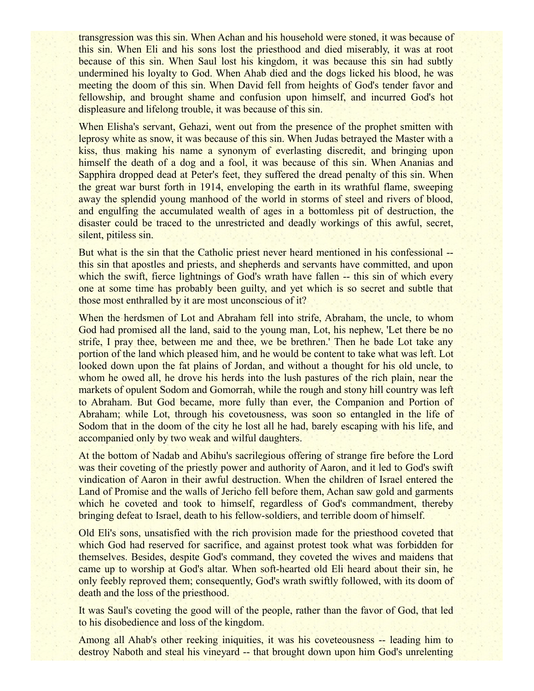transgression was this sin. When Achan and his household were stoned, it was because of this sin. When Eli and his sons lost the priesthood and died miserably, it was at root because of this sin. When Saul lost his kingdom, it was because this sin had subtly undermined his loyalty to God. When Ahab died and the dogs licked his blood, he was meeting the doom of this sin. When David fell from heights of God's tender favor and fellowship, and brought shame and confusion upon himself, and incurred God's hot displeasure and lifelong trouble, it was because of this sin.

When Elisha's servant, Gehazi, went out from the presence of the prophet smitten with leprosy white as snow, it was because of this sin. When Judas betrayed the Master with a kiss, thus making his name a synonym of everlasting discredit, and bringing upon himself the death of a dog and a fool, it was because of this sin. When Ananias and Sapphira dropped dead at Peter's feet, they suffered the dread penalty of this sin. When the great war burst forth in 1914, enveloping the earth in its wrathful flame, sweeping away the splendid young manhood of the world in storms of steel and rivers of blood, and engulfing the accumulated wealth of ages in a bottomless pit of destruction, the disaster could be traced to the unrestricted and deadly workings of this awful, secret, silent, pitiless sin.

But what is the sin that the Catholic priest never heard mentioned in his confessional - this sin that apostles and priests, and shepherds and servants have committed, and upon which the swift, fierce lightnings of God's wrath have fallen -- this sin of which every one at some time has probably been guilty, and yet which is so secret and subtle that those most enthralled by it are most unconscious of it?

When the herdsmen of Lot and Abraham fell into strife, Abraham, the uncle, to whom God had promised all the land, said to the young man, Lot, his nephew, 'Let there be no strife, I pray thee, between me and thee, we be brethren.' Then he bade Lot take any portion of the land which pleased him, and he would be content to take what was left. Lot looked down upon the fat plains of Jordan, and without a thought for his old uncle, to whom he owed all, he drove his herds into the lush pastures of the rich plain, near the markets of opulent Sodom and Gomorrah, while the rough and stony hill country was left to Abraham. But God became, more fully than ever, the Companion and Portion of Abraham; while Lot, through his covetousness, was soon so entangled in the life of Sodom that in the doom of the city he lost all he had, barely escaping with his life, and accompanied only by two weak and wilful daughters.

At the bottom of Nadab and Abihu's sacrilegious offering of strange fire before the Lord was their coveting of the priestly power and authority of Aaron, and it led to God's swift vindication of Aaron in their awful destruction. When the children of Israel entered the Land of Promise and the walls of Jericho fell before them, Achan saw gold and garments which he coveted and took to himself, regardless of God's commandment, thereby bringing defeat to Israel, death to his fellow-soldiers, and terrible doom of himself.

Old Eli's sons, unsatisfied with the rich provision made for the priesthood coveted that which God had reserved for sacrifice, and against protest took what was forbidden for themselves. Besides, despite God's command, they coveted the wives and maidens that came up to worship at God's altar. When soft-hearted old Eli heard about their sin, he only feebly reproved them; consequently, God's wrath swiftly followed, with its doom of death and the loss of the priesthood.

It was Saul's coveting the good will of the people, rather than the favor of God, that led to his disobedience and loss of the kingdom.

Among all Ahab's other reeking iniquities, it was his coveteousness -- leading him to destroy Naboth and steal his vineyard -- that brought down upon him God's unrelenting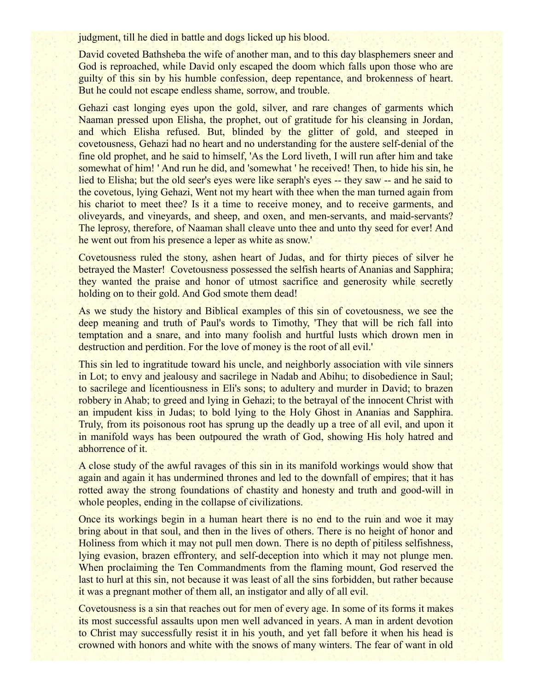judgment, till he died in battle and dogs licked up his blood.

David coveted Bathsheba the wife of another man, and to this day blasphemers sneer and God is reproached, while David only escaped the doom which falls upon those who are guilty of this sin by his humble confession, deep repentance, and brokenness of heart. But he could not escape endless shame, sorrow, and trouble.

Gehazi cast longing eyes upon the gold, silver, and rare changes of garments which Naaman pressed upon Elisha, the prophet, out of gratitude for his cleansing in Jordan, and which Elisha refused. But, blinded by the glitter of gold, and steeped in covetousness, Gehazi had no heart and no understanding for the austere self-denial of the fine old prophet, and he said to himself, 'As the Lord liveth, I will run after him and take somewhat of him! ' And run he did, and 'somewhat ' he received! Then, to hide his sin, he lied to Elisha; but the old seer's eyes were like seraph's eyes -- they saw -- and he said to the covetous, lying Gehazi, Went not my heart with thee when the man turned again from his chariot to meet thee? Is it a time to receive money, and to receive garments, and oliveyards, and vineyards, and sheep, and oxen, and men-servants, and maid-servants? The leprosy, therefore, of Naaman shall cleave unto thee and unto thy seed for ever! And he went out from his presence a leper as white as snow.'

Covetousness ruled the stony, ashen heart of Judas, and for thirty pieces of silver he betrayed the Master! Covetousness possessed the selfish hearts of Ananias and Sapphira; they wanted the praise and honor of utmost sacrifice and generosity while secretly holding on to their gold. And God smote them dead!

As we study the history and Biblical examples of this sin of covetousness, we see the deep meaning and truth of Paul's words to Timothy, 'They that will be rich fall into temptation and a snare, and into many foolish and hurtful lusts which drown men in destruction and perdition. For the love of money is the root of all evil.'

This sin led to ingratitude toward his uncle, and neighborly association with vile sinners in Lot; to envy and jealousy and sacrilege in Nadab and Abihu; to disobedience in Saul; to sacrilege and licentiousness in Eli's sons; to adultery and murder in David; to brazen robbery in Ahab; to greed and lying in Gehazi; to the betrayal of the innocent Christ with an impudent kiss in Judas; to bold lying to the Holy Ghost in Ananias and Sapphira. Truly, from its poisonous root has sprung up the deadly up a tree of all evil, and upon it in manifold ways has been outpoured the wrath of God, showing His holy hatred and abhorrence of it.

A close study of the awful ravages of this sin in its manifold workings would show that again and again it has undermined thrones and led to the downfall of empires; that it has rotted away the strong foundations of chastity and honesty and truth and good-will in whole peoples, ending in the collapse of civilizations.

Once its workings begin in a human heart there is no end to the ruin and woe it may bring about in that soul, and then in the lives of others. There is no height of honor and Holiness from which it may not pull men down. There is no depth of pitiless selfishness, lying evasion, brazen effrontery, and self-deception into which it may not plunge men. When proclaiming the Ten Commandments from the flaming mount, God reserved the last to hurl at this sin, not because it was least of all the sins forbidden, but rather because it was a pregnant mother of them all, an instigator and ally of all evil.

Covetousness is a sin that reaches out for men of every age. In some of its forms it makes its most successful assaults upon men well advanced in years. A man in ardent devotion to Christ may successfully resist it in his youth, and yet fall before it when his head is crowned with honors and white with the snows of many winters. The fear of want in old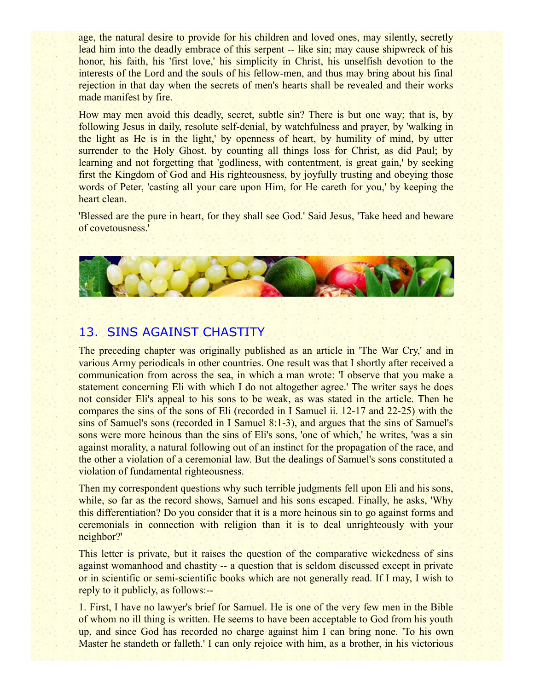age, the natural desire to provide for his children and loved ones, may silently, secretly lead him into the deadly embrace of this serpent -- like sin; may cause shipwreck of his honor, his faith, his 'first love,' his simplicity in Christ, his unselfish devotion to the interests of the Lord and the souls of his fellow-men, and thus may bring about his final rejection in that day when the secrets of men's hearts shall be revealed and their works made manifest by fire.

How may men avoid this deadly, secret, subtle sin? There is but one way; that is, by following Jesus in daily, resolute self-denial, by watchfulness and prayer, by 'walking in the light as He is in the light,' by openness of heart, by humility of mind, by utter surrender to the Holy Ghost, by counting all things loss for Christ, as did Paul; by learning and not forgetting that 'godliness, with contentment, is great gain,' by seeking first the Kingdom of God and His righteousness, by joyfully trusting and obeying those words of Peter, 'casting all your care upon Him, for He careth for you,' by keeping the heart clean.

'Blessed are the pure in heart, for they shall see God.' Said Jesus, 'Take heed and beware of covetousness.'



## 13. SINS AGAINST CHASTITY

The preceding chapter was originally published as an article in 'The War Cry,' and in various Army periodicals in other countries. One result was that I shortly after received a communication from across the sea, in which a man wrote: 'I observe that you make a statement concerning Eli with which I do not altogether agree.' The writer says he does not consider Eli's appeal to his sons to be weak, as was stated in the article. Then he compares the sins of the sons of Eli (recorded in I Samuel ii. 12-17 and 22-25) with the sins of Samuel's sons (recorded in I Samuel 8:1-3), and argues that the sins of Samuel's sons were more heinous than the sins of Eli's sons, 'one of which,' he writes, 'was a sin against morality, a natural following out of an instinct for the propagation of the race, and the other a violation of a ceremonial law. But the dealings of Samuel's sons constituted a violation of fundamental righteousness.

Then my correspondent questions why such terrible judgments fell upon Eli and his sons, while, so far as the record shows, Samuel and his sons escaped. Finally, he asks, 'Why this differentiation? Do you consider that it is a more heinous sin to go against forms and ceremonials in connection with religion than it is to deal unrighteously with your neighbor?'

This letter is private, but it raises the question of the comparative wickedness of sins against womanhood and chastity -- a question that is seldom discussed except in private or in scientific or semi-scientific books which are not generally read. If I may, I wish to reply to it publicly, as follows:--

1. First, I have no lawyer's brief for Samuel. He is one of the very few men in the Bible of whom no ill thing is written. He seems to have been acceptable to God from his youth up, and since God has recorded no charge against him I can bring none. 'To his own Master he standeth or falleth.' I can only rejoice with him, as a brother, in his victorious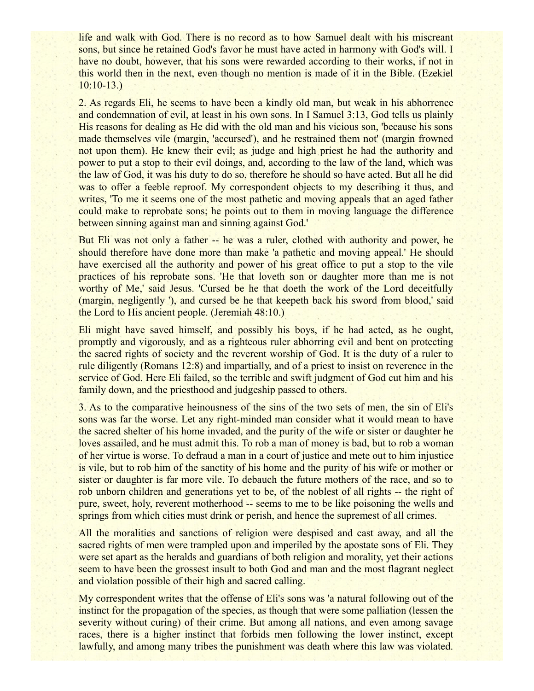life and walk with God. There is no record as to how Samuel dealt with his miscreant sons, but since he retained God's favor he must have acted in harmony with God's will. I have no doubt, however, that his sons were rewarded according to their works, if not in this world then in the next, even though no mention is made of it in the Bible. (Ezekiel 10:10-13.)

2. As regards Eli, he seems to have been a kindly old man, but weak in his abhorrence and condemnation of evil, at least in his own sons. In I Samuel 3:13, God tells us plainly His reasons for dealing as He did with the old man and his vicious son, 'because his sons made themselves vile (margin, 'accursed'), and he restrained them not' (margin frowned not upon them). He knew their evil; as judge and high priest he had the authority and power to put a stop to their evil doings, and, according to the law of the land, which was the law of God, it was his duty to do so, therefore he should so have acted. But all he did was to offer a feeble reproof. My correspondent objects to my describing it thus, and writes, 'To me it seems one of the most pathetic and moving appeals that an aged father could make to reprobate sons; he points out to them in moving language the difference between sinning against man and sinning against God.'

But Eli was not only a father -- he was a ruler, clothed with authority and power, he should therefore have done more than make 'a pathetic and moving appeal.' He should have exercised all the authority and power of his great office to put a stop to the vile practices of his reprobate sons. 'He that loveth son or daughter more than me is not worthy of Me,' said Jesus. 'Cursed be he that doeth the work of the Lord deceitfully (margin, negligently '), and cursed be he that keepeth back his sword from blood,' said the Lord to His ancient people. (Jeremiah 48:10.)

Eli might have saved himself, and possibly his boys, if he had acted, as he ought, promptly and vigorously, and as a righteous ruler abhorring evil and bent on protecting the sacred rights of society and the reverent worship of God. It is the duty of a ruler to rule diligently (Romans 12:8) and impartially, and of a priest to insist on reverence in the service of God. Here Eli failed, so the terrible and swift judgment of God cut him and his family down, and the priesthood and judgeship passed to others.

3. As to the comparative heinousness of the sins of the two sets of men, the sin of Eli's sons was far the worse. Let any right-minded man consider what it would mean to have the sacred shelter of his home invaded, and the purity of the wife or sister or daughter he loves assailed, and he must admit this. To rob a man of money is bad, but to rob a woman of her virtue is worse. To defraud a man in a court of justice and mete out to him injustice is vile, but to rob him of the sanctity of his home and the purity of his wife or mother or sister or daughter is far more vile. To debauch the future mothers of the race, and so to rob unborn children and generations yet to be, of the noblest of all rights -- the right of pure, sweet, holy, reverent motherhood -- seems to me to be like poisoning the wells and springs from which cities must drink or perish, and hence the supremest of all crimes.

All the moralities and sanctions of religion were despised and cast away, and all the sacred rights of men were trampled upon and imperiled by the apostate sons of Eli. They were set apart as the heralds and guardians of both religion and morality, yet their actions seem to have been the grossest insult to both God and man and the most flagrant neglect and violation possible of their high and sacred calling.

My correspondent writes that the offense of Eli's sons was 'a natural following out of the instinct for the propagation of the species, as though that were some palliation (lessen the severity without curing) of their crime. But among all nations, and even among savage races, there is a higher instinct that forbids men following the lower instinct, except lawfully, and among many tribes the punishment was death where this law was violated.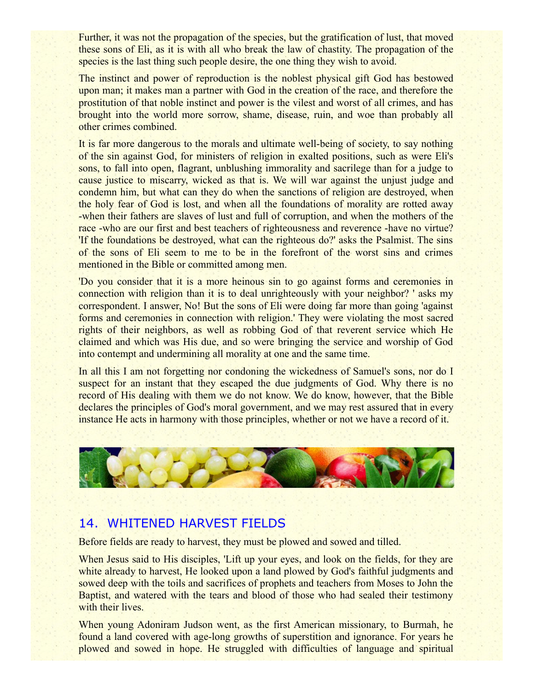Further, it was not the propagation of the species, but the gratification of lust, that moved these sons of Eli, as it is with all who break the law of chastity. The propagation of the species is the last thing such people desire, the one thing they wish to avoid.

The instinct and power of reproduction is the noblest physical gift God has bestowed upon man; it makes man a partner with God in the creation of the race, and therefore the prostitution of that noble instinct and power is the vilest and worst of all crimes, and has brought into the world more sorrow, shame, disease, ruin, and woe than probably all other crimes combined.

It is far more dangerous to the morals and ultimate well-being of society, to say nothing of the sin against God, for ministers of religion in exalted positions, such as were Eli's sons, to fall into open, flagrant, unblushing immorality and sacrilege than for a judge to cause justice to miscarry, wicked as that is. We will war against the unjust judge and condemn him, but what can they do when the sanctions of religion are destroyed, when the holy fear of God is lost, and when all the foundations of morality are rotted away -when their fathers are slaves of lust and full of corruption, and when the mothers of the race -who are our first and best teachers of righteousness and reverence -have no virtue? 'If the foundations be destroyed, what can the righteous do?' asks the Psalmist. The sins of the sons of Eli seem to me to be in the forefront of the worst sins and crimes mentioned in the Bible or committed among men.

'Do you consider that it is a more heinous sin to go against forms and ceremonies in connection with religion than it is to deal unrighteously with your neighbor? ' asks my correspondent. I answer, No! But the sons of Eli were doing far more than going 'against forms and ceremonies in connection with religion.' They were violating the most sacred rights of their neighbors, as well as robbing God of that reverent service which He claimed and which was His due, and so were bringing the service and worship of God into contempt and undermining all morality at one and the same time.

In all this I am not forgetting nor condoning the wickedness of Samuel's sons, nor do I suspect for an instant that they escaped the due judgments of God. Why there is no record of His dealing with them we do not know. We do know, however, that the Bible declares the principles of God's moral government, and we may rest assured that in every instance He acts in harmony with those principles, whether or not we have a record of it.



### 14. WHITENED HARVEST FIELDS

Before fields are ready to harvest, they must be plowed and sowed and tilled.

When Jesus said to His disciples, 'Lift up your eyes, and look on the fields, for they are white already to harvest, He looked upon a land plowed by God's faithful judgments and sowed deep with the toils and sacrifices of prophets and teachers from Moses to John the Baptist, and watered with the tears and blood of those who had sealed their testimony with their lives.

When young Adoniram Judson went, as the first American missionary, to Burmah, he found a land covered with age-long growths of superstition and ignorance. For years he plowed and sowed in hope. He struggled with difficulties of language and spiritual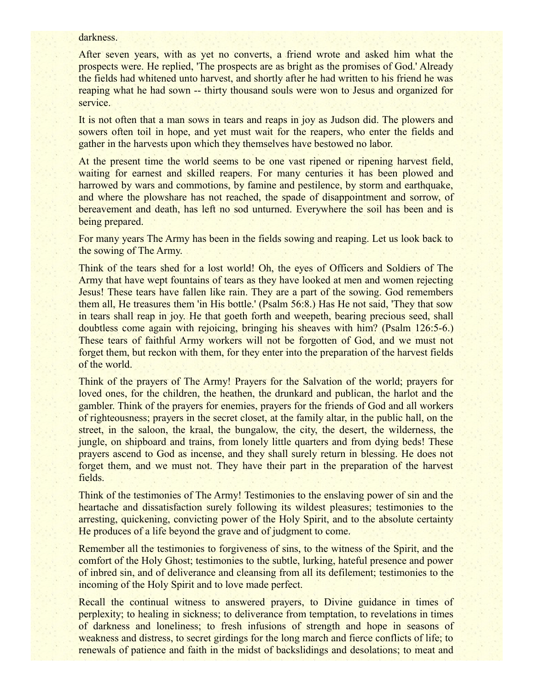#### darkness.

After seven years, with as yet no converts, a friend wrote and asked him what the prospects were. He replied, 'The prospects are as bright as the promises of God.' Already the fields had whitened unto harvest, and shortly after he had written to his friend he was reaping what he had sown -- thirty thousand souls were won to Jesus and organized for service.

It is not often that a man sows in tears and reaps in joy as Judson did. The plowers and sowers often toil in hope, and yet must wait for the reapers, who enter the fields and gather in the harvests upon which they themselves have bestowed no labor.

At the present time the world seems to be one vast ripened or ripening harvest field, waiting for earnest and skilled reapers. For many centuries it has been plowed and harrowed by wars and commotions, by famine and pestilence, by storm and earthquake, and where the plowshare has not reached, the spade of disappointment and sorrow, of bereavement and death, has left no sod unturned. Everywhere the soil has been and is being prepared.

For many years The Army has been in the fields sowing and reaping. Let us look back to the sowing of The Army.

Think of the tears shed for a lost world! Oh, the eyes of Officers and Soldiers of The Army that have wept fountains of tears as they have looked at men and women rejecting Jesus! These tears have fallen like rain. They are a part of the sowing. God remembers them all, He treasures them 'in His bottle.' (Psalm 56:8.) Has He not said, 'They that sow in tears shall reap in joy. He that goeth forth and weepeth, bearing precious seed, shall doubtless come again with rejoicing, bringing his sheaves with him? (Psalm 126:5-6.) These tears of faithful Army workers will not be forgotten of God, and we must not forget them, but reckon with them, for they enter into the preparation of the harvest fields of the world.

Think of the prayers of The Army! Prayers for the Salvation of the world; prayers for loved ones, for the children, the heathen, the drunkard and publican, the harlot and the gambler. Think of the prayers for enemies, prayers for the friends of God and all workers of righteousness; prayers in the secret closet, at the family altar, in the public hall, on the street, in the saloon, the kraal, the bungalow, the city, the desert, the wilderness, the jungle, on shipboard and trains, from lonely little quarters and from dying beds! These prayers ascend to God as incense, and they shall surely return in blessing. He does not forget them, and we must not. They have their part in the preparation of the harvest fields.

Think of the testimonies of The Army! Testimonies to the enslaving power of sin and the heartache and dissatisfaction surely following its wildest pleasures; testimonies to the arresting, quickening, convicting power of the Holy Spirit, and to the absolute certainty He produces of a life beyond the grave and of judgment to come.

Remember all the testimonies to forgiveness of sins, to the witness of the Spirit, and the comfort of the Holy Ghost; testimonies to the subtle, lurking, hateful presence and power of inbred sin, and of deliverance and cleansing from all its defilement; testimonies to the incoming of the Holy Spirit and to love made perfect.

Recall the continual witness to answered prayers, to Divine guidance in times of perplexity; to healing in sickness; to deliverance from temptation, to revelations in times of darkness and loneliness; to fresh infusions of strength and hope in seasons of weakness and distress, to secret girdings for the long march and fierce conflicts of life; to renewals of patience and faith in the midst of backslidings and desolations; to meat and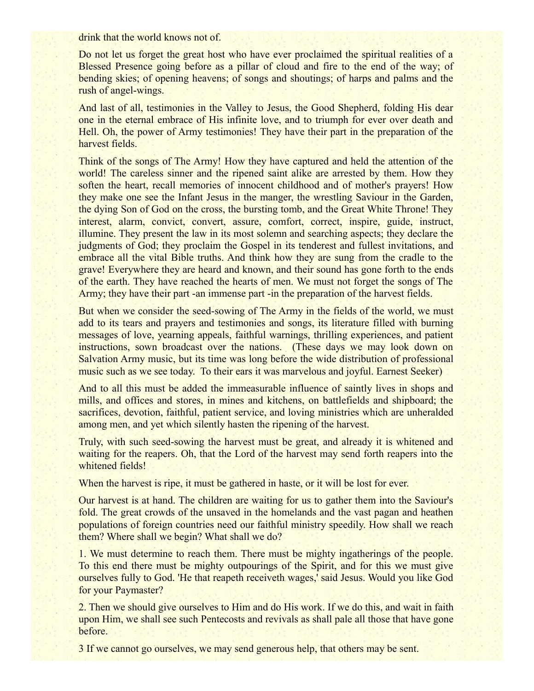drink that the world knows not of.

Do not let us forget the great host who have ever proclaimed the spiritual realities of a Blessed Presence going before as a pillar of cloud and fire to the end of the way; of bending skies; of opening heavens; of songs and shoutings; of harps and palms and the rush of angel-wings.

And last of all, testimonies in the Valley to Jesus, the Good Shepherd, folding His dear one in the eternal embrace of His infinite love, and to triumph for ever over death and Hell. Oh, the power of Army testimonies! They have their part in the preparation of the harvest fields.

Think of the songs of The Army! How they have captured and held the attention of the world! The careless sinner and the ripened saint alike are arrested by them. How they soften the heart, recall memories of innocent childhood and of mother's prayers! How they make one see the Infant Jesus in the manger, the wrestling Saviour in the Garden, the dying Son of God on the cross, the bursting tomb, and the Great White Throne! They interest, alarm, convict, convert, assure, comfort, correct, inspire, guide, instruct, illumine. They present the law in its most solemn and searching aspects; they declare the judgments of God; they proclaim the Gospel in its tenderest and fullest invitations, and embrace all the vital Bible truths. And think how they are sung from the cradle to the grave! Everywhere they are heard and known, and their sound has gone forth to the ends of the earth. They have reached the hearts of men. We must not forget the songs of The Army; they have their part -an immense part -in the preparation of the harvest fields.

But when we consider the seed-sowing of The Army in the fields of the world, we must add to its tears and prayers and testimonies and songs, its literature filled with burning messages of love, yearning appeals, faithful warnings, thrilling experiences, and patient instructions, sown broadcast over the nations. (These days we may look down on Salvation Army music, but its time was long before the wide distribution of professional music such as we see today. To their ears it was marvelous and joyful. Earnest Seeker)

And to all this must be added the immeasurable influence of saintly lives in shops and mills, and offices and stores, in mines and kitchens, on battlefields and shipboard; the sacrifices, devotion, faithful, patient service, and loving ministries which are unheralded among men, and yet which silently hasten the ripening of the harvest.

Truly, with such seed-sowing the harvest must be great, and already it is whitened and waiting for the reapers. Oh, that the Lord of the harvest may send forth reapers into the whitened fields!

When the harvest is ripe, it must be gathered in haste, or it will be lost for ever.

Our harvest is at hand. The children are waiting for us to gather them into the Saviour's fold. The great crowds of the unsaved in the homelands and the vast pagan and heathen populations of foreign countries need our faithful ministry speedily. How shall we reach them? Where shall we begin? What shall we do?

1. We must determine to reach them. There must be mighty ingatherings of the people. To this end there must be mighty outpourings of the Spirit, and for this we must give ourselves fully to God. 'He that reapeth receiveth wages,' said Jesus. Would you like God for your Paymaster?

2. Then we should give ourselves to Him and do His work. If we do this, and wait in faith upon Him, we shall see such Pentecosts and revivals as shall pale all those that have gone before.

3 If we cannot go ourselves, we may send generous help, that others may be sent.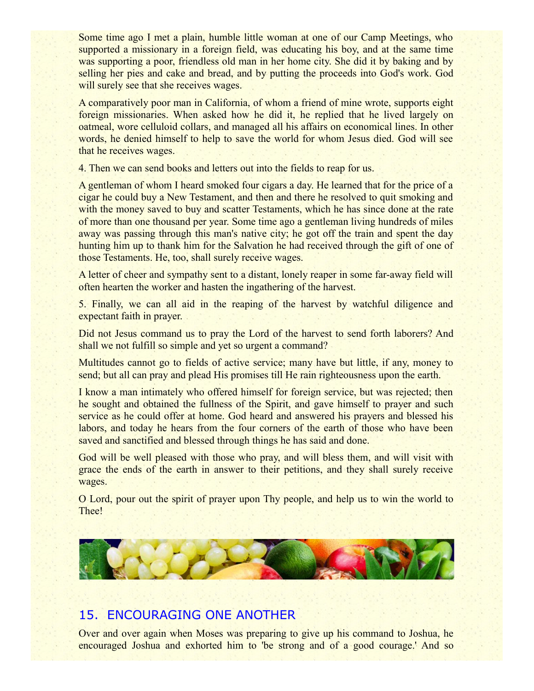Some time ago I met a plain, humble little woman at one of our Camp Meetings, who supported a missionary in a foreign field, was educating his boy, and at the same time was supporting a poor, friendless old man in her home city. She did it by baking and by selling her pies and cake and bread, and by putting the proceeds into God's work. God will surely see that she receives wages.

A comparatively poor man in California, of whom a friend of mine wrote, supports eight foreign missionaries. When asked how he did it, he replied that he lived largely on oatmeal, wore celluloid collars, and managed all his affairs on economical lines. In other words, he denied himself to help to save the world for whom Jesus died. God will see that he receives wages.

4. Then we can send books and letters out into the fields to reap for us.

A gentleman of whom I heard smoked four cigars a day. He learned that for the price of a cigar he could buy a New Testament, and then and there he resolved to quit smoking and with the money saved to buy and scatter Testaments, which he has since done at the rate of more than one thousand per year. Some time ago a gentleman living hundreds of miles away was passing through this man's native city; he got off the train and spent the day hunting him up to thank him for the Salvation he had received through the gift of one of those Testaments. He, too, shall surely receive wages.

A letter of cheer and sympathy sent to a distant, lonely reaper in some far-away field will often hearten the worker and hasten the ingathering of the harvest.

5. Finally, we can all aid in the reaping of the harvest by watchful diligence and expectant faith in prayer.

Did not Jesus command us to pray the Lord of the harvest to send forth laborers? And shall we not fulfill so simple and yet so urgent a command?

Multitudes cannot go to fields of active service; many have but little, if any, money to send; but all can pray and plead His promises till He rain righteousness upon the earth.

I know a man intimately who offered himself for foreign service, but was rejected; then he sought and obtained the fullness of the Spirit, and gave himself to prayer and such service as he could offer at home. God heard and answered his prayers and blessed his labors, and today he hears from the four corners of the earth of those who have been saved and sanctified and blessed through things he has said and done.

God will be well pleased with those who pray, and will bless them, and will visit with grace the ends of the earth in answer to their petitions, and they shall surely receive wages.

O Lord, pour out the spirit of prayer upon Thy people, and help us to win the world to Thee!



# 15. ENCOURAGING ONE ANOTHER

Over and over again when Moses was preparing to give up his command to Joshua, he encouraged Joshua and exhorted him to 'be strong and of a good courage.' And so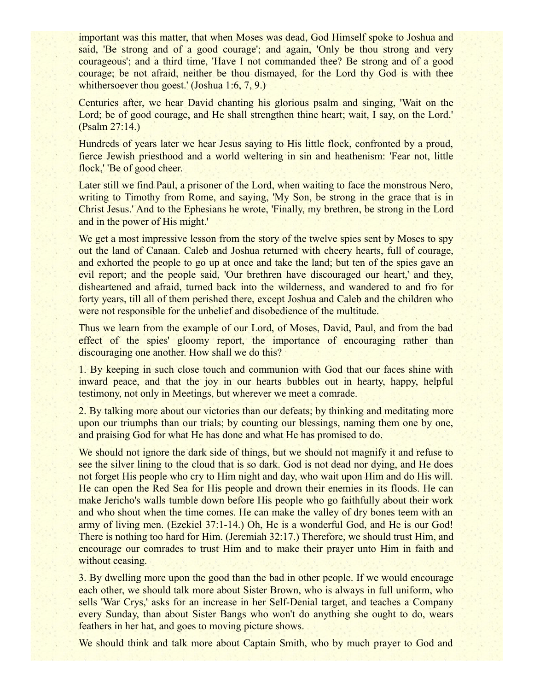important was this matter, that when Moses was dead, God Himself spoke to Joshua and said, 'Be strong and of a good courage'; and again, 'Only be thou strong and very courageous'; and a third time, 'Have I not commanded thee? Be strong and of a good courage; be not afraid, neither be thou dismayed, for the Lord thy God is with thee whithersoever thou goest.' (Joshua 1:6, 7, 9.)

Centuries after, we hear David chanting his glorious psalm and singing, 'Wait on the Lord; be of good courage, and He shall strengthen thine heart; wait, I say, on the Lord.' (Psalm 27:14.)

Hundreds of years later we hear Jesus saying to His little flock, confronted by a proud, fierce Jewish priesthood and a world weltering in sin and heathenism: 'Fear not, little flock,' 'Be of good cheer.

Later still we find Paul, a prisoner of the Lord, when waiting to face the monstrous Nero, writing to Timothy from Rome, and saying, 'My Son, be strong in the grace that is in Christ Jesus.' And to the Ephesians he wrote, 'Finally, my brethren, be strong in the Lord and in the power of His might.'

We get a most impressive lesson from the story of the twelve spies sent by Moses to spy out the land of Canaan. Caleb and Joshua returned with cheery hearts, full of courage, and exhorted the people to go up at once and take the land; but ten of the spies gave an evil report; and the people said, 'Our brethren have discouraged our heart,' and they, disheartened and afraid, turned back into the wilderness, and wandered to and fro for forty years, till all of them perished there, except Joshua and Caleb and the children who were not responsible for the unbelief and disobedience of the multitude.

Thus we learn from the example of our Lord, of Moses, David, Paul, and from the bad effect of the spies' gloomy report, the importance of encouraging rather than discouraging one another. How shall we do this?

1. By keeping in such close touch and communion with God that our faces shine with inward peace, and that the joy in our hearts bubbles out in hearty, happy, helpful testimony, not only in Meetings, but wherever we meet a comrade.

2. By talking more about our victories than our defeats; by thinking and meditating more upon our triumphs than our trials; by counting our blessings, naming them one by one, and praising God for what He has done and what He has promised to do.

We should not ignore the dark side of things, but we should not magnify it and refuse to see the silver lining to the cloud that is so dark. God is not dead nor dying, and He does not forget His people who cry to Him night and day, who wait upon Him and do His will. He can open the Red Sea for His people and drown their enemies in its floods. He can make Jericho's walls tumble down before His people who go faithfully about their work and who shout when the time comes. He can make the valley of dry bones teem with an army of living men. (Ezekiel 37:1-14.) Oh, He is a wonderful God, and He is our God! There is nothing too hard for Him. (Jeremiah 32:17.) Therefore, we should trust Him, and encourage our comrades to trust Him and to make their prayer unto Him in faith and without ceasing.

3. By dwelling more upon the good than the bad in other people. If we would encourage each other, we should talk more about Sister Brown, who is always in full uniform, who sells 'War Crys,' asks for an increase in her Self-Denial target, and teaches a Company every Sunday, than about Sister Bangs who won't do anything she ought to do, wears feathers in her hat, and goes to moving picture shows.

We should think and talk more about Captain Smith, who by much prayer to God and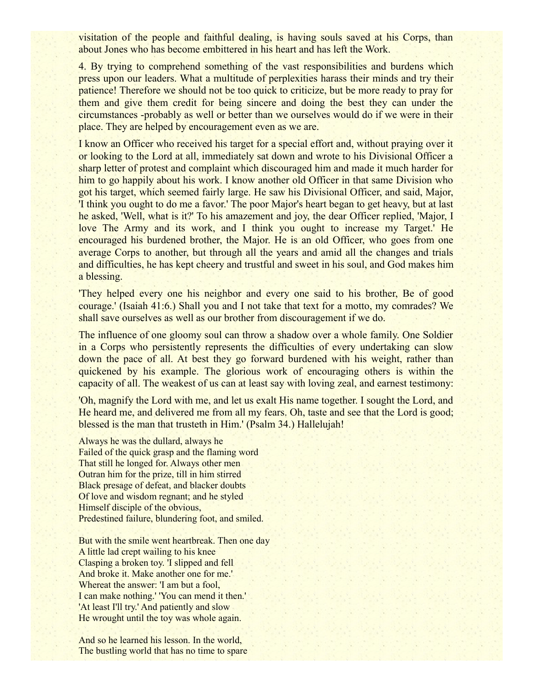visitation of the people and faithful dealing, is having souls saved at his Corps, than about Jones who has become embittered in his heart and has left the Work.

4. By trying to comprehend something of the vast responsibilities and burdens which press upon our leaders. What a multitude of perplexities harass their minds and try their patience! Therefore we should not be too quick to criticize, but be more ready to pray for them and give them credit for being sincere and doing the best they can under the circumstances -probably as well or better than we ourselves would do if we were in their place. They are helped by encouragement even as we are.

I know an Officer who received his target for a special effort and, without praying over it or looking to the Lord at all, immediately sat down and wrote to his Divisional Officer a sharp letter of protest and complaint which discouraged him and made it much harder for him to go happily about his work. I know another old Officer in that same Division who got his target, which seemed fairly large. He saw his Divisional Officer, and said, Major, 'I think you ought to do me a favor.' The poor Major's heart began to get heavy, but at last he asked, 'Well, what is it?' To his amazement and joy, the dear Officer replied, 'Major, I love The Army and its work, and I think you ought to increase my Target.' He encouraged his burdened brother, the Major. He is an old Officer, who goes from one average Corps to another, but through all the years and amid all the changes and trials and difficulties, he has kept cheery and trustful and sweet in his soul, and God makes him a blessing.

'They helped every one his neighbor and every one said to his brother, Be of good courage.' (Isaiah 41:6.) Shall you and I not take that text for a motto, my comrades? We shall save ourselves as well as our brother from discouragement if we do.

The influence of one gloomy soul can throw a shadow over a whole family. One Soldier in a Corps who persistently represents the difficulties of every undertaking can slow down the pace of all. At best they go forward burdened with his weight, rather than quickened by his example. The glorious work of encouraging others is within the capacity of all. The weakest of us can at least say with loving zeal, and earnest testimony:

'Oh, magnify the Lord with me, and let us exalt His name together. I sought the Lord, and He heard me, and delivered me from all my fears. Oh, taste and see that the Lord is good; blessed is the man that trusteth in Him.' (Psalm 34.) Hallelujah!

Always he was the dullard, always he Failed of the quick grasp and the flaming word That still he longed for. Always other men Outran him for the prize, till in him stirred Black presage of defeat, and blacker doubts Of love and wisdom regnant; and he styled Himself disciple of the obvious, Predestined failure, blundering foot, and smiled.

But with the smile went heartbreak. Then one day A little lad crept wailing to his knee Clasping a broken toy. 'I slipped and fell And broke it. Make another one for me.' Whereat the answer: 'I am but a fool, I can make nothing.' 'You can mend it then.' 'At least I'll try.' And patiently and slow He wrought until the toy was whole again.

And so he learned his lesson. In the world, The bustling world that has no time to spare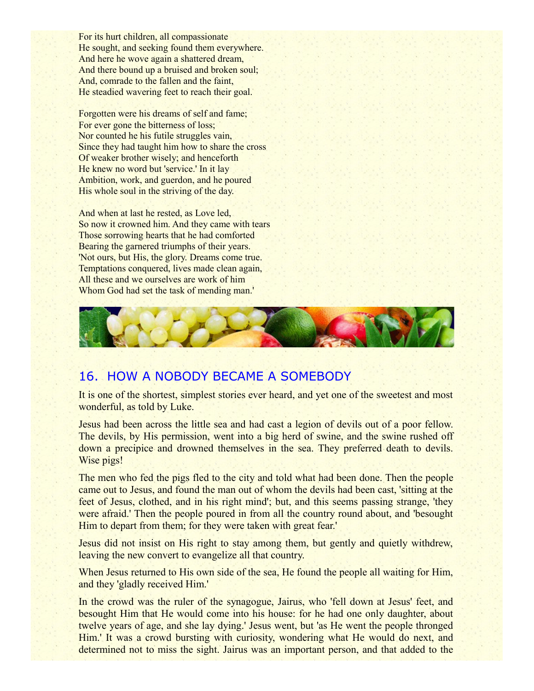For its hurt children, all compassionate He sought, and seeking found them everywhere. And here he wove again a shattered dream, And there bound up a bruised and broken soul; And, comrade to the fallen and the faint, He steadied wavering feet to reach their goal.

Forgotten were his dreams of self and fame; For ever gone the bitterness of loss; Nor counted he his futile struggles vain, Since they had taught him how to share the cross Of weaker brother wisely; and henceforth He knew no word but 'service.' In it lay Ambition, work, and guerdon, and he poured His whole soul in the striving of the day.

And when at last he rested, as Love led, So now it crowned him. And they came with tears Those sorrowing hearts that he had comforted Bearing the garnered triumphs of their years. 'Not ours, but His, the glory. Dreams come true. Temptations conquered, lives made clean again, All these and we ourselves are work of him Whom God had set the task of mending man.'



## 16. HOW A NOBODY BECAME A SOMEBODY

It is one of the shortest, simplest stories ever heard, and yet one of the sweetest and most wonderful, as told by Luke.

Jesus had been across the little sea and had cast a legion of devils out of a poor fellow. The devils, by His permission, went into a big herd of swine, and the swine rushed off down a precipice and drowned themselves in the sea. They preferred death to devils. Wise pigs!

The men who fed the pigs fled to the city and told what had been done. Then the people came out to Jesus, and found the man out of whom the devils had been cast, 'sitting at the feet of Jesus, clothed, and in his right mind'; but, and this seems passing strange, 'they were afraid.' Then the people poured in from all the country round about, and 'besought Him to depart from them; for they were taken with great fear.'

Jesus did not insist on His right to stay among them, but gently and quietly withdrew, leaving the new convert to evangelize all that country.

When Jesus returned to His own side of the sea, He found the people all waiting for Him, and they 'gladly received Him.'

In the crowd was the ruler of the synagogue, Jairus, who 'fell down at Jesus' feet, and besought Him that He would come into his house: for he had one only daughter, about twelve years of age, and she lay dying.' Jesus went, but 'as He went the people thronged Him.' It was a crowd bursting with curiosity, wondering what He would do next, and determined not to miss the sight. Jairus was an important person, and that added to the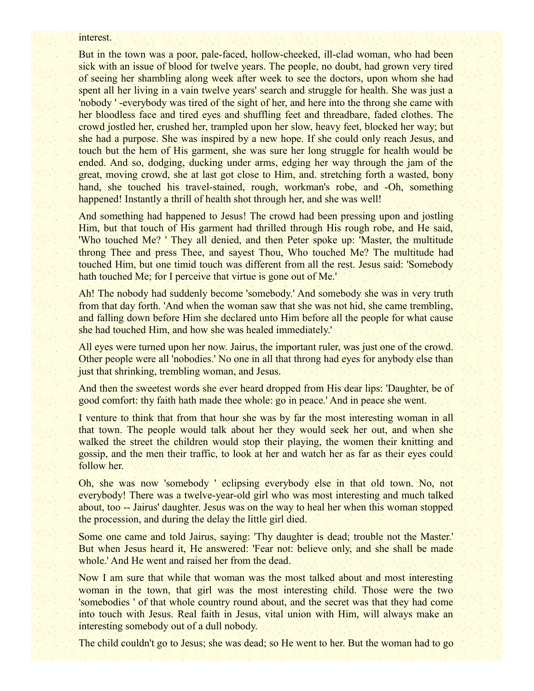#### interest.

But in the town was a poor, pale-faced, hollow-cheeked, ill-clad woman, who had been sick with an issue of blood for twelve years. The people, no doubt, had grown very tired of seeing her shambling along week after week to see the doctors, upon whom she had spent all her living in a vain twelve years' search and struggle for health. She was just a 'nobody ' -everybody was tired of the sight of her, and here into the throng she came with her bloodless face and tired eyes and shuffling feet and threadbare, faded clothes. The crowd jostled her, crushed her, trampled upon her slow, heavy feet, blocked her way; but she had a purpose. She was inspired by a new hope. If she could only reach Jesus, and touch but the hem of His garment, she was sure her long struggle for health would be ended. And so, dodging, ducking under arms, edging her way through the jam of the great, moving crowd, she at last got close to Him, and. stretching forth a wasted, bony hand, she touched his travel-stained, rough, workman's robe, and -Oh, something happened! Instantly a thrill of health shot through her, and she was well!

And something had happened to Jesus! The crowd had been pressing upon and jostling Him, but that touch of His garment had thrilled through His rough robe, and He said, 'Who touched Me? ' They all denied, and then Peter spoke up: 'Master, the multitude throng Thee and press Thee, and sayest Thou, Who touched Me? The multitude had touched Him, but one timid touch was different from all the rest. Jesus said: 'Somebody hath touched Me; for I perceive that virtue is gone out of Me.'

Ah! The nobody had suddenly become 'somebody.' And somebody she was in very truth from that day forth. 'And when the woman saw that she was not hid, she came trembling, and falling down before Him she declared unto Him before all the people for what cause she had touched Him, and how she was healed immediately.'

All eyes were turned upon her now. Jairus, the important ruler, was just one of the crowd. Other people were all 'nobodies.' No one in all that throng had eyes for anybody else than just that shrinking, trembling woman, and Jesus.

And then the sweetest words she ever heard dropped from His dear lips: 'Daughter, be of good comfort: thy faith hath made thee whole: go in peace.' And in peace she went.

I venture to think that from that hour she was by far the most interesting woman in all that town. The people would talk about her they would seek her out, and when she walked the street the children would stop their playing, the women their knitting and gossip, and the men their traffic, to look at her and watch her as far as their eyes could follow her.

Oh, she was now 'somebody ' eclipsing everybody else in that old town. No, not everybody! There was a twelve-year-old girl who was most interesting and much talked about, too -- Jairus' daughter. Jesus was on the way to heal her when this woman stopped the procession, and during the delay the little girl died.

Some one came and told Jairus, saying: 'Thy daughter is dead; trouble not the Master.' But when Jesus heard it, He answered: 'Fear not: believe only, and she shall be made whole.' And He went and raised her from the dead.

Now I am sure that while that woman was the most talked about and most interesting woman in the town, that girl was the most interesting child. Those were the two 'somebodies ' of that whole country round about, and the secret was that they had come into touch with Jesus. Real faith in Jesus, vital union with Him, will always make an interesting somebody out of a dull nobody.

The child couldn't go to Jesus; she was dead; so He went to her. But the woman had to go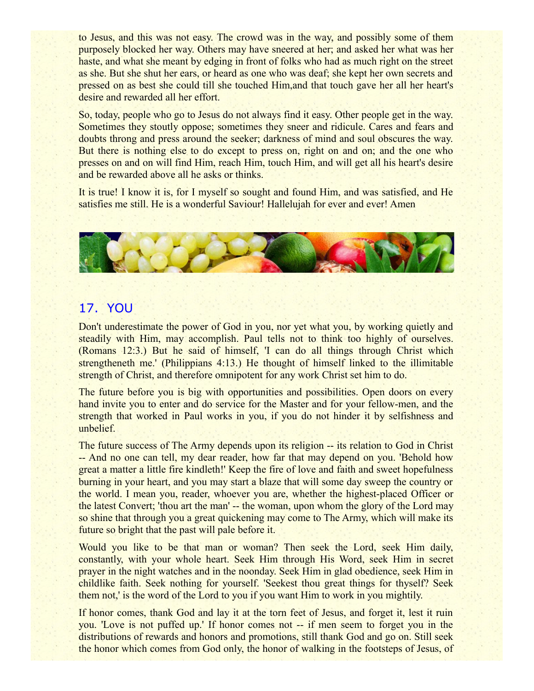to Jesus, and this was not easy. The crowd was in the way, and possibly some of them purposely blocked her way. Others may have sneered at her; and asked her what was her haste, and what she meant by edging in front of folks who had as much right on the street as she. But she shut her ears, or heard as one who was deaf; she kept her own secrets and pressed on as best she could till she touched Him,and that touch gave her all her heart's desire and rewarded all her effort.

So, today, people who go to Jesus do not always find it easy. Other people get in the way. Sometimes they stoutly oppose; sometimes they sneer and ridicule. Cares and fears and doubts throng and press around the seeker; darkness of mind and soul obscures the way. But there is nothing else to do except to press on, right on and on; and the one who presses on and on will find Him, reach Him, touch Him, and will get all his heart's desire and be rewarded above all he asks or thinks.

It is true! I know it is, for I myself so sought and found Him, and was satisfied, and He satisfies me still. He is a wonderful Saviour! Hallelujah for ever and ever! Amen



## 17. YOU

Don't underestimate the power of God in you, nor yet what you, by working quietly and steadily with Him, may accomplish. Paul tells not to think too highly of ourselves. (Romans 12:3.) But he said of himself, 'I can do all things through Christ which strengtheneth me.' (Philippians 4:13.) He thought of himself linked to the illimitable strength of Christ, and therefore omnipotent for any work Christ set him to do.

The future before you is big with opportunities and possibilities. Open doors on every hand invite you to enter and do service for the Master and for your fellow-men, and the strength that worked in Paul works in you, if you do not hinder it by selfishness and unbelief.

The future success of The Army depends upon its religion -- its relation to God in Christ -- And no one can tell, my dear reader, how far that may depend on you. 'Behold how great a matter a little fire kindleth!' Keep the fire of love and faith and sweet hopefulness burning in your heart, and you may start a blaze that will some day sweep the country or the world. I mean you, reader, whoever you are, whether the highest-placed Officer or the latest Convert; 'thou art the man' -- the woman, upon whom the glory of the Lord may so shine that through you a great quickening may come to The Army, which will make its future so bright that the past will pale before it.

Would you like to be that man or woman? Then seek the Lord, seek Him daily, constantly, with your whole heart. Seek Him through His Word, seek Him in secret prayer in the night watches and in the noonday. Seek Him in glad obedience, seek Him in childlike faith. Seek nothing for yourself. 'Seekest thou great things for thyself? Seek them not,' is the word of the Lord to you if you want Him to work in you mightily.

If honor comes, thank God and lay it at the torn feet of Jesus, and forget it, lest it ruin you. 'Love is not puffed up.' If honor comes not -- if men seem to forget you in the distributions of rewards and honors and promotions, still thank God and go on. Still seek the honor which comes from God only, the honor of walking in the footsteps of Jesus, of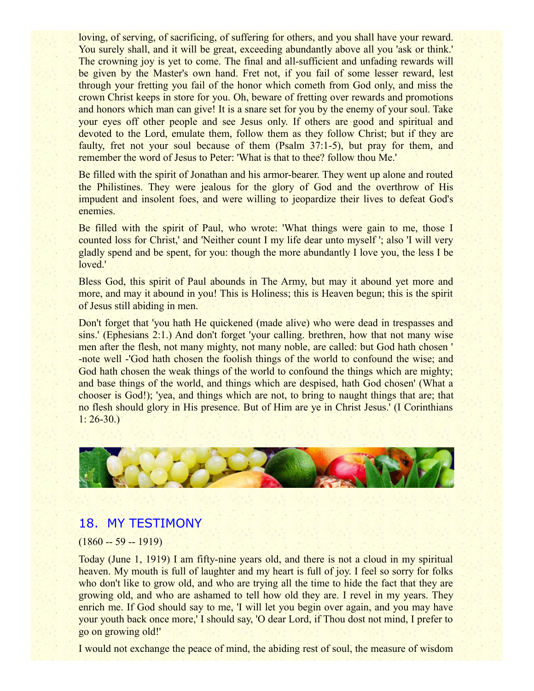loving, of serving, of sacrificing, of suffering for others, and you shall have your reward. You surely shall, and it will be great, exceeding abundantly above all you 'ask or think.' The crowning joy is yet to come. The final and all-sufficient and unfading rewards will be given by the Master's own hand. Fret not, if you fail of some lesser reward, lest through your fretting you fail of the honor which cometh from God only, and miss the crown Christ keeps in store for you. Oh, beware of fretting over rewards and promotions and honors which man can give! It is a snare set for you by the enemy of your soul. Take your eyes off other people and see Jesus only. If others are good and spiritual and devoted to the Lord, emulate them, follow them as they follow Christ; but if they are faulty, fret not your soul because of them (Psalm 37:1-5), but pray for them, and remember the word of Jesus to Peter: 'What is that to thee? follow thou Me.'

Be filled with the spirit of Jonathan and his armor-bearer. They went up alone and routed the Philistines. They were jealous for the glory of God and the overthrow of His impudent and insolent foes, and were willing to jeopardize their lives to defeat God's enemies.

Be filled with the spirit of Paul, who wrote: 'What things were gain to me, those I counted loss for Christ,' and 'Neither count I my life dear unto myself '; also 'I will very gladly spend and be spent, for you: though the more abundantly I love you, the less I be loved.'

Bless God, this spirit of Paul abounds in The Army, but may it abound yet more and more, and may it abound in you! This is Holiness; this is Heaven begun; this is the spirit of Jesus still abiding in men.

Don't forget that 'you hath He quickened (made alive) who were dead in trespasses and sins.' (Ephesians 2:1.) And don't forget 'your calling. brethren, how that not many wise men after the flesh, not many mighty, not many noble, are called: but God hath chosen ' -note well -'God hath chosen the foolish things of the world to confound the wise; and God hath chosen the weak things of the world to confound the things which are mighty; and base things of the world, and things which are despised, hath God chosen' (What a chooser is God!); 'yea, and things which are not, to bring to naught things that are; that no flesh should glory in His presence. But of Him are ye in Christ Jesus.' (I Corinthians  $1: 26-30.$ 



#### 18. MY TESTIMONY

#### $(1860 - 59 - 1919)$

Today (June 1, 1919) I am fifty-nine years old, and there is not a cloud in my spiritual heaven. My mouth is full of laughter and my heart is full of joy. I feel so sorry for folks who don't like to grow old, and who are trying all the time to hide the fact that they are growing old, and who are ashamed to tell how old they are. I revel in my years. They enrich me. If God should say to me, 'I will let you begin over again, and you may have your youth back once more,' I should say, 'O dear Lord, if Thou dost not mind, I prefer to go on growing old!'

I would not exchange the peace of mind, the abiding rest of soul, the measure of wisdom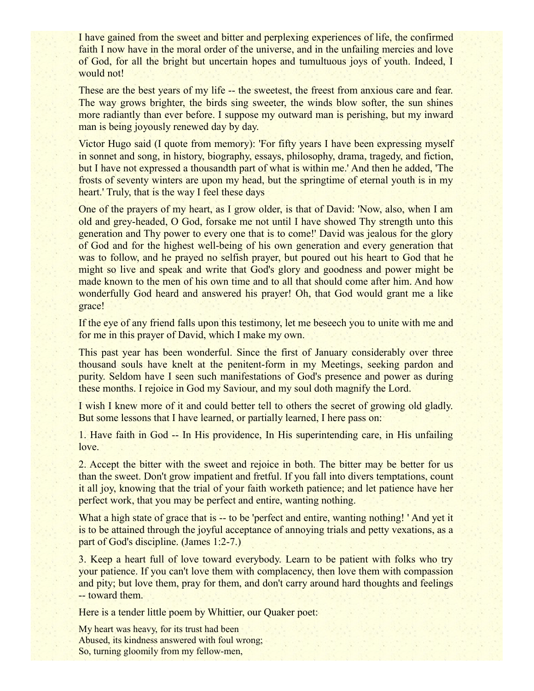I have gained from the sweet and bitter and perplexing experiences of life, the confirmed faith I now have in the moral order of the universe, and in the unfailing mercies and love of God, for all the bright but uncertain hopes and tumultuous joys of youth. Indeed, I would not!

These are the best years of my life -- the sweetest, the freest from anxious care and fear. The way grows brighter, the birds sing sweeter, the winds blow softer, the sun shines more radiantly than ever before. I suppose my outward man is perishing, but my inward man is being joyously renewed day by day.

Victor Hugo said (I quote from memory): 'For fifty years I have been expressing myself in sonnet and song, in history, biography, essays, philosophy, drama, tragedy, and fiction, but I have not expressed a thousandth part of what is within me.' And then he added, 'The frosts of seventy winters are upon my head, but the springtime of eternal youth is in my heart.' Truly, that is the way I feel these days

One of the prayers of my heart, as I grow older, is that of David: 'Now, also, when I am old and grey-headed, O God, forsake me not until I have showed Thy strength unto this generation and Thy power to every one that is to come!' David was jealous for the glory of God and for the highest well-being of his own generation and every generation that was to follow, and he prayed no selfish prayer, but poured out his heart to God that he might so live and speak and write that God's glory and goodness and power might be made known to the men of his own time and to all that should come after him. And how wonderfully God heard and answered his prayer! Oh, that God would grant me a like grace!

If the eye of any friend falls upon this testimony, let me beseech you to unite with me and for me in this prayer of David, which I make my own.

This past year has been wonderful. Since the first of January considerably over three thousand souls have knelt at the penitent-form in my Meetings, seeking pardon and purity. Seldom have I seen such manifestations of God's presence and power as during these months. I rejoice in God my Saviour, and my soul doth magnify the Lord.

I wish I knew more of it and could better tell to others the secret of growing old gladly. But some lessons that I have learned, or partially learned, I here pass on:

1. Have faith in God -- In His providence, In His superintending care, in His unfailing love.

2. Accept the bitter with the sweet and rejoice in both. The bitter may be better for us than the sweet. Don't grow impatient and fretful. If you fall into divers temptations, count it all joy, knowing that the trial of your faith worketh patience; and let patience have her perfect work, that you may be perfect and entire, wanting nothing.

What a high state of grace that is -- to be 'perfect and entire, wanting nothing! 'And yet it is to be attained through the joyful acceptance of annoying trials and petty vexations, as a part of God's discipline. (James 1:2-7.)

3. Keep a heart full of love toward everybody. Learn to be patient with folks who try your patience. If you can't love them with complacency, then love them with compassion and pity; but love them, pray for them, and don't carry around hard thoughts and feelings -- toward them.

Here is a tender little poem by Whittier, our Quaker poet:

My heart was heavy, for its trust had been Abused, its kindness answered with foul wrong; So, turning gloomily from my fellow-men,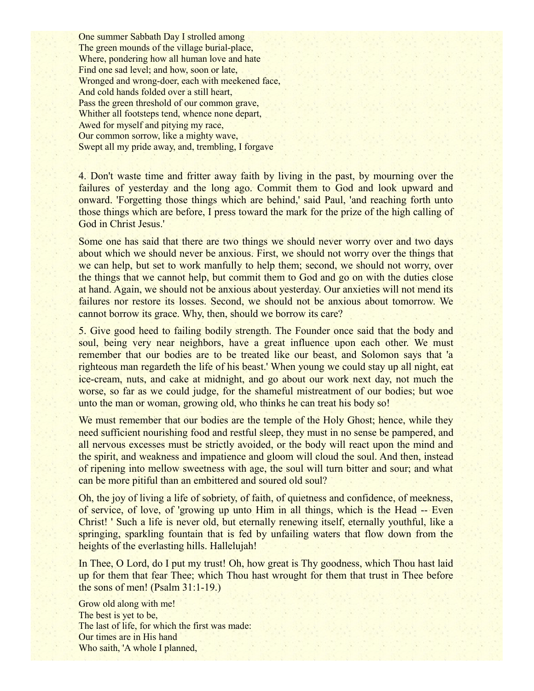One summer Sabbath Day I strolled among The green mounds of the village burial-place, Where, pondering how all human love and hate Find one sad level; and how, soon or late, Wronged and wrong-doer, each with meekened face, And cold hands folded over a still heart, Pass the green threshold of our common grave, Whither all footsteps tend, whence none depart, Awed for myself and pitying my race, Our common sorrow, like a mighty wave, Swept all my pride away, and, trembling, I forgave

4. Don't waste time and fritter away faith by living in the past, by mourning over the failures of yesterday and the long ago. Commit them to God and look upward and onward. 'Forgetting those things which are behind,' said Paul, 'and reaching forth unto those things which are before, I press toward the mark for the prize of the high calling of God in Christ Jesus.'

Some one has said that there are two things we should never worry over and two days about which we should never be anxious. First, we should not worry over the things that we can help, but set to work manfully to help them; second, we should not worry, over the things that we cannot help, but commit them to God and go on with the duties close at hand. Again, we should not be anxious about yesterday. Our anxieties will not mend its failures nor restore its losses. Second, we should not be anxious about tomorrow. We cannot borrow its grace. Why, then, should we borrow its care?

5. Give good heed to failing bodily strength. The Founder once said that the body and soul, being very near neighbors, have a great influence upon each other. We must remember that our bodies are to be treated like our beast, and Solomon says that 'a righteous man regardeth the life of his beast.' When young we could stay up all night, eat ice-cream, nuts, and cake at midnight, and go about our work next day, not much the worse, so far as we could judge, for the shameful mistreatment of our bodies; but woe unto the man or woman, growing old, who thinks he can treat his body so!

We must remember that our bodies are the temple of the Holy Ghost; hence, while they need sufficient nourishing food and restful sleep, they must in no sense be pampered, and all nervous excesses must be strictly avoided, or the body will react upon the mind and the spirit, and weakness and impatience and gloom will cloud the soul. And then, instead of ripening into mellow sweetness with age, the soul will turn bitter and sour; and what can be more pitiful than an embittered and soured old soul?

Oh, the joy of living a life of sobriety, of faith, of quietness and confidence, of meekness, of service, of love, of 'growing up unto Him in all things, which is the Head -- Even Christ! ' Such a life is never old, but eternally renewing itself, eternally youthful, like a springing, sparkling fountain that is fed by unfailing waters that flow down from the heights of the everlasting hills. Hallelujah!

In Thee, O Lord, do I put my trust! Oh, how great is Thy goodness, which Thou hast laid up for them that fear Thee; which Thou hast wrought for them that trust in Thee before the sons of men! (Psalm 31:1-19.)

Grow old along with me! The best is yet to be, The last of life, for which the first was made: Our times are in His hand Who saith, 'A whole I planned,